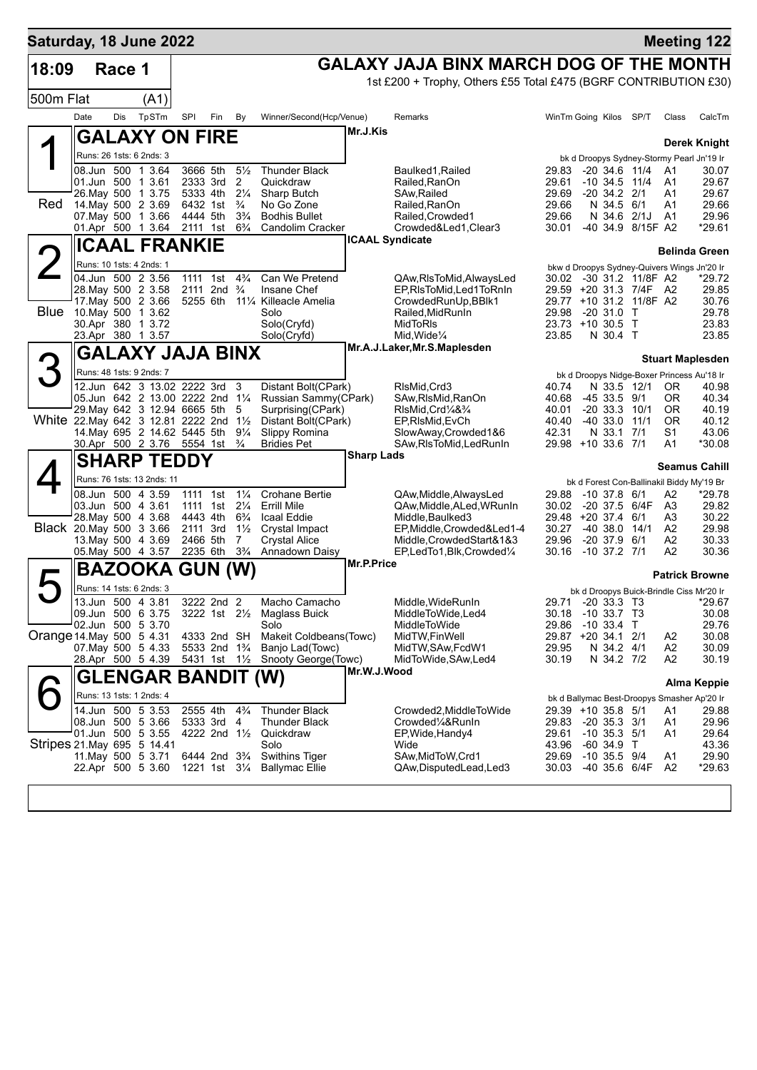| Saturday, 18 June 2022             |            |        |                                                                 |                                                         |     |                                  |                                                          |                   |                                                                  |                |                                                                        |      |                      | <b>Meeting 122</b>      |
|------------------------------------|------------|--------|-----------------------------------------------------------------|---------------------------------------------------------|-----|----------------------------------|----------------------------------------------------------|-------------------|------------------------------------------------------------------|----------------|------------------------------------------------------------------------|------|----------------------|-------------------------|
| 18:09                              |            | Race 1 |                                                                 |                                                         |     |                                  |                                                          |                   | GALAXY JAJA BINX MARCH DOG OF THE MONTH                          |                |                                                                        |      |                      |                         |
|                                    |            |        |                                                                 |                                                         |     |                                  |                                                          |                   | 1st £200 + Trophy, Others £55 Total £475 (BGRF CONTRIBUTION £30) |                |                                                                        |      |                      |                         |
| 500m Flat                          |            |        | (A1)                                                            |                                                         |     |                                  |                                                          |                   |                                                                  |                |                                                                        |      |                      |                         |
|                                    | Date       | Dis    | TpSTm                                                           | SPI                                                     | Fin | By                               | Winner/Second(Hcp/Venue)                                 |                   | Remarks                                                          |                | WinTm Going Kilos SP/T                                                 |      | Class                | CalcTm                  |
|                                    |            |        | <b>GALAXY ON FIRE</b>                                           |                                                         |     |                                  |                                                          | Mr.J.Kis          |                                                                  |                |                                                                        |      |                      | <b>Derek Knight</b>     |
|                                    |            |        | Runs: 26 1sts: 6 2nds: 3                                        |                                                         |     |                                  |                                                          |                   |                                                                  |                | bk d Droopys Sydney-Stormy Pearl Jn'19 Ir                              |      |                      |                         |
|                                    |            |        | 08.Jun 500 1 3.64                                               | 3666 5th                                                |     | $5\frac{1}{2}$                   | <b>Thunder Black</b>                                     |                   | Baulked1, Railed                                                 | 29.83          | -20 34.6 11/4                                                          |      | A1                   | 30.07                   |
|                                    |            |        | 01.Jun 500 1 3.61<br>26.May 500 1 3.75                          | 2333 3rd<br>5333 4th                                    |     | 2<br>$2\frac{1}{4}$              | Quickdraw<br>Sharp Butch                                 |                   | Railed, RanOn<br>SAw, Railed                                     | 29.61<br>29.69 | $-10$ 34.5 $11/4$<br>$-20$ 34.2 $2/1$                                  |      | A1<br>A1             | 29.67<br>29.67          |
| Red                                |            |        | 14. May 500 2 3.69                                              | 6432 1st                                                |     | $\frac{3}{4}$                    | No Go Zone                                               |                   | Railed, RanOn                                                    | 29.66          | N 34.5 6/1                                                             |      | A1                   | 29.66                   |
|                                    |            |        | 07 May 500 1 3.66<br>01.Apr 500 1 3.64                          | 4444 5th<br>2111 1st                                    |     | $3\frac{3}{4}$<br>$6\frac{3}{4}$ | <b>Bodhis Bullet</b><br><b>Candolim Cracker</b>          |                   | Railed, Crowded1<br>Crowded&Led1, Clear3                         | 29.66<br>30.01 | N 34.6 2/1J A1<br>-40 34.9 8/15F A2                                    |      |                      | 29.96<br>*29.61         |
|                                    |            |        | <b>ICAAL FRANKIE</b>                                            |                                                         |     |                                  |                                                          |                   | <b>ICAAL Syndicate</b>                                           |                |                                                                        |      |                      |                         |
|                                    |            |        | Runs: 10 1sts: 4 2nds: 1                                        |                                                         |     |                                  |                                                          |                   |                                                                  |                |                                                                        |      |                      | Belinda Green           |
|                                    |            |        | 04.Jun 500 2 3.56                                               | 1111 1st                                                |     | $4\frac{3}{4}$                   | Can We Pretend                                           |                   | QAw, RIs To Mid, Always Led                                      |                | bkw d Droopys Sydney-Quivers Wings Jn'20 Ir<br>30.02 -30 31.2 11/8F A2 |      |                      | *29.72                  |
|                                    |            |        | 28. May 500 2 3.58                                              | 2111 2nd <sup>3</sup> / <sub>4</sub>                    |     |                                  | Insane Chef                                              |                   | EP.RIsToMid.Led1ToRnIn                                           |                | 29.59 +20 31.3 7/4F A2                                                 |      |                      | 29.85                   |
| Blue                               |            |        | 17. May 500 2 3.66<br>10. May 500 1 3.62                        | 5255 6th                                                |     |                                  | 111/4 Killeacle Amelia<br>Solo                           |                   | CrowdedRunUp, BBlk1<br>Railed, MidRunIn                          | 29.98          | 29.77 +10 31.2 11/8F A2<br>-20 31.0 T                                  |      |                      | 30.76<br>29.78          |
|                                    |            |        | 30.Apr 380 1 3.72                                               |                                                         |     |                                  | Solo(Cryfd)                                              |                   | <b>MidToRIs</b>                                                  |                | 23.73 +10 30.5 T                                                       |      |                      | 23.83                   |
|                                    |            |        | 23.Apr 380 1 3.57                                               |                                                         |     |                                  | Solo(Cryfd)                                              |                   | Mid, Wide <sup>1/4</sup><br>Mr.A.J.Laker, Mr.S.Maplesden         | 23.85          | N 30.4 T                                                               |      |                      | 23.85                   |
|                                    |            |        | <b>GALAXY JAJA BINX</b>                                         |                                                         |     |                                  |                                                          |                   |                                                                  |                |                                                                        |      |                      | <b>Stuart Maplesden</b> |
|                                    |            |        | Runs: 48 1sts: 9 2nds: 7                                        |                                                         |     |                                  |                                                          |                   |                                                                  |                | bk d Droopys Nidge-Boxer Princess Au'18 Ir                             |      |                      |                         |
|                                    |            |        | 12.Jun 642 3 13.02 2222 3rd<br>05.Jun 642 2 13.00 2222 2nd 11/4 |                                                         |     | 3                                | Distant Bolt(CPark)<br>Russian Sammy(CPark)              |                   | RIsMid, Crd3<br>SAw, RIsMid, RanOn                               | 40.74<br>40.68 | N 33.5 12/1<br>$-453.59/1$                                             |      | 0R<br>0R             | 40.98<br>40.34          |
|                                    |            |        | 29. May 642 3 12.94 6665 5th                                    |                                                         |     | 5                                | Surprising(CPark)                                        |                   | RIsMid,Crd¼&¾                                                    | 40.01          | $-20$ 33.3 10/1                                                        |      | ΟR                   | 40.19                   |
| White 22. May 642 3 12.81 2222 2nd |            |        |                                                                 |                                                         |     | $1\frac{1}{2}$                   | Distant Bolt(CPark)                                      |                   | EP, RIsMid, EvCh                                                 | 40.40          | -40 33.0                                                               | 11/1 | ΟR<br>S <sub>1</sub> | 40.12                   |
|                                    |            |        | 14. May 695 2 14.62 5445 5th<br>30.Apr 500 2 3.76 5554 1st      |                                                         |     | $9\frac{1}{4}$<br>$\frac{3}{4}$  | Slippy Romina<br><b>Bridies Pet</b>                      |                   | SlowAway,Crowded1&6<br>SAw, RIsToMid, Led RunIn                  | 42.31          | N 33.1 7/1<br>29.98 +10 33.6 7/1                                       |      | A1                   | 43.06<br>*30.08         |
|                                    |            |        | <b>SHARP TEDDY</b>                                              |                                                         |     |                                  |                                                          | <b>Sharp Lads</b> |                                                                  |                |                                                                        |      |                      | <b>Seamus Cahill</b>    |
|                                    |            |        | Runs: 76 1sts: 13 2nds: 11                                      |                                                         |     |                                  |                                                          |                   |                                                                  |                | bk d Forest Con-Ballinakil Biddy My'19 Br                              |      |                      |                         |
|                                    |            |        | 08.Jun 500 4 3.59                                               | 1111 1st                                                |     | $1\frac{1}{4}$                   | <b>Crohane Bertie</b>                                    |                   | QAw, Middle, AlwaysLed                                           | 29.88          | $-10$ 37.8 $6/1$                                                       |      | A2                   | *29.78                  |
|                                    |            |        | 03.Jun 500 4 3.61<br>28. May 500 4 3.68                         | 1111 1st<br>4443 4th                                    |     | $2\frac{1}{4}$<br>$6\frac{3}{4}$ | <b>Errill Mile</b><br>Icaal Eddie                        |                   | QAw, Middle, ALed, WRunIn<br>Middle, Baulked3                    | 30.02          | -20 37.5 6/4F<br>29.48 +20 37.4 6/1                                    |      | A3<br>A3             | 29.82<br>30.22          |
| Black 20. May 500 3 3.66           |            |        |                                                                 | 2111 3rd                                                |     | $1\frac{1}{2}$                   | Crystal Impact                                           |                   | EP,Middle,Crowded&Led1-4                                         | 30.27          | $-40, 38.0, 14/1$                                                      |      | A2                   | 29.98                   |
|                                    |            |        | 13 May 500 4 3.69                                               | 2466 5th                                                |     | 7                                | <b>Crystal Alice</b>                                     |                   | Middle,CrowdedStart&1&3                                          | 29.96          | $-20$ 37.9 $6/1$                                                       |      | A2                   | 30.33                   |
|                                    |            |        | 05. May 500 4 3.57                                              | 2235 6th                                                |     | $3\frac{3}{4}$                   | Annadown Daisy                                           | Mr.P.Price        | EP,LedTo1,Blk,Crowded¼                                           | 30.16          | $-10$ 37.2 7/1                                                         |      | A2                   | 30.36                   |
|                                    |            |        | <b>BAZOOKA</b>                                                  | <b>GUN</b>                                              |     | (W)                              |                                                          |                   |                                                                  |                |                                                                        |      |                      | <b>Patrick Browne</b>   |
|                                    |            |        | Runs: 14 1sts: 6 2nds: 3<br>13.Jun 500 4 3.81                   | 3222 2nd 2                                              |     |                                  |                                                          |                   |                                                                  |                | bk d Droopys Buick-Brindle Ciss Mr'20 Ir                               |      |                      |                         |
|                                    |            |        | 09.Jun 500 6 3.75                                               |                                                         |     |                                  | Macho Camacho<br>3222 1st 21/ <sub>2</sub> Maglass Buick |                   | Middle, WideRunIn<br>MiddleToWide, Led4                          |                | 29.71 -20 33.3 T3<br>30.18 -10 33.7 T3                                 |      |                      | *29.67<br>30.08         |
|                                    | 02.Jun 500 |        | 5 3.70                                                          |                                                         |     |                                  | Solo                                                     |                   | MiddleToWide                                                     | 29.86          | $-1033.4$ T                                                            |      |                      | 29.76                   |
| Orange 14. May 500 5 4.31          |            |        | 07. May 500 5 4.33                                              | 4333 2nd SH<br>5533 2nd 1 <sup>3</sup> / <sub>4</sub>   |     |                                  | Makeit Coldbeans (Towc)<br>Banjo Lad(Towc)               |                   | MidTW, FinWell<br>MidTW, SAw, FcdW1                              | 29.95          | 29.87 +20 34.1 2/1<br>N 34.2 4/1                                       |      | A2<br>A <sub>2</sub> | 30.08<br>30.09          |
|                                    |            |        | 28.Apr 500 5 4.39                                               | 5431 1st 1½                                             |     |                                  | Snooty George (Towc)                                     |                   | MidToWide, SAw, Led4                                             | 30.19          | N 34.2 7/2                                                             |      | A <sub>2</sub>       | 30.19                   |
|                                    |            |        | GLENGAR BANDIT (W)                                              |                                                         |     |                                  |                                                          | Mr.W.J.Wood       |                                                                  |                |                                                                        |      |                      | Alma Keppie             |
|                                    |            |        | Runs: 13 1sts: 1 2nds: 4                                        |                                                         |     |                                  |                                                          |                   |                                                                  |                | bk d Ballymac Best-Droopys Smasher Ap'20 Ir                            |      |                      |                         |
|                                    |            |        | 14.Jun 500 5 3.53                                               | 2555 4th                                                |     | $4\frac{3}{4}$                   | <b>Thunder Black</b>                                     |                   | Crowded2, MiddleToWide                                           |                | 29.39 +10 35.8 5/1                                                     |      | A1                   | 29.88                   |
|                                    |            |        | 08.Jun 500 5 3.66<br>01.Jun 500 5 3.55                          | 5333 3rd<br>4222 2nd 11/2                               |     | 4                                | <b>Thunder Black</b><br>Quickdraw                        |                   | Crowded1/4&RunIn<br>EP, Wide, Handy4                             | 29.83<br>29.61 | $-20$ 35.3 $3/1$<br>$-10$ 35.3 $5/1$                                   |      | A1<br>A1             | 29.96<br>29.64          |
| Stripes 21. May 695 5 14.41        |            |        |                                                                 |                                                         |     |                                  | Solo                                                     |                   | Wide                                                             | 43.96          | $-60$ 34.9 T                                                           |      |                      | 43.36                   |
|                                    |            |        | 11. May 500 5 3.71<br>22.Apr 500 5 3.60                         | 6444 2nd 3 <sup>3</sup> / <sub>4</sub><br>1221 1st 31/4 |     |                                  | <b>Swithins Tiger</b><br><b>Ballymac Ellie</b>           |                   | SAw, MidToW, Crd1<br>QAw,DisputedLead,Led3                       | 29.69<br>30.03 | $-10$ 35.5 $9/4$<br>-40 35.6 6/4F                                      |      | A1<br>A2             | 29.90<br>$*29.63$       |
|                                    |            |        |                                                                 |                                                         |     |                                  |                                                          |                   |                                                                  |                |                                                                        |      |                      |                         |
|                                    |            |        |                                                                 |                                                         |     |                                  |                                                          |                   |                                                                  |                |                                                                        |      |                      |                         |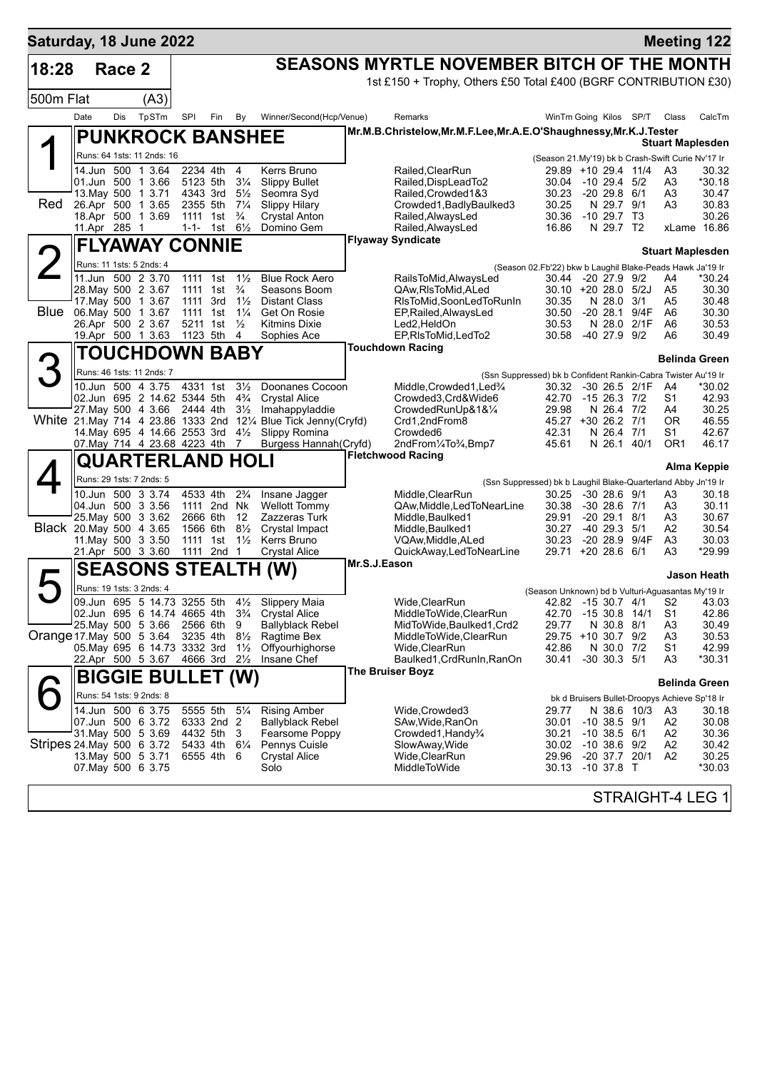| Saturday, 18 June 2022    |                                          |        |                                                                 |                             |     |                                  |                                                                  |              |                                                                    |                                                               |                                               |             |                      | <b>Meeting 122</b>      |
|---------------------------|------------------------------------------|--------|-----------------------------------------------------------------|-----------------------------|-----|----------------------------------|------------------------------------------------------------------|--------------|--------------------------------------------------------------------|---------------------------------------------------------------|-----------------------------------------------|-------------|----------------------|-------------------------|
| 18:28                     |                                          | Race 2 |                                                                 |                             |     |                                  |                                                                  |              | <b>SEASONS MYRTLE NOVEMBER BITCH OF THE MONTH</b>                  |                                                               |                                               |             |                      |                         |
|                           |                                          |        |                                                                 |                             |     |                                  |                                                                  |              | 1st £150 + Trophy, Others £50 Total £400 (BGRF CONTRIBUTION £30)   |                                                               |                                               |             |                      |                         |
| 500m Flat                 |                                          |        | (A3)                                                            |                             |     |                                  |                                                                  |              |                                                                    |                                                               |                                               |             |                      |                         |
|                           | Date                                     | Dis    | TpSTm                                                           | SPI                         | Fin | By                               | Winner/Second(Hcp/Venue)                                         |              | Remarks                                                            |                                                               | WinTm Going Kilos SP/T                        |             | Class                | CalcTm                  |
|                           |                                          |        | <b>PUNKROCK BANSHEE</b>                                         |                             |     |                                  |                                                                  |              | Mr.M.B.Christelow, Mr.M.F.Lee, Mr.A.E.O'Shaughnessy, Mr.K.J.Tester |                                                               |                                               |             |                      |                         |
|                           |                                          |        | Runs: 64 1sts: 11 2nds: 16                                      |                             |     |                                  |                                                                  |              |                                                                    |                                                               |                                               |             |                      | <b>Stuart Maplesden</b> |
|                           | 14.Jun 500 1 3.64                        |        |                                                                 | 2234 4th                    |     | 4                                | Kerrs Bruno                                                      |              | Railed.ClearRun                                                    | (Season 21.My'19) bk b Crash-Swift Curie Nv'17 Ir             | 29.89 +10 29.4 11/4                           |             | A3                   | 30.32                   |
|                           | 01.Jun 500 1 3.66                        |        |                                                                 | 5123 5th                    |     | $3\frac{1}{4}$                   | <b>Slippy Bullet</b>                                             |              | Railed, DispLead To2                                               |                                                               | 30.04 -10 29.4 5/2                            |             | A3                   | *30.18                  |
|                           | 13. May 500 1 3.71                       |        |                                                                 | 4343 3rd                    |     | $5\frac{1}{2}$                   | Seomra Svd                                                       |              | Railed, Crowded 1&3                                                | 30.23                                                         | $-20$ 29.8 $6/1$                              |             | A3                   | 30.47                   |
| Red                       | 26.Apr 500 1 3.65<br>18.Apr 500 1 3.69   |        |                                                                 | 2355 5th<br>1111 1st        |     | $7\frac{1}{4}$<br>$\frac{3}{4}$  | <b>Slippy Hilary</b><br><b>Crystal Anton</b>                     |              | Crowded1, BadlyBaulked3<br>Railed, AlwaysLed                       | 30.25<br>30.36                                                | N 29.7 9/1<br>$-10$ 29.7 T3                   |             | A3                   | 30.83<br>30.26          |
|                           | 11.Apr 285 1                             |        |                                                                 | 1-1- 1st $6\frac{1}{2}$     |     |                                  | Domino Gem                                                       |              | Railed, AlwaysLed                                                  | 16.86                                                         | N 29.7 T2                                     |             |                      | xLame 16.86             |
|                           |                                          |        | <b>FLYAWAY CONNIE</b>                                           |                             |     |                                  |                                                                  |              | <b>Flyaway Syndicate</b>                                           |                                                               |                                               |             |                      |                         |
|                           | Runs: 11 1sts: 5 2nds: 4                 |        |                                                                 |                             |     |                                  |                                                                  |              |                                                                    | (Season 02.Fb'22) bkw b Laughil Blake-Peads Hawk Ja'19 Ir     |                                               |             |                      | <b>Stuart Maplesden</b> |
|                           | 11.Jun 500 2 3.70                        |        |                                                                 | 1111 1st                    |     | $1\frac{1}{2}$                   | <b>Blue Rock Aero</b>                                            |              | RailsToMid, AlwaysLed                                              | 30.44                                                         | $-20$ 27.9 $9/2$                              |             | A4                   | *30.24                  |
|                           | 28. May 500 2 3.67                       |        |                                                                 | 1111 1st                    |     | $\frac{3}{4}$                    | Seasons Boom                                                     |              | QAw, RIs To Mid, ALed                                              |                                                               | 30.10 +20 28.0 5/2J                           |             | A5                   | 30.30                   |
| Blue                      | 17. May 500 1 3.67<br>06. May 500 1 3.67 |        |                                                                 | 1111 3rd<br>1111 1st        |     | $1\frac{1}{2}$<br>$1\frac{1}{4}$ | <b>Distant Class</b><br>Get On Rosie                             |              | RIsToMid, SoonLedToRunIn<br>EP, Railed, Always Led                 | 30.35<br>30.50                                                | N 28.0 3/1<br>$-2028.1$                       | 9/4F        | A5<br>A6             | 30.48<br>30.30          |
|                           | 26.Apr 500 2 3.67                        |        |                                                                 | 5211 1st                    |     | $\frac{1}{2}$                    | <b>Kitmins Dixie</b>                                             |              | Led2,HeldOn                                                        | 30.53                                                         | N 28.0                                        | 2/1F        | A6                   | 30.53                   |
|                           | 19.Apr 500 1 3.63                        |        |                                                                 | 1123 5th                    |     | 4                                | Sophies Ace                                                      |              | EP,RIsToMid,LedTo2                                                 | 30.58                                                         | -40 27.9 9/2                                  |             | A6                   | 30.49                   |
|                           |                                          |        | <b>TOUCHDOWN BABY</b>                                           |                             |     |                                  |                                                                  |              | <b>Touchdown Racing</b>                                            |                                                               |                                               |             |                      | <b>Belinda Green</b>    |
|                           |                                          |        | Runs: 46 1sts: 11 2nds: 7                                       |                             |     |                                  |                                                                  |              |                                                                    | (Ssn Suppressed) bk b Confident Rankin-Cabra Twister Au'19 Ir |                                               |             |                      |                         |
|                           |                                          |        | 10.Jun 500 4 3.75                                               | 4331 1st                    |     | $3\frac{1}{2}$                   | Doonanes Cocoon                                                  |              | Middle, Crowded 1, Led <sup>3</sup> / <sub>4</sub>                 |                                                               | 30.32 -30 26.5 2/1F                           |             | - A4                 | *30.02                  |
|                           |                                          |        | 02.Jun 695 2 14.62 5344 5th<br>27. May 500 4 3.66 2444 4th      |                             |     | $4\frac{3}{4}$<br>$3\frac{1}{2}$ | <b>Crystal Alice</b><br>Imahappyladdie                           |              | Crowded3.Crd&Wide6<br>CrowdedRunUp&1&1⁄4                           | 42.70<br>29.98                                                | -15 26.3 7/2<br>N 26.4 7/2                    |             | S1<br>A4             | 42.93<br>30.25          |
|                           |                                          |        |                                                                 |                             |     |                                  | White 21. May 714 4 23.86 1333 2nd 121/4 Blue Tick Jenny (Cryfd) |              | Crd1,2ndFrom8                                                      |                                                               | 45.27 +30 26.2 7/1                            |             | 0R                   | 46.55                   |
|                           |                                          |        | 14. May 695 4 14.66 2553 3rd 41/2                               |                             |     |                                  | Slippy Romina                                                    |              | Crowded <sub>6</sub>                                               | 42.31                                                         | N 26.4 7/1                                    |             | S1                   | 42.67                   |
|                           |                                          |        | 07. May 714 4 23.68 4223 4th 7                                  |                             |     |                                  | Burgess Hannah (Cryfd)                                           |              | 2ndFrom1/4To3/4,Bmp7<br><b>Fletchwood Racing</b>                   | 45.61                                                         |                                               | N 26.1 40/1 | OR1                  | 46.17                   |
|                           |                                          |        | <b>QUARTERLAND HOLI</b>                                         |                             |     |                                  |                                                                  |              |                                                                    |                                                               |                                               |             |                      | <b>Alma Keppie</b>      |
|                           | Runs: 29 1sts: 7 2nds: 5                 |        |                                                                 |                             |     |                                  |                                                                  |              |                                                                    | (Ssn Suppressed) bk b Laughil Blake-Quarterland Abby Jn'19 Ir |                                               |             |                      |                         |
|                           | 10.Jun 500 3 3.74<br>04.Jun 500 3 3.56   |        |                                                                 | 4533 4th<br>1111 2nd Nk     |     | $2\frac{3}{4}$                   | Insane Jagger<br><b>Wellott Tommy</b>                            |              | Middle, ClearRun<br>QAw, Middle, Led To Near Line                  | 30.25<br>30.38                                                | $-30$ 28.6 $9/1$<br>$-30$ 28.6 $7/1$          |             | A3<br>A3             | 30.18<br>30.11          |
|                           | 25. May 500 3 3.62                       |        |                                                                 | 2666 6th                    |     | 12                               | Zazzeras Turk                                                    |              | Middle, Baulked1                                                   | 29.91                                                         | $-2029.1$                                     | 8/1         | A3                   | 30.67                   |
| Black 20. May 500 4 3.65  |                                          |        |                                                                 | 1566 6th                    |     | $8\frac{1}{2}$                   | Crystal Impact                                                   |              | Middle, Baulked1                                                   | 30.27                                                         | $-40$ 29.3 $5/1$                              |             | A2                   | 30.54                   |
|                           | 11. May 500 3 3.50<br>21.Apr 500 3 3.60  |        |                                                                 | 1111 1st<br>1111 2nd 1      |     | $1\frac{1}{2}$                   | Kerrs Bruno<br><b>Crystal Alice</b>                              |              | VQAw, Middle, ALed<br>QuickAway,LedToNearLine                      | 30.23                                                         | -20 28.9 9/4F<br>29.71 +20 28.6 6/1           |             | A3<br>A3             | 30.03<br>*29.99         |
|                           |                                          |        |                                                                 |                             |     |                                  |                                                                  | Mr.S.J.Eason |                                                                    |                                                               |                                               |             |                      |                         |
|                           |                                          |        |                                                                 |                             |     |                                  | <b>SEASONS STEALTH (W)</b>                                       |              |                                                                    |                                                               |                                               |             |                      | Jason Heath             |
|                           | Runs: 19 1sts: 3 2nds: 4                 |        | 09.Jun 695 5 14.73 3255 5th 41/2                                |                             |     |                                  |                                                                  |              |                                                                    | (Season Unknown) bd b Vulturi-Aguasantas My'19 Ir             | 42.82 -15 30.7 4/1                            |             |                      |                         |
|                           |                                          |        | 02.Jun 695 6 14.74 4665 4th                                     |                             |     | $3\frac{3}{4}$                   | Slippery Maia<br><b>Crystal Alice</b>                            |              | Wide, ClearRun<br>MiddleToWide,ClearRun                            |                                                               | 42.70 -15 30.8 14/1                           |             | S2<br>S1             | 43.03<br>42.86          |
|                           | 25. May 500 5 3.66                       |        |                                                                 | 2566 6th                    |     | 9                                | <b>Ballyblack Rebel</b>                                          |              | MidToWide, Baulked1, Crd2                                          | 29.77                                                         | N 30.8 8/1                                    |             | A <sub>3</sub>       | 30.49                   |
| Orange 17 May 500 5 3.64  |                                          |        |                                                                 | 3235 4th                    |     | $8\frac{1}{2}$                   | Ragtime Bex                                                      |              | MiddleToWide.ClearRun                                              |                                                               | 29.75 +10 30.7 9/2                            |             | A <sub>3</sub>       | 30.53                   |
|                           |                                          |        | 05. May 695 6 14.73 3332 3rd<br>22.Apr 500 5 3.67 4666 3rd 21/2 |                             |     | $1\frac{1}{2}$                   | Offyourhighorse<br>Insane Chef                                   |              | Wide, ClearRun<br>Baulked1, CrdRunIn, RanOn                        | 42.86<br>30.41                                                | N 30.0 7/2<br>$-30$ 30.3 $5/1$                |             | S1<br>A <sub>3</sub> | 42.99<br>*30.31         |
|                           |                                          |        | <b>BIGGIE BULLET (W)</b>                                        |                             |     |                                  |                                                                  |              | <b>The Bruiser Boyz</b>                                            |                                                               |                                               |             |                      |                         |
|                           | Runs: 54 1sts: 9 2nds: 8                 |        |                                                                 |                             |     |                                  |                                                                  |              |                                                                    |                                                               |                                               |             |                      | <b>Belinda Green</b>    |
|                           | 14.Jun 500 6 3.75                        |        |                                                                 | 5555 5th                    |     | $5\frac{1}{4}$                   | <b>Rising Amber</b>                                              |              | Wide.Crowded3                                                      | 29.77                                                         | bk d Bruisers Bullet-Droopys Achieve Sp'18 Ir | N 38.6 10/3 | A3                   | 30.18                   |
|                           | 07.Jun 500 6 3.72                        |        |                                                                 | 6333 2nd 2                  |     |                                  | <b>Ballyblack Rebel</b>                                          |              | SAw, Wide, RanOn                                                   | 30.01                                                         | $-10$ 38.5 $9/1$                              |             | A2                   | 30.08                   |
|                           | 31. May 500 5 3.69                       |        |                                                                 | 4432 5th                    |     | 3                                | Fearsome Poppy                                                   |              | Crowded1, Handy <sup>3</sup> / <sub>4</sub>                        | 30.21                                                         | $-10$ 38.5 $6/1$                              |             | A2                   | 30.36                   |
| Stripes 24 May 500 6 3.72 | 13. May 500 5 3.71                       |        |                                                                 | 5433 4th 61/4<br>6555 4th 6 |     |                                  | Pennys Cuisle<br><b>Crystal Alice</b>                            |              | SlowAway, Wide<br>Wide, ClearRun                                   | 29.96                                                         | 30.02 -10 38.6 9/2<br>-20 37.7 20/1           |             | A2<br>A2             | 30.42<br>30.25          |
|                           | 07 May 500 6 3.75                        |        |                                                                 |                             |     |                                  | Solo                                                             |              | MiddleToWide                                                       | 30.13                                                         | $-10$ 37.8 T                                  |             |                      | *30.03                  |
|                           |                                          |        |                                                                 |                             |     |                                  |                                                                  |              |                                                                    |                                                               |                                               |             |                      |                         |
|                           |                                          |        |                                                                 |                             |     |                                  |                                                                  |              |                                                                    |                                                               |                                               |             |                      | STRAIGHT-4 LEG 1        |
|                           |                                          |        |                                                                 |                             |     |                                  |                                                                  |              |                                                                    |                                                               |                                               |             |                      |                         |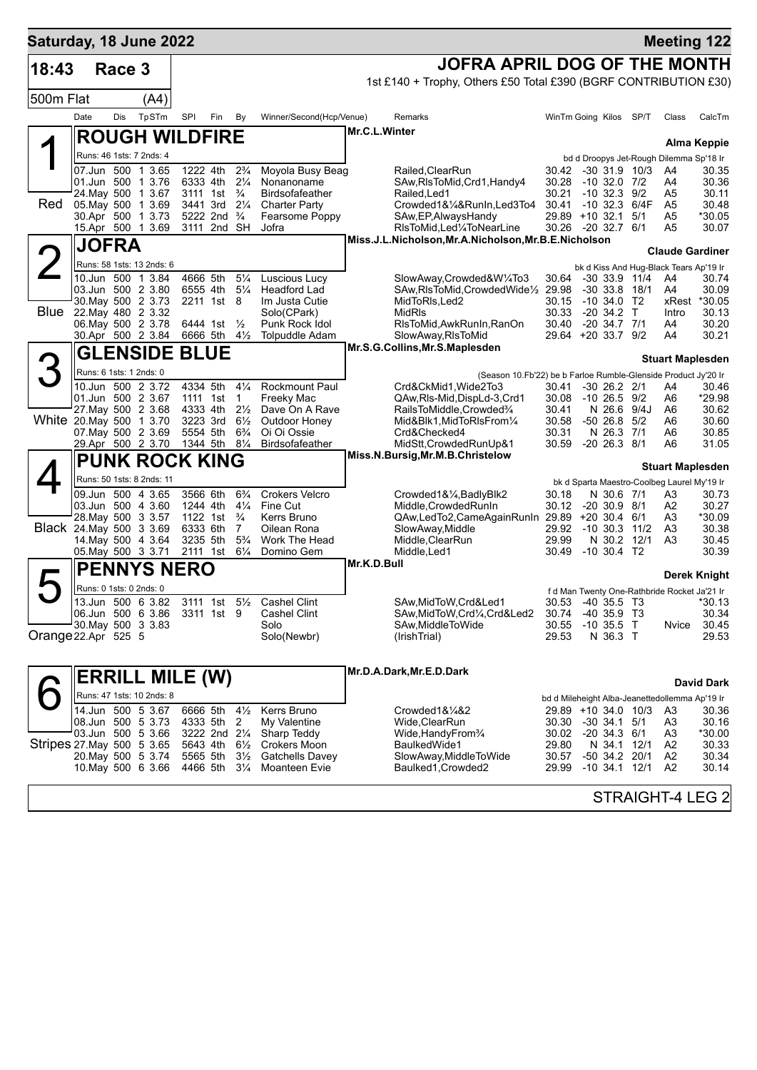| Saturday, 18 June 2022     |                                               |        |                           |                        |                                      |                                  |                                         |             |                                                                  |                |                                                                   |      |                         | <b>Meeting 122</b> |
|----------------------------|-----------------------------------------------|--------|---------------------------|------------------------|--------------------------------------|----------------------------------|-----------------------------------------|-------------|------------------------------------------------------------------|----------------|-------------------------------------------------------------------|------|-------------------------|--------------------|
| 18:43                      |                                               | Race 3 |                           |                        |                                      |                                  |                                         |             | JOFRA APRIL DOG OF THE MONTH                                     |                |                                                                   |      |                         |                    |
|                            |                                               |        |                           |                        |                                      |                                  |                                         |             | 1st £140 + Trophy, Others £50 Total £390 (BGRF CONTRIBUTION £30) |                |                                                                   |      |                         |                    |
| 500m Flat                  |                                               |        | (A4)                      |                        |                                      |                                  |                                         |             |                                                                  |                |                                                                   |      |                         |                    |
|                            | Date                                          | Dis    | TpSTm                     | SPI                    | Fin                                  | By                               | Winner/Second(Hcp/Venue)                |             | Remarks                                                          |                | WinTm Going Kilos SP/T                                            |      | Class                   | CalcTm             |
|                            |                                               |        |                           | <b>ROUGH WILDFIRE</b>  |                                      |                                  |                                         |             | Mr.C.L.Winter                                                    |                |                                                                   |      |                         |                    |
|                            | Runs: 46 1sts: 7 2nds: 4                      |        |                           |                        |                                      |                                  |                                         |             |                                                                  |                |                                                                   |      |                         | <b>Alma Keppie</b> |
|                            | 07.Jun 500 1 3.65                             |        |                           |                        | 1222 4th                             | $2\frac{3}{4}$                   | Moyola Busy Beag                        |             | Railed, ClearRun                                                 | 30.42          | bd d Droopys Jet-Rough Dilemma Sp'18 Ir<br>$-30$ 31.9 10/3        |      | A4                      | 30.35              |
|                            | 01.Jun 500 1 3.76                             |        |                           |                        | 6333 4th                             | $2\frac{1}{4}$                   | Nonanoname                              |             | SAw, RIsToMid, Crd1, Handy4                                      | 30.28          | $-10$ 32.0 $7/2$                                                  |      | A4                      | 30.36              |
| Red                        | 24. May 500 1 3.67<br>05. May 500             |        | 1 3.69                    |                        | 3111 1st<br>3441 3rd 21/4            | $\frac{3}{4}$                    | Birdsofafeather<br><b>Charter Party</b> |             | Railed, Led1<br>Crowded1&1/4&RunIn,Led3To4                       | 30.21<br>30.41 | $-10$ 32.3 $9/2$<br>$-10$ 32.3 $6/4F$                             |      | A5<br>A5                | 30.11<br>30.48     |
|                            | 30.Apr 500 1 3.73                             |        |                           |                        | 5222 2nd <sup>3</sup> / <sub>4</sub> |                                  | Fearsome Poppy                          |             | SAw, EP, Always Handy                                            |                | 29.89 +10 32.1                                                    | 5/1  | A5                      | *30.05             |
|                            | 15.Apr 500 1 3.69                             |        |                           |                        | 3111 2nd SH                          |                                  | Jofra                                   |             | RIsToMid, Led <sup>1</sup> / <sub>4</sub> ToNearLine             | 30.26          | -20 32.7 6/1                                                      |      | A5                      | 30.07              |
|                            | <b>JOFRA</b>                                  |        |                           |                        |                                      |                                  |                                         |             | Miss.J.L.Nicholson, Mr.A.Nicholson, Mr.B.E.Nicholson             |                |                                                                   |      | <b>Claude Gardiner</b>  |                    |
|                            | Runs: 58 1sts: 13 2nds: 6                     |        |                           |                        |                                      |                                  |                                         |             |                                                                  |                | bk d Kiss And Hug-Black Tears Ap'19 Ir                            |      |                         |                    |
|                            | 10.Jun 500 1 3.84                             |        |                           |                        | 4666 5th                             | $5\frac{1}{4}$                   | Luscious Lucy                           |             | SlowAway,Crowded&W1/4To3                                         | 30.64          | $-30$ 33.9 11/4                                                   |      | A4                      | 30.74              |
|                            | 03.Jun 500 2 3.80                             |        |                           |                        | 6555 4th                             | $5\frac{1}{4}$                   | <b>Headford Lad</b>                     |             | SAw, RIsToMid, Crowded Wide <sup>1</sup> / <sub>2</sub> 29.98    |                | $-30, 33.8$                                                       | 18/1 | A4                      | 30.09              |
|                            | 30. May 500 2 3.73<br>Blue 22. May 480 2 3.32 |        |                           |                        | 2211 1st 8                           |                                  | Im Justa Cutie<br>Solo(CPark)           |             | MidToRIs, Led2<br><b>MidRIs</b>                                  | 30.15<br>30.33 | $-10,34.0$ T <sub>2</sub><br>-20 34.2 T                           |      | xRest<br>Intro          | *30.05<br>30.13    |
|                            | 06. May 500 2 3.78                            |        |                           |                        | 6444 1st                             | $\frac{1}{2}$                    | Punk Rock Idol                          |             | RIsToMid, AwkRunIn, RanOn                                        | 30.40          | $-20$ 34.7 $7/1$                                                  |      | A4                      | 30.20              |
|                            | 30.Apr 500 2 3.84                             |        |                           |                        | 6666 5th                             | $4\frac{1}{2}$                   | <b>Tolpuddle Adam</b>                   |             | SlowAway, RIsToMid                                               |                | 29.64 +20 33.7 9/2                                                |      | A4                      | 30.21              |
|                            |                                               |        |                           | <b>GLENSIDE BLUE</b>   |                                      |                                  |                                         |             | Mr.S.G.Collins, Mr.S.Maplesden                                   |                |                                                                   |      | <b>Stuart Maplesden</b> |                    |
| 3                          | Runs: 6 1sts: 1 2nds: 0                       |        |                           |                        |                                      |                                  |                                         |             | (Season 10.Fb'22) be b Farloe Rumble-Glenside Product Jy'20 Ir   |                |                                                                   |      |                         |                    |
|                            | 10.Jun 500 2 3.72                             |        |                           |                        | 4334 5th                             | $4\frac{1}{4}$                   | <b>Rockmount Paul</b>                   |             | Crd&CkMid1, Wide2To3                                             | 30.41          | $-30$ 26.2 $2/1$                                                  |      | A4                      | 30.46              |
|                            | 01.Jun 500 2 3.67<br>27. May 500 2 3.68       |        |                           |                        | 1111 1st<br>4333 4th                 | $\mathbf{1}$<br>$2\frac{1}{2}$   | Freeky Mac<br>Dave On A Rave            |             | QAw, RIs-Mid, DispLd-3, Crd1<br>RailsToMiddle, Crowded%          | 30.08<br>30.41 | $-10$ 26.5 $9/2$<br>N 26.6 9/4J                                   |      | A6<br>A6                | *29.98<br>30.62    |
| White 20.May 500 1 3.70    |                                               |        |                           |                        | 3223 3rd                             | $6\frac{1}{2}$                   | Outdoor Honey                           |             | Mid&Blk1, MidToRIsFrom1/4                                        | 30.58          | $-5026.8$                                                         | 5/2  | A6                      | 30.60              |
|                            | 07. May 500 2 3.69                            |        |                           |                        | 5554 5th                             | $6\frac{3}{4}$                   | Oi Oi Ossie                             |             | Crd&Checked4                                                     | 30.31          | N 26.3 7/1                                                        |      | A6                      | 30.85              |
|                            | 29.Apr 500 2 3.70                             |        |                           |                        | 1344 5th                             | $8\frac{1}{4}$                   | Birdsofafeather                         |             | MidStt, Crowded RunUp&1<br>Miss.N.Bursig, Mr.M.B.Christelow      | 30.59          | $-20$ 26.3 $8/1$                                                  |      | A6                      | 31.05              |
|                            |                                               |        |                           | <b>PUNK ROCK KING</b>  |                                      |                                  |                                         |             |                                                                  |                |                                                                   |      | <b>Stuart Maplesden</b> |                    |
|                            |                                               |        | Runs: 50 1sts: 8 2nds: 11 |                        |                                      |                                  |                                         |             |                                                                  |                | bk d Sparta Maestro-Coolbeg Laurel My'19 Ir                       |      |                         |                    |
|                            | 09.Jun 500 4 3.65<br>03.Jun 500 4 3.60        |        |                           |                        | 3566 6th<br>1244 4th                 | $6\frac{3}{4}$<br>$4\frac{1}{4}$ | <b>Crokers Velcro</b><br>Fine Cut       |             | Crowded1&1/4, BadlyBlk2<br>Middle, Crowded RunIn                 | 30.18<br>30.12 | N 30.6 7/1<br>$-20, 30.9, 8/1$                                    |      | A3<br>Α2                | 30.73<br>30.27     |
|                            | 28. May 500 3 3.57                            |        |                           |                        | 1122 1st                             | $\frac{3}{4}$                    | Kerrs Bruno                             |             | QAw,LedTo2,CameAgainRunIn 29.89 +20 30.4 6/1                     |                |                                                                   |      | A3                      | *30.09             |
| Black 24. May 500 3 3.69   |                                               |        |                           |                        | 6333 6th                             | 7                                | Oilean Rona                             |             | SlowAway, Middle                                                 |                | 29.92 -10 30.3 11/2                                               |      | A3                      | 30.38              |
|                            | 14. May 500 4 3.64<br>05. May 500 3 3.71      |        |                           |                        | 3235 5th<br>2111 1st                 | $5\frac{3}{4}$<br>$6\frac{1}{4}$ | Work The Head<br>Domino Gem             |             | Middle, ClearRun<br>Middle, Led1                                 | 29.99<br>30.49 | N 30.2 12/1<br>$-10, 30.4$ T <sub>2</sub>                         |      | A <sub>3</sub>          | 30.45<br>30.39     |
|                            |                                               |        |                           | <b>PENNYS NERO</b>     |                                      |                                  |                                         | Mr.K.D.Bull |                                                                  |                |                                                                   |      |                         |                    |
|                            |                                               |        |                           |                        |                                      |                                  |                                         |             |                                                                  |                |                                                                   |      |                         | Derek Knight       |
|                            | 13.Jun 500 6 3.82                             |        | Runs: 0 1sts: 0 2nds: 0   |                        | 3111 1st                             | $5\frac{1}{2}$                   | <b>Cashel Clint</b>                     |             | SAw, MidToW, Crd&Led1                                            |                | f d Man Twenty One-Rathbride Rocket Ja'21 Ir<br>30.53 -40 35.5 T3 |      |                         | *30.13             |
|                            | 06.Jun 500 6 3.86                             |        |                           |                        | 3311 1st 9                           |                                  | <b>Cashel Clint</b>                     |             | SAw,MidToW,Crd1/4,Crd&Led2                                       | 30.74          | -40 35.9 T3                                                       |      |                         | 30.34              |
|                            | 30 May 500 3 3.83                             |        |                           |                        |                                      |                                  | Solo                                    |             | SAw, Middle To Wide                                              | 30.55          | $-10$ 35.5 T                                                      |      | Nvice                   | 30.45              |
| Orange 22.Apr 525 5        |                                               |        |                           |                        |                                      |                                  | Solo(Newbr)                             |             | (IrishTrial)                                                     | 29.53          | N 36.3 T                                                          |      |                         | 29.53              |
|                            |                                               |        |                           |                        |                                      |                                  |                                         |             |                                                                  |                |                                                                   |      |                         |                    |
|                            |                                               |        |                           | <b>ERRILL MILE (W)</b> |                                      |                                  |                                         |             | Mr.D.A.Dark, Mr.E.D.Dark                                         |                |                                                                   |      |                         | <b>David Dark</b>  |
|                            |                                               |        | Runs: 47 1sts: 10 2nds: 8 |                        |                                      |                                  |                                         |             |                                                                  |                | bd d Mileheight Alba-Jeanettedollemma Ap'19 Ir                    |      |                         |                    |
|                            | 14.Jun 500 5 3.67                             |        |                           |                        | 6666 5th                             | $4\frac{1}{2}$                   | Kerrs Bruno                             |             | Crowded1&1/4&2                                                   |                | 29.89 +10 34.0 10/3                                               |      | A3                      | 30.36              |
|                            | 08.Jun 500 5 3.73<br>03.Jun 500 5 3.66        |        |                           |                        | 4333 5th<br>3222 2nd 21/4            | 2                                | My Valentine<br>Sharp Teddy             |             | Wide, ClearRun<br>Wide, Handy From 3/4                           | 30.30<br>30.02 | $-30$ 34.1 $5/1$<br>$-20$ 34.3 $6/1$                              |      | A3<br>A3                | 30.16<br>*30.00    |
| Stripes 27. May 500 5 3.65 |                                               |        |                           |                        | 5643 4th                             | $6\frac{1}{2}$                   | <b>Crokers Moon</b>                     |             | BaulkedWide1                                                     | 29.80          | N 34.1 12/1                                                       |      | A2                      | 30.33              |
|                            | 20. May 500 5 3.74                            |        |                           |                        | 5565 5th                             | $3\frac{1}{2}$                   | <b>Gatchells Davey</b>                  |             | SlowAway, MiddleToWide                                           | 30.57          | $-50$ 34.2 20/1                                                   |      | A2                      | 30.34              |
|                            | 10. May 500 6 3.66                            |        |                           |                        | 4466 5th                             | $3\frac{1}{4}$                   | <b>Moanteen Evie</b>                    |             | Baulked1, Crowded2                                               | 29.99          | $-10$ 34.1 $12/1$                                                 |      | A2                      | 30.14              |
|                            |                                               |        |                           |                        |                                      |                                  |                                         |             |                                                                  |                |                                                                   |      |                         |                    |

STRAIGHT-4 LEG 2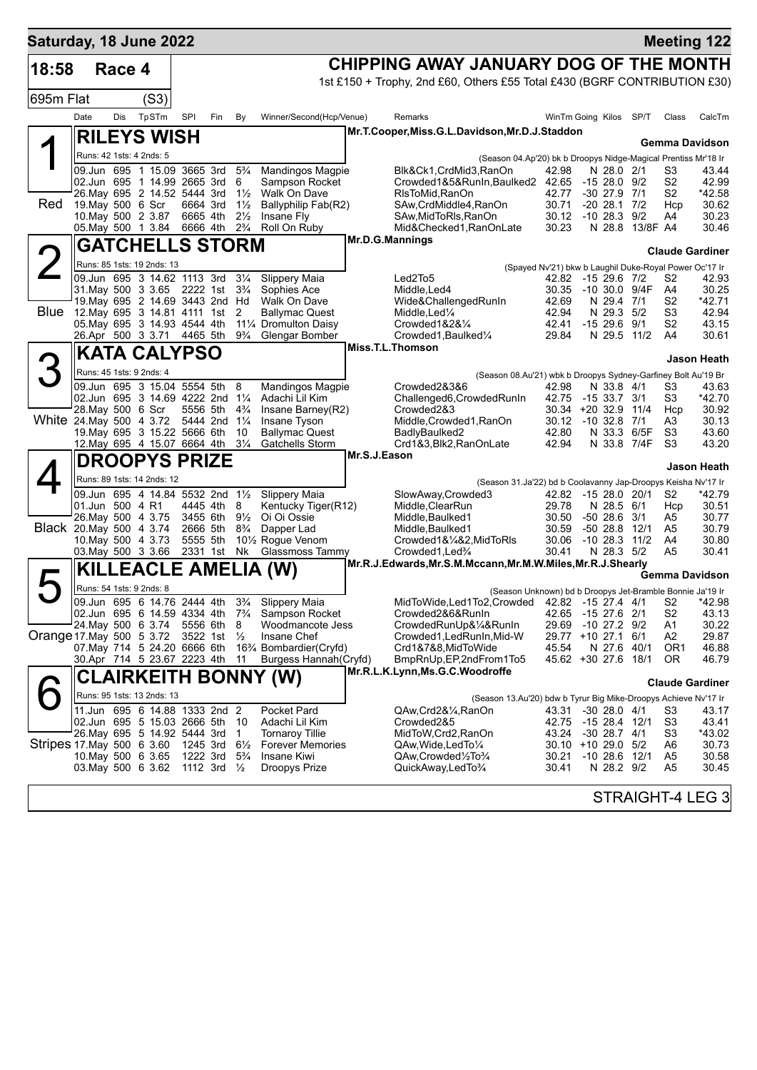| Saturday, 18 June 2022    |                                                                                       |        |       |                                        |                                        |                                  |                                                                               |                                                                                                                       |                                                                 |               |                                  |                            |                                  | <b>Meeting 122</b>     |
|---------------------------|---------------------------------------------------------------------------------------|--------|-------|----------------------------------------|----------------------------------------|----------------------------------|-------------------------------------------------------------------------------|-----------------------------------------------------------------------------------------------------------------------|-----------------------------------------------------------------|---------------|----------------------------------|----------------------------|----------------------------------|------------------------|
| 18:58                     |                                                                                       | Race 4 |       |                                        |                                        |                                  |                                                                               | CHIPPING AWAY JANUARY DOG OF THE MONTH                                                                                |                                                                 |               |                                  |                            |                                  |                        |
|                           |                                                                                       |        |       |                                        |                                        |                                  |                                                                               | 1st £150 + Trophy, 2nd £60, Others £55 Total £430 (BGRF CONTRIBUTION £30)                                             |                                                                 |               |                                  |                            |                                  |                        |
| 695m Flat                 |                                                                                       |        | (S3)  |                                        |                                        |                                  |                                                                               |                                                                                                                       |                                                                 |               |                                  |                            |                                  |                        |
|                           | Date                                                                                  | Dis    | TpSTm | SPI                                    | Fin                                    | By                               | Winner/Second(Hcp/Venue)                                                      | Remarks                                                                                                               | WinTm Going Kilos                                               |               |                                  | SP/T                       | Class                            | CalcTm                 |
|                           | <b>RILEYS WISH</b>                                                                    |        |       |                                        |                                        |                                  |                                                                               | Mr.T.Cooper, Miss.G.L.Davidson, Mr.D.J.Staddon                                                                        |                                                                 |               |                                  |                            |                                  | <b>Gemma Davidson</b>  |
|                           | Runs: 42 1sts: 4 2nds: 5                                                              |        |       |                                        |                                        |                                  |                                                                               | (Season 04.Ap'20) bk b Droopys Nidge-Magical Prentiss Mr'18 Ir                                                        |                                                                 |               |                                  |                            |                                  |                        |
|                           | 09.Jun 695 1 15.09 3665 3rd                                                           |        |       |                                        |                                        | $5\frac{3}{4}$                   | <b>Mandingos Magpie</b>                                                       | Blk&Ck1,CrdMid3,RanOn                                                                                                 | 42.98                                                           |               | N 28.0 2/1                       |                            | S3                               | 43.44                  |
|                           | 02.Jun 695 1 14.99 2665 3rd<br>26. May 695 2 14.52 5444 3rd                           |        |       |                                        |                                        | 6<br>$1\frac{1}{2}$              | Sampson Rocket<br>Walk On Dave                                                | Crowded1&5&RunIn,Baulked2 42.65<br>RIsToMid, RanOn                                                                    | 42.77                                                           |               | $-1528.09/2$<br>$-30$ 27.9 $7/1$ |                            | S <sub>2</sub><br>S <sub>2</sub> | 42.99<br>*42.58        |
| Red                       | 19. May 500 6 Scr                                                                     |        |       | 6664 3rd                               |                                        | $1\frac{1}{2}$                   | Ballyphilip Fab(R2)                                                           | SAw, CrdMiddle4, RanOn                                                                                                | 30.71                                                           |               | $-20$ 28.1 $7/2$                 |                            | Hcp                              | 30.62                  |
|                           | 10. May 500 2 3.87<br>05. May 500 1 3.84                                              |        |       | 6665 4th                               | 6666 4th 2 <sup>3</sup> / <sub>4</sub> | $2\frac{1}{2}$                   | Insane Fly<br>Roll On Ruby                                                    | SAw, Mid To RIs, RanOn<br>Mid&Checked1, RanOnLate                                                                     | 30.12<br>30.23                                                  |               | $-10$ 28.3 $9/2$                 | N 28.8 13/8F A4            | A4                               | 30.23<br>30.46         |
|                           | <b>GATCHELLS STORM</b>                                                                |        |       |                                        |                                        |                                  |                                                                               | Mr.D.G.Mannings                                                                                                       |                                                                 |               |                                  |                            |                                  |                        |
|                           | Runs: 85 1sts: 19 2nds: 13                                                            |        |       |                                        |                                        |                                  |                                                                               |                                                                                                                       |                                                                 |               |                                  |                            |                                  | <b>Claude Gardiner</b> |
|                           | 09.Jun 695 3 14.62 1113 3rd                                                           |        |       |                                        |                                        | $3\frac{1}{4}$                   | Slippery Maia                                                                 | Led2To5                                                                                                               | (Spayed Nv'21) bkw b Laughil Duke-Royal Power Oc'17 Ir<br>42.82 |               | $-1529.67/2$                     |                            | S2                               | 42.93                  |
|                           | 31. May 500 3 3.65 2222 1st 3 <sup>3</sup> / <sub>4</sub>                             |        |       |                                        |                                        |                                  | Sophies Ace                                                                   | Middle,Led4                                                                                                           | 30.35                                                           | -10 30.0 9/4F |                                  |                            | A4                               | 30.25                  |
| Blue                      | 19. May 695 2 14.69 3443 2nd Hd<br>12.May 695 3 14.81 4111 1st                        |        |       |                                        |                                        | 2                                | Walk On Dave<br><b>Ballymac Quest</b>                                         | Wide&ChallengedRunIn<br>Middle,Led¼                                                                                   | 42.69<br>42.94                                                  |               | N 29.4 7/1<br>N 29.3 5/2         |                            | S2<br>S3                         | *42.71<br>42.94        |
|                           | 05. May 695 3 14.93 4544 4th                                                          |        |       |                                        |                                        |                                  | 111⁄4 Dromulton Daisy                                                         | Crowded $1828\%$                                                                                                      | 42.41                                                           |               | $-1529.69/1$                     |                            | S <sub>2</sub>                   | 43.15                  |
|                           | 26.Apr 500 3 3.71 4465 5th                                                            |        |       |                                        |                                        | $9\frac{3}{4}$                   | Glengar Bomber                                                                | Crowded1, Baulked1/4<br>Miss.T.L.Thomson                                                                              | 29.84                                                           |               |                                  | N 29.5 11/2                | A4                               | 30.61                  |
|                           | <b>KATA CALYPSO</b>                                                                   |        |       |                                        |                                        |                                  |                                                                               |                                                                                                                       |                                                                 |               |                                  |                            |                                  | Jason Heath            |
|                           | Runs: 45 1sts: 9 2nds: 4                                                              |        |       |                                        |                                        |                                  |                                                                               | (Season 08.Au'21) wbk b Droopys Sydney-Garfiney Bolt Au'19 Br                                                         |                                                                 |               |                                  |                            |                                  |                        |
|                           | 09.Jun 695 3 15.04 5554 5th<br>02.Jun 695 3 14.69 4222 2nd 11/4                       |        |       |                                        |                                        | 8                                | <b>Mandingos Magpie</b><br>Adachi Lil Kim                                     | Crowded2&3&6<br>Challenged6, Crowded RunIn                                                                            | 42.98<br>42.75                                                  |               | N 33.8 4/1<br>-15 33.7           | 3/1                        | S3<br>S3                         | 43.63<br>*42.70        |
|                           | 28. May 500 6 Scr                                                                     |        |       | 5556 5th                               |                                        | $4\frac{3}{4}$                   | Insane Barney(R2)                                                             | Crowded2&3                                                                                                            | 30.34 +20 32.9 11/4                                             |               |                                  |                            | Hcp                              | 30.92                  |
| White 24. May 500 4 3.72  |                                                                                       |        |       | 5444 2nd 11/4                          |                                        |                                  | Insane Tyson                                                                  | Middle, Crowded1, RanOn                                                                                               | 30.12                                                           |               | $-10$ 32.8 $7/1$                 |                            | A3                               | 30.13                  |
|                           | 19. May 695 3 15.22 5666 6th<br>12. May 695 4 15.07 6664 4th                          |        |       |                                        |                                        | 10<br>$3\frac{1}{4}$             | <b>Ballymac Quest</b><br>Gatchells Storm                                      | BadlyBaulked2<br>Crd1&3,Blk2,RanOnLate                                                                                | 42.80<br>42.94                                                  |               |                                  | N 33.3 6/5F<br>N 33.8 7/4F | S3<br>S3                         | 43.60<br>43.20         |
|                           | <b>DROOPYS PRIZE</b>                                                                  |        |       |                                        |                                        |                                  |                                                                               | Mr.S.J.Eason                                                                                                          |                                                                 |               |                                  |                            |                                  |                        |
|                           | Runs: 89 1sts: 14 2nds: 12                                                            |        |       |                                        |                                        |                                  |                                                                               | (Season 31.Ja'22) bd b Coolavanny Jap-Droopys Keisha Nv'17 Ir                                                         |                                                                 |               |                                  |                            |                                  | Jason Heath            |
|                           | 09.Jun 695 4 14.84 5532 2nd 11/2                                                      |        |       |                                        |                                        |                                  | Slippery Maia                                                                 | SlowAway, Crowded3                                                                                                    | 42.82 -15 28.0 20/1                                             |               |                                  |                            | S <sub>2</sub>                   | $*42.79$               |
|                           | 01.Jun 500 4 R1                                                                       |        |       | 4445 4th                               |                                        | 8                                | Kentucky Tiger(R12)                                                           | Middle, ClearRun                                                                                                      | 29.78                                                           |               | N 28.5 6/1                       |                            | Hcp                              | 30.51                  |
|                           | 26. May 500 4 3.75<br>Black 20. May 500 4 3.74                                        |        |       | 3455 6th<br>2666 5th                   |                                        | $9\frac{1}{2}$<br>$8\frac{3}{4}$ | Oi Oi Ossie<br>Dapper Lad                                                     | Middle, Baulked1<br>Middle, Baulked1                                                                                  | 30.50<br>30.59                                                  |               | $-5028.63/1$                     | $-5028.812/1$              | A5<br>A5                         | 30.77<br>30.79         |
|                           | 10 May 500 4 3.73                                                                     |        |       | 5555 5th                               |                                        |                                  | 10 <sup>1</sup> / <sub>2</sub> Rogue Venom                                    | Crowded1&1/4&2, MidToRIs                                                                                              | 30.06                                                           |               |                                  | $-10$ 28.3 $11/2$          | A4                               | 30.80                  |
|                           | 03. May 500 3 3.66                                                                    |        |       | 2331 1st                               |                                        | Nk                               | Glassmoss Tammy                                                               | Crowded1, Led%<br>Mr.R.J.Edwards, Mr.S.M.Mccann, Mr.M.W.Miles, Mr.R.J.Shearly                                         | 30.41                                                           |               | N 28.3 5/2                       |                            | A5                               | 30.41                  |
|                           |                                                                                       |        |       |                                        |                                        |                                  | <b>KILLEACLE AMELIA (W)</b>                                                   |                                                                                                                       |                                                                 |               |                                  |                            |                                  | Gemma Davidson         |
|                           | Runs: 54 1sts: 9 2nds: 8<br>09.Jun 695 6 14.76 2444 4th 3 <sup>3</sup> / <sub>4</sub> |        |       |                                        |                                        |                                  |                                                                               | (Season Unknown) bd b Droopys Jet-Bramble Bonnie Ja'19 Ir<br>MidToWide, Led1To2, Crowded 42.82 -15 27.4 4/1 S2 *42.98 |                                                                 |               |                                  |                            |                                  |                        |
|                           |                                                                                       |        |       |                                        |                                        |                                  | Slippery Maia<br>02.Jun 695 6 14.59 4334 4th 7 <sup>3</sup> /4 Sampson Rocket | Crowded2&6&RunIn                                                                                                      | 42.65 -15 27.6 2/1                                              |               |                                  |                            | S <sub>2</sub>                   | 43.13                  |
|                           | 24. May 500 6 3.74                                                                    |        |       | 5556 6th                               |                                        | 8                                | Woodmancote Jess                                                              | CrowdedRunUp&¼&RunIn                                                                                                  | 29.69                                                           | -10 27.2 9/2  |                                  |                            | A1                               | 30.22                  |
| Orange 17. May 500 5 3.72 | 07. May 714 5 24.20 6666 6th                                                          |        |       | 3522 1st                               |                                        | $\frac{1}{2}$                    | Insane Chef<br>163⁄4 Bombardier(Cryfd)                                        | Crowded1, Led Run In, Mid-W<br>Crd1&7&8,MidToWide                                                                     | 29.77 +10 27.1<br>45.54                                         |               |                                  | 6/1<br>N 27.6 40/1         | A2<br>OR <sub>1</sub>            | 29.87<br>46.88         |
|                           | 30.Apr 714 5 23.67 2223 4th                                                           |        |       |                                        |                                        | 11                               | Burgess Hannah (Cryfd)                                                        | BmpRnUp, EP, 2nd From 1To 5                                                                                           | 45.62 +30 27.6 18/1                                             |               |                                  |                            | OR.                              | 46.79                  |
|                           |                                                                                       |        |       |                                        |                                        |                                  | <b>CLAIRKEITH BONNY (W)</b>                                                   | Mr.R.L.K.Lynn, Ms.G.C.Woodroffe                                                                                       |                                                                 |               |                                  |                            |                                  | <b>Claude Gardiner</b> |
|                           | Runs: 95 1sts: 13 2nds: 13                                                            |        |       |                                        |                                        |                                  |                                                                               | (Season 13.Au'20) bdw b Tyrur Big Mike-Droopys Achieve Nv'17 Ir                                                       |                                                                 |               |                                  |                            |                                  |                        |
|                           | 11.Jun 695 6 14.88 1333 2nd 2                                                         |        |       |                                        |                                        |                                  | Pocket Pard                                                                   | QAw,Crd2&1/4,RanOn                                                                                                    | 43.31 -30 28.0 4/1                                              |               |                                  |                            | S3                               | 43.17                  |
|                           | 02.Jun 695 5 15.03 2666 5th<br>26. May 695 5 14.92 5444 3rd                           |        |       |                                        |                                        | - 10<br>$\overline{1}$           | Adachi Lil Kim<br><b>Tornaroy Tillie</b>                                      | Crowded2&5<br>MidToW, Crd2, RanOn                                                                                     | 42.75<br>43.24                                                  | -15 28.4 12/1 | $-30$ 28.7 $4/1$                 |                            | S <sub>3</sub><br>S3             | 43.41<br>*43.02        |
| Stripes 17 May 500 6 3.60 |                                                                                       |        |       | 1245 3rd $6\frac{1}{2}$                |                                        |                                  | <b>Forever Memories</b>                                                       | QAw, Wide, Led To 1/4                                                                                                 | 30.10 +10 29.0 5/2                                              |               |                                  |                            | A6                               | 30.73                  |
|                           | 10. May 500 6 3.65                                                                    |        |       | 1222 3rd 5 <sup>3</sup> / <sub>4</sub> |                                        |                                  | Insane Kiwi                                                                   | QAw,Crowded1/2To3/4                                                                                                   | 30.21                                                           |               |                                  | $-10$ 28.6 $12/1$          | A5                               | 30.58                  |
|                           | 03. May 500 6 3.62 1112 3rd 1/2                                                       |        |       |                                        |                                        |                                  | <b>Droopys Prize</b>                                                          | QuickAway,LedTo3/4                                                                                                    | 30.41                                                           |               | N 28.2 9/2                       |                            | A5                               | 30.45                  |
|                           |                                                                                       |        |       |                                        |                                        |                                  |                                                                               |                                                                                                                       |                                                                 |               |                                  |                            |                                  | STRAIGHT-4 LEG 3       |
|                           |                                                                                       |        |       |                                        |                                        |                                  |                                                                               |                                                                                                                       |                                                                 |               |                                  |                            |                                  |                        |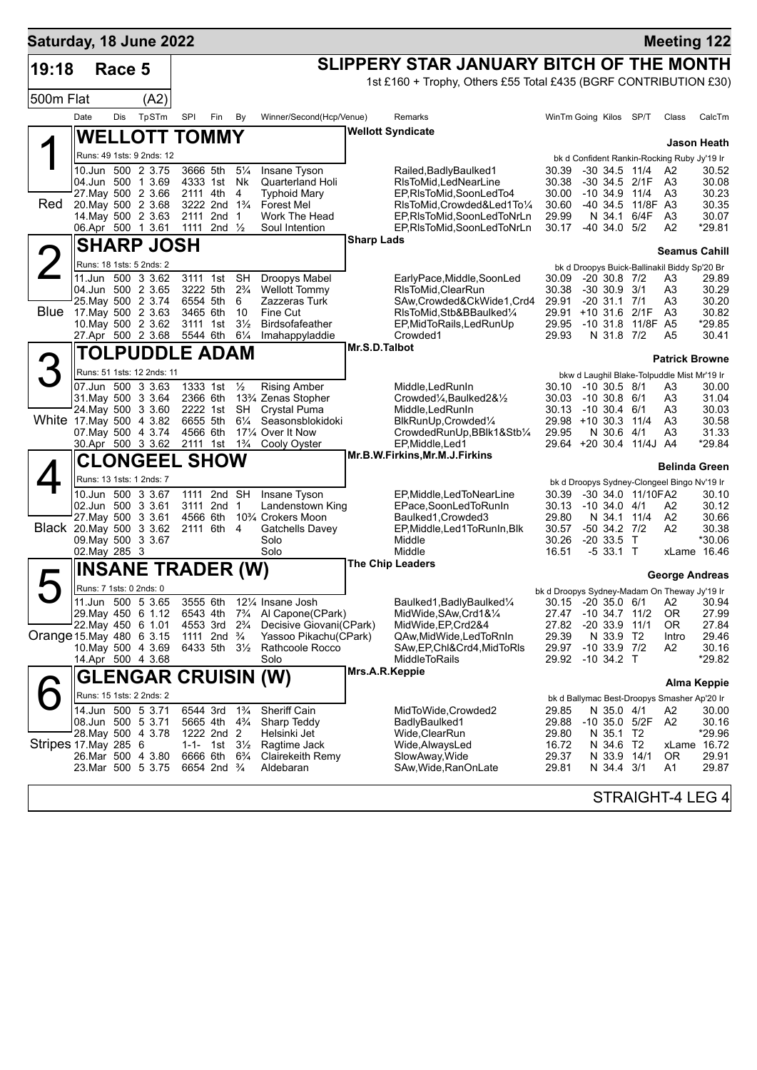| SLIPPERY STAR JANUARY BITCH OF THE MONTH<br>19:18<br>Race 5<br>1st £160 + Trophy, Others £55 Total £435 (BGRF CONTRIBUTION £30)<br>500m Flat<br>(A2)<br>TpSTm<br>Dis<br>SPI<br>Winner/Second(Hcp/Venue)<br>Date<br>Fin<br>By<br>Remarks<br>WinTm Going Kilos SP/T<br>Class<br>CalcTm<br><b>Wellott Syndicate</b><br><b>WELLOTT TOMMY</b><br>Jason Heath<br>Runs: 49 1sts: 9 2nds: 12<br>bk d Confident Rankin-Rocking Ruby Jy'19 Ir<br>10.Jun 500 2 3.75<br>3666 5th<br>$5\frac{1}{4}$<br>Insane Tyson<br>30.39<br>$-30$ 34.5 11/4<br>Railed, Badly Baulked 1<br>A2<br>30.38<br>04.Jun 500 1 3.69<br>4333 1st<br>Nk<br><b>Quarterland Holi</b><br>RIsToMid, LedNearLine<br>-30 34.5 2/1F A3<br>30.08<br>27. May 500 2 3.66<br>2111 4th<br>4<br>EP, RIsToMid, SoonLedTo4<br>30.00<br>$-10, 34.9, 11/4$<br><b>Typhoid Mary</b><br>A3<br><b>Red</b><br>20. May 500 2 3.68<br>3222 2nd 1 <sup>3</sup> / <sub>4</sub><br><b>Forest Mel</b><br>RIsToMid, Crowded&Led1To1/4<br>30.60<br>-40 34.5 11/8F A3<br>14 May 500 2 3.63<br>2nd <sub>1</sub><br>2111<br>Work The Head<br>EP, RIsToMid, SoonLedToNrLn<br>29.99<br>N 34.1<br>6/4F<br>A <sub>3</sub><br>30.07<br>06.Apr 500 1 3.61<br>*29.81<br>1111 2nd $\frac{1}{2}$<br>EP, RIsToMid, SoonLedToNrLn<br>30.17<br>$-40, 34.0, 5/2$<br>A2<br>Soul Intention<br><b>Sharp Lads</b><br><b>SHARP JOSH</b><br>$\overline{2}$<br><b>Seamus Cahill</b><br>Runs: 18 1sts: 5 2nds: 2<br>bk d Droopys Buick-Ballinakil Biddy Sp'20 Br<br>11.Jun 500 3 3.62<br><b>SH</b><br>Droopys Mabel<br>3111 1st<br>EarlyPace, Middle, SoonLed<br>$-20$ 30.8 $7/2$<br>30.09<br>A3<br>29.89<br>04.Jun 500 2 3.65<br>3222 5th<br>$2\frac{3}{4}$<br><b>Wellott Tommy</b><br>RIsToMid, ClearRun<br>30.38<br>$-30$ 30.9 $3/1$<br>A3<br>25. May 500 2 3.74<br>6554 5th<br>6<br>Zazzeras Turk<br>SAw, Crowded & CkWide 1, Crd4<br>29.91<br>$-20$ 31.1 $7/1$<br>A3<br>Blue<br>17 May 500 2 3.63<br>3465 6th<br>10<br>Fine Cut<br>RIsToMid, Stb&BBaulked1/4<br>29.91 +10 31.6 2/1F<br>A <sub>3</sub><br>30.82<br>11/8F A5<br>10. May 500 2 3.62<br>3111 1st<br>$3\frac{1}{2}$<br><b>Birdsofafeather</b><br>EP, MidToRails, LedRunUp<br>29.95<br>$-10,31.8$<br>27.Apr 500 2 3.68<br>5544 6th<br>$6\frac{1}{4}$<br>Imahappyladdie<br>Crowded1<br>29.93<br>N 31.8 7/2<br>A5<br>Mr.S.D.Talbot<br>TOLPUDDLE ADAM<br>З<br><b>Patrick Browne</b><br>Runs: 51 1sts: 12 2nds: 11<br>bkw d Laughil Blake-Tolpuddle Mist Mr'19 Ir<br>1333 1st 1/2<br>07.Jun 500 3 3.63<br><b>Rising Amber</b><br>Middle, Led Run In<br>$-10, 30.5, 8/1$<br>30.10<br>A3<br>31 May 500 3 3.64<br>2366 6th<br>13% Zenas Stopher<br>Crowded <sup>1</sup> / <sub>4</sub> , Baulked 2& <sup>1</sup> / <sub>2</sub><br>30.03<br>$-10,30.8,6/1$<br>A3<br>24. May 500 3 3.60<br>2222 1st<br>SH<br><b>Crystal Puma</b><br>Middle, Led RunIn<br>30.13<br>$-10, 30.4, 6/1$<br>30.03<br>A3<br>White 17 May 500 4 3.82<br>6655 5th<br>$6\frac{1}{4}$<br>Seasonsblokidoki<br>BlkRunUp, Crowded1/4<br>29.98 +10 30.3 11/4<br>A <sub>3</sub><br>07. May 500 4 3.74<br>4566 6th<br>171⁄4 Over It Now<br>CrowdedRunUp, BBlk1&Stb1/4<br>29.95<br>N 30.6 4/1<br>A3<br>30.Apr 500 3 3.62 2111 1st 1 <sup>3</sup> / <sub>4</sub><br>Cooly Oyster<br>EP, Middle, Led1<br>29.64 +20 30.4 11/4J A4<br>*29.84<br>Mr.B.W.Firkins,Mr.M.J.Firkins<br><b>CLONGEEL SHOW</b><br><b>Belinda Green</b><br>Runs: 13 1sts: 1 2nds: 7<br>bk d Droopys Sydney-Clongeel Bingo Nv'19 Ir<br>10.Jun 500 3 3.67<br>1111 2nd SH<br>30.39<br>-30 34.0 11/10FA2<br>Insane Tyson<br>EP, Middle, Led To Near Line<br>30.10<br>02.Jun 500 3 3.61<br>3111 2nd 1<br>Landenstown King<br>EPace,SoonLedToRunIn<br>30.13 -10 34.0 4/1<br>30.12<br>A2<br>27. May 500 3 3.61<br>4566 6th<br>10¾ Crokers Moon<br>Baulked1, Crowded3<br>29.80<br>N 34.1 11/4<br>A2<br>Black 20 May 500 3 3.62<br>2111 6th 4<br>EP, Middle, Led 1 To Run In, Blk<br>30.57<br>$-50$ 34.2 $7/2$<br>A <sub>2</sub><br>30.38<br>Gatchells Davey<br>09. May 500 3 3.67<br>Solo<br>Middle<br>30.26<br>$-20, 33.5$ T<br>*30.06<br>Solo<br>Middle<br>02. May 285 3<br>16.51<br>$-533.1$ T<br>xLame 16.46<br><b>The Chip Leaders</b><br><b>INSANE TRADER (W)</b><br>Д<br>George Andreas<br>Runs: 7 1sts: 0 2nds: 0<br>bk d Droopys Sydney-Madam On Theway Jy'19 Ir<br>11.Jun 500 5 3.65<br>3555 6th 121/4 Insane Josh<br>Baulked1, Badly Baulked <sup>1/4</sup><br>30.15 -20 35.0 6/1 A2 30.94<br>MidWide, SAw, Crd1&1/4<br>29. May 450 6 1.12 6543 4th 7 <sup>3</sup> / <sub>4</sub><br>Al Capone(CPark)<br>27.47 -10 34.7 11/2<br>0R<br>22. May 450 6 1.01<br>Decisive Giovani(CPark)<br>$-2033.9$<br>27.84<br>4553 3rd<br>$2\frac{3}{4}$<br>MidWide, EP, Crd2&4<br>27.82<br>11/1<br>0R<br>Orange 15 May 480 6 3.15<br>Yassoo Pikachu(CPark)<br>29.39<br>N 33.9 T2<br>29.46<br>1111 2nd $\frac{3}{4}$<br>QAw,MidWide,LedToRnIn<br>Intro<br>10. May 500 4 3.69<br>$-10$ 33.9 $7/2$<br>6433 5th 3½<br>Rathcoole Rocco<br>SAw,EP,Chl&Crd4,MidToRls<br>29.97<br>A2<br>Solo<br><b>MiddleToRails</b><br>$-10$ 34.2 T<br>14.Apr 500 4 3.68<br>29.92<br>Mrs.A.R.Keppie<br>GLENGAR CRUISIN (W)<br>Alma Keppie<br>Runs: 15 1sts: 2 2nds: 2<br>bk d Ballymac Best-Droopys Smasher Ap'20 Ir<br>14.Jun 500 5 3.71<br>6544 3rd<br>$1\frac{3}{4}$<br><b>Sheriff Cain</b><br>MidToWide,Crowded2<br>29.85<br>N 35.0 4/1<br>A2<br>29.88<br>08.Jun 500 5 3.71<br>5665 4th 4 <sup>3</sup> / <sub>4</sub><br>Sharp Teddy<br>BadlyBaulked1<br>$-10$ 35.0 5/2F<br>A2<br>30.16<br>28. May 500 4 3.78<br>1222 2nd 2<br>Helsinki Jet<br>Wide, ClearRun<br>29.80<br>N 35.1<br>T2<br>Stripes 17. May 285 6<br>1-1- 1st $3\frac{1}{2}$<br>Ragtime Jack<br>Wide, AlwaysLed<br>16.72<br>N 34.6<br>T2<br>xLame 16.72<br>26.Mar 500 4 3.80<br>6666 6th<br>$6\frac{3}{4}$<br>Clairekeith Remy<br>SlowAway, Wide<br>29.37<br>N 33.9<br>14/1<br>0R<br>23.Mar 500 5 3.75<br>6654 2nd <sup>3</sup> / <sub>4</sub><br>Aldebaran<br>SAw,Wide,RanOnLate<br>29.81<br>N 34.4 3/1<br>A1<br>29.87<br>STRAIGHT-4 LEG 4 | Saturday, 18 June 2022 |  |  |  |  |  |  | <b>Meeting 122</b> |
|------------------------------------------------------------------------------------------------------------------------------------------------------------------------------------------------------------------------------------------------------------------------------------------------------------------------------------------------------------------------------------------------------------------------------------------------------------------------------------------------------------------------------------------------------------------------------------------------------------------------------------------------------------------------------------------------------------------------------------------------------------------------------------------------------------------------------------------------------------------------------------------------------------------------------------------------------------------------------------------------------------------------------------------------------------------------------------------------------------------------------------------------------------------------------------------------------------------------------------------------------------------------------------------------------------------------------------------------------------------------------------------------------------------------------------------------------------------------------------------------------------------------------------------------------------------------------------------------------------------------------------------------------------------------------------------------------------------------------------------------------------------------------------------------------------------------------------------------------------------------------------------------------------------------------------------------------------------------------------------------------------------------------------------------------------------------------------------------------------------------------------------------------------------------------------------------------------------------------------------------------------------------------------------------------------------------------------------------------------------------------------------------------------------------------------------------------------------------------------------------------------------------------------------------------------------------------------------------------------------------------------------------------------------------------------------------------------------------------------------------------------------------------------------------------------------------------------------------------------------------------------------------------------------------------------------------------------------------------------------------------------------------------------------------------------------------------------------------------------------------------------------------------------------------------------------------------------------------------------------------------------------------------------------------------------------------------------------------------------------------------------------------------------------------------------------------------------------------------------------------------------------------------------------------------------------------------------------------------------------------------------------------------------------------------------------------------------------------------------------------------------------------------------------------------------------------------------------------------------------------------------------------------------------------------------------------------------------------------------------------------------------------------------------------------------------------------------------------------------------------------------------------------------------------------------------------------------------------------------------------------------------------------------------------------------------------------------------------------------------------------------------------------------------------------------------------------------------------------------------------------------------------------------------------------------------------------------------------------------------------------------------------------------------------------------------------------------------------------------------------------------------------------------------------------------------------------------------------------------------------------------------------------------------------------------------------------------------------------------------------------------------------------------------------------------------------------------------------------------------------------------------------------------------------------------------------------------------------------------------------------------------------------------------------------------------------------------------------------------------------------------------------------------------------------------------------------------------------------------------------------------------------------------------------------------------------------------------------------------------------------------------------------------------------------------------------------------------------------------------------------------------------------------------------------------------------------------------------------------------------------------------------------------------------------------------------------------------------|------------------------|--|--|--|--|--|--|--------------------|
|                                                                                                                                                                                                                                                                                                                                                                                                                                                                                                                                                                                                                                                                                                                                                                                                                                                                                                                                                                                                                                                                                                                                                                                                                                                                                                                                                                                                                                                                                                                                                                                                                                                                                                                                                                                                                                                                                                                                                                                                                                                                                                                                                                                                                                                                                                                                                                                                                                                                                                                                                                                                                                                                                                                                                                                                                                                                                                                                                                                                                                                                                                                                                                                                                                                                                                                                                                                                                                                                                                                                                                                                                                                                                                                                                                                                                                                                                                                                                                                                                                                                                                                                                                                                                                                                                                                                                                                                                                                                                                                                                                                                                                                                                                                                                                                                                                                                                                                                                                                                                                                                                                                                                                                                                                                                                                                                                                                                                                                                                                                                                                                                                                                                                                                                                                                                                                                                                                                                                                        |                        |  |  |  |  |  |  |                    |
|                                                                                                                                                                                                                                                                                                                                                                                                                                                                                                                                                                                                                                                                                                                                                                                                                                                                                                                                                                                                                                                                                                                                                                                                                                                                                                                                                                                                                                                                                                                                                                                                                                                                                                                                                                                                                                                                                                                                                                                                                                                                                                                                                                                                                                                                                                                                                                                                                                                                                                                                                                                                                                                                                                                                                                                                                                                                                                                                                                                                                                                                                                                                                                                                                                                                                                                                                                                                                                                                                                                                                                                                                                                                                                                                                                                                                                                                                                                                                                                                                                                                                                                                                                                                                                                                                                                                                                                                                                                                                                                                                                                                                                                                                                                                                                                                                                                                                                                                                                                                                                                                                                                                                                                                                                                                                                                                                                                                                                                                                                                                                                                                                                                                                                                                                                                                                                                                                                                                                                        |                        |  |  |  |  |  |  |                    |
|                                                                                                                                                                                                                                                                                                                                                                                                                                                                                                                                                                                                                                                                                                                                                                                                                                                                                                                                                                                                                                                                                                                                                                                                                                                                                                                                                                                                                                                                                                                                                                                                                                                                                                                                                                                                                                                                                                                                                                                                                                                                                                                                                                                                                                                                                                                                                                                                                                                                                                                                                                                                                                                                                                                                                                                                                                                                                                                                                                                                                                                                                                                                                                                                                                                                                                                                                                                                                                                                                                                                                                                                                                                                                                                                                                                                                                                                                                                                                                                                                                                                                                                                                                                                                                                                                                                                                                                                                                                                                                                                                                                                                                                                                                                                                                                                                                                                                                                                                                                                                                                                                                                                                                                                                                                                                                                                                                                                                                                                                                                                                                                                                                                                                                                                                                                                                                                                                                                                                                        |                        |  |  |  |  |  |  |                    |
|                                                                                                                                                                                                                                                                                                                                                                                                                                                                                                                                                                                                                                                                                                                                                                                                                                                                                                                                                                                                                                                                                                                                                                                                                                                                                                                                                                                                                                                                                                                                                                                                                                                                                                                                                                                                                                                                                                                                                                                                                                                                                                                                                                                                                                                                                                                                                                                                                                                                                                                                                                                                                                                                                                                                                                                                                                                                                                                                                                                                                                                                                                                                                                                                                                                                                                                                                                                                                                                                                                                                                                                                                                                                                                                                                                                                                                                                                                                                                                                                                                                                                                                                                                                                                                                                                                                                                                                                                                                                                                                                                                                                                                                                                                                                                                                                                                                                                                                                                                                                                                                                                                                                                                                                                                                                                                                                                                                                                                                                                                                                                                                                                                                                                                                                                                                                                                                                                                                                                                        |                        |  |  |  |  |  |  |                    |
|                                                                                                                                                                                                                                                                                                                                                                                                                                                                                                                                                                                                                                                                                                                                                                                                                                                                                                                                                                                                                                                                                                                                                                                                                                                                                                                                                                                                                                                                                                                                                                                                                                                                                                                                                                                                                                                                                                                                                                                                                                                                                                                                                                                                                                                                                                                                                                                                                                                                                                                                                                                                                                                                                                                                                                                                                                                                                                                                                                                                                                                                                                                                                                                                                                                                                                                                                                                                                                                                                                                                                                                                                                                                                                                                                                                                                                                                                                                                                                                                                                                                                                                                                                                                                                                                                                                                                                                                                                                                                                                                                                                                                                                                                                                                                                                                                                                                                                                                                                                                                                                                                                                                                                                                                                                                                                                                                                                                                                                                                                                                                                                                                                                                                                                                                                                                                                                                                                                                                                        |                        |  |  |  |  |  |  |                    |
|                                                                                                                                                                                                                                                                                                                                                                                                                                                                                                                                                                                                                                                                                                                                                                                                                                                                                                                                                                                                                                                                                                                                                                                                                                                                                                                                                                                                                                                                                                                                                                                                                                                                                                                                                                                                                                                                                                                                                                                                                                                                                                                                                                                                                                                                                                                                                                                                                                                                                                                                                                                                                                                                                                                                                                                                                                                                                                                                                                                                                                                                                                                                                                                                                                                                                                                                                                                                                                                                                                                                                                                                                                                                                                                                                                                                                                                                                                                                                                                                                                                                                                                                                                                                                                                                                                                                                                                                                                                                                                                                                                                                                                                                                                                                                                                                                                                                                                                                                                                                                                                                                                                                                                                                                                                                                                                                                                                                                                                                                                                                                                                                                                                                                                                                                                                                                                                                                                                                                                        |                        |  |  |  |  |  |  |                    |
|                                                                                                                                                                                                                                                                                                                                                                                                                                                                                                                                                                                                                                                                                                                                                                                                                                                                                                                                                                                                                                                                                                                                                                                                                                                                                                                                                                                                                                                                                                                                                                                                                                                                                                                                                                                                                                                                                                                                                                                                                                                                                                                                                                                                                                                                                                                                                                                                                                                                                                                                                                                                                                                                                                                                                                                                                                                                                                                                                                                                                                                                                                                                                                                                                                                                                                                                                                                                                                                                                                                                                                                                                                                                                                                                                                                                                                                                                                                                                                                                                                                                                                                                                                                                                                                                                                                                                                                                                                                                                                                                                                                                                                                                                                                                                                                                                                                                                                                                                                                                                                                                                                                                                                                                                                                                                                                                                                                                                                                                                                                                                                                                                                                                                                                                                                                                                                                                                                                                                                        |                        |  |  |  |  |  |  | 30.52              |
|                                                                                                                                                                                                                                                                                                                                                                                                                                                                                                                                                                                                                                                                                                                                                                                                                                                                                                                                                                                                                                                                                                                                                                                                                                                                                                                                                                                                                                                                                                                                                                                                                                                                                                                                                                                                                                                                                                                                                                                                                                                                                                                                                                                                                                                                                                                                                                                                                                                                                                                                                                                                                                                                                                                                                                                                                                                                                                                                                                                                                                                                                                                                                                                                                                                                                                                                                                                                                                                                                                                                                                                                                                                                                                                                                                                                                                                                                                                                                                                                                                                                                                                                                                                                                                                                                                                                                                                                                                                                                                                                                                                                                                                                                                                                                                                                                                                                                                                                                                                                                                                                                                                                                                                                                                                                                                                                                                                                                                                                                                                                                                                                                                                                                                                                                                                                                                                                                                                                                                        |                        |  |  |  |  |  |  | 30.23              |
|                                                                                                                                                                                                                                                                                                                                                                                                                                                                                                                                                                                                                                                                                                                                                                                                                                                                                                                                                                                                                                                                                                                                                                                                                                                                                                                                                                                                                                                                                                                                                                                                                                                                                                                                                                                                                                                                                                                                                                                                                                                                                                                                                                                                                                                                                                                                                                                                                                                                                                                                                                                                                                                                                                                                                                                                                                                                                                                                                                                                                                                                                                                                                                                                                                                                                                                                                                                                                                                                                                                                                                                                                                                                                                                                                                                                                                                                                                                                                                                                                                                                                                                                                                                                                                                                                                                                                                                                                                                                                                                                                                                                                                                                                                                                                                                                                                                                                                                                                                                                                                                                                                                                                                                                                                                                                                                                                                                                                                                                                                                                                                                                                                                                                                                                                                                                                                                                                                                                                                        |                        |  |  |  |  |  |  | 30.35              |
|                                                                                                                                                                                                                                                                                                                                                                                                                                                                                                                                                                                                                                                                                                                                                                                                                                                                                                                                                                                                                                                                                                                                                                                                                                                                                                                                                                                                                                                                                                                                                                                                                                                                                                                                                                                                                                                                                                                                                                                                                                                                                                                                                                                                                                                                                                                                                                                                                                                                                                                                                                                                                                                                                                                                                                                                                                                                                                                                                                                                                                                                                                                                                                                                                                                                                                                                                                                                                                                                                                                                                                                                                                                                                                                                                                                                                                                                                                                                                                                                                                                                                                                                                                                                                                                                                                                                                                                                                                                                                                                                                                                                                                                                                                                                                                                                                                                                                                                                                                                                                                                                                                                                                                                                                                                                                                                                                                                                                                                                                                                                                                                                                                                                                                                                                                                                                                                                                                                                                                        |                        |  |  |  |  |  |  |                    |
|                                                                                                                                                                                                                                                                                                                                                                                                                                                                                                                                                                                                                                                                                                                                                                                                                                                                                                                                                                                                                                                                                                                                                                                                                                                                                                                                                                                                                                                                                                                                                                                                                                                                                                                                                                                                                                                                                                                                                                                                                                                                                                                                                                                                                                                                                                                                                                                                                                                                                                                                                                                                                                                                                                                                                                                                                                                                                                                                                                                                                                                                                                                                                                                                                                                                                                                                                                                                                                                                                                                                                                                                                                                                                                                                                                                                                                                                                                                                                                                                                                                                                                                                                                                                                                                                                                                                                                                                                                                                                                                                                                                                                                                                                                                                                                                                                                                                                                                                                                                                                                                                                                                                                                                                                                                                                                                                                                                                                                                                                                                                                                                                                                                                                                                                                                                                                                                                                                                                                                        |                        |  |  |  |  |  |  |                    |
|                                                                                                                                                                                                                                                                                                                                                                                                                                                                                                                                                                                                                                                                                                                                                                                                                                                                                                                                                                                                                                                                                                                                                                                                                                                                                                                                                                                                                                                                                                                                                                                                                                                                                                                                                                                                                                                                                                                                                                                                                                                                                                                                                                                                                                                                                                                                                                                                                                                                                                                                                                                                                                                                                                                                                                                                                                                                                                                                                                                                                                                                                                                                                                                                                                                                                                                                                                                                                                                                                                                                                                                                                                                                                                                                                                                                                                                                                                                                                                                                                                                                                                                                                                                                                                                                                                                                                                                                                                                                                                                                                                                                                                                                                                                                                                                                                                                                                                                                                                                                                                                                                                                                                                                                                                                                                                                                                                                                                                                                                                                                                                                                                                                                                                                                                                                                                                                                                                                                                                        |                        |  |  |  |  |  |  |                    |
|                                                                                                                                                                                                                                                                                                                                                                                                                                                                                                                                                                                                                                                                                                                                                                                                                                                                                                                                                                                                                                                                                                                                                                                                                                                                                                                                                                                                                                                                                                                                                                                                                                                                                                                                                                                                                                                                                                                                                                                                                                                                                                                                                                                                                                                                                                                                                                                                                                                                                                                                                                                                                                                                                                                                                                                                                                                                                                                                                                                                                                                                                                                                                                                                                                                                                                                                                                                                                                                                                                                                                                                                                                                                                                                                                                                                                                                                                                                                                                                                                                                                                                                                                                                                                                                                                                                                                                                                                                                                                                                                                                                                                                                                                                                                                                                                                                                                                                                                                                                                                                                                                                                                                                                                                                                                                                                                                                                                                                                                                                                                                                                                                                                                                                                                                                                                                                                                                                                                                                        |                        |  |  |  |  |  |  |                    |
|                                                                                                                                                                                                                                                                                                                                                                                                                                                                                                                                                                                                                                                                                                                                                                                                                                                                                                                                                                                                                                                                                                                                                                                                                                                                                                                                                                                                                                                                                                                                                                                                                                                                                                                                                                                                                                                                                                                                                                                                                                                                                                                                                                                                                                                                                                                                                                                                                                                                                                                                                                                                                                                                                                                                                                                                                                                                                                                                                                                                                                                                                                                                                                                                                                                                                                                                                                                                                                                                                                                                                                                                                                                                                                                                                                                                                                                                                                                                                                                                                                                                                                                                                                                                                                                                                                                                                                                                                                                                                                                                                                                                                                                                                                                                                                                                                                                                                                                                                                                                                                                                                                                                                                                                                                                                                                                                                                                                                                                                                                                                                                                                                                                                                                                                                                                                                                                                                                                                                                        |                        |  |  |  |  |  |  | 30.29              |
|                                                                                                                                                                                                                                                                                                                                                                                                                                                                                                                                                                                                                                                                                                                                                                                                                                                                                                                                                                                                                                                                                                                                                                                                                                                                                                                                                                                                                                                                                                                                                                                                                                                                                                                                                                                                                                                                                                                                                                                                                                                                                                                                                                                                                                                                                                                                                                                                                                                                                                                                                                                                                                                                                                                                                                                                                                                                                                                                                                                                                                                                                                                                                                                                                                                                                                                                                                                                                                                                                                                                                                                                                                                                                                                                                                                                                                                                                                                                                                                                                                                                                                                                                                                                                                                                                                                                                                                                                                                                                                                                                                                                                                                                                                                                                                                                                                                                                                                                                                                                                                                                                                                                                                                                                                                                                                                                                                                                                                                                                                                                                                                                                                                                                                                                                                                                                                                                                                                                                                        |                        |  |  |  |  |  |  | 30.20              |
|                                                                                                                                                                                                                                                                                                                                                                                                                                                                                                                                                                                                                                                                                                                                                                                                                                                                                                                                                                                                                                                                                                                                                                                                                                                                                                                                                                                                                                                                                                                                                                                                                                                                                                                                                                                                                                                                                                                                                                                                                                                                                                                                                                                                                                                                                                                                                                                                                                                                                                                                                                                                                                                                                                                                                                                                                                                                                                                                                                                                                                                                                                                                                                                                                                                                                                                                                                                                                                                                                                                                                                                                                                                                                                                                                                                                                                                                                                                                                                                                                                                                                                                                                                                                                                                                                                                                                                                                                                                                                                                                                                                                                                                                                                                                                                                                                                                                                                                                                                                                                                                                                                                                                                                                                                                                                                                                                                                                                                                                                                                                                                                                                                                                                                                                                                                                                                                                                                                                                                        |                        |  |  |  |  |  |  | *29.85             |
|                                                                                                                                                                                                                                                                                                                                                                                                                                                                                                                                                                                                                                                                                                                                                                                                                                                                                                                                                                                                                                                                                                                                                                                                                                                                                                                                                                                                                                                                                                                                                                                                                                                                                                                                                                                                                                                                                                                                                                                                                                                                                                                                                                                                                                                                                                                                                                                                                                                                                                                                                                                                                                                                                                                                                                                                                                                                                                                                                                                                                                                                                                                                                                                                                                                                                                                                                                                                                                                                                                                                                                                                                                                                                                                                                                                                                                                                                                                                                                                                                                                                                                                                                                                                                                                                                                                                                                                                                                                                                                                                                                                                                                                                                                                                                                                                                                                                                                                                                                                                                                                                                                                                                                                                                                                                                                                                                                                                                                                                                                                                                                                                                                                                                                                                                                                                                                                                                                                                                                        |                        |  |  |  |  |  |  | 30.41              |
|                                                                                                                                                                                                                                                                                                                                                                                                                                                                                                                                                                                                                                                                                                                                                                                                                                                                                                                                                                                                                                                                                                                                                                                                                                                                                                                                                                                                                                                                                                                                                                                                                                                                                                                                                                                                                                                                                                                                                                                                                                                                                                                                                                                                                                                                                                                                                                                                                                                                                                                                                                                                                                                                                                                                                                                                                                                                                                                                                                                                                                                                                                                                                                                                                                                                                                                                                                                                                                                                                                                                                                                                                                                                                                                                                                                                                                                                                                                                                                                                                                                                                                                                                                                                                                                                                                                                                                                                                                                                                                                                                                                                                                                                                                                                                                                                                                                                                                                                                                                                                                                                                                                                                                                                                                                                                                                                                                                                                                                                                                                                                                                                                                                                                                                                                                                                                                                                                                                                                                        |                        |  |  |  |  |  |  |                    |
|                                                                                                                                                                                                                                                                                                                                                                                                                                                                                                                                                                                                                                                                                                                                                                                                                                                                                                                                                                                                                                                                                                                                                                                                                                                                                                                                                                                                                                                                                                                                                                                                                                                                                                                                                                                                                                                                                                                                                                                                                                                                                                                                                                                                                                                                                                                                                                                                                                                                                                                                                                                                                                                                                                                                                                                                                                                                                                                                                                                                                                                                                                                                                                                                                                                                                                                                                                                                                                                                                                                                                                                                                                                                                                                                                                                                                                                                                                                                                                                                                                                                                                                                                                                                                                                                                                                                                                                                                                                                                                                                                                                                                                                                                                                                                                                                                                                                                                                                                                                                                                                                                                                                                                                                                                                                                                                                                                                                                                                                                                                                                                                                                                                                                                                                                                                                                                                                                                                                                                        |                        |  |  |  |  |  |  |                    |
|                                                                                                                                                                                                                                                                                                                                                                                                                                                                                                                                                                                                                                                                                                                                                                                                                                                                                                                                                                                                                                                                                                                                                                                                                                                                                                                                                                                                                                                                                                                                                                                                                                                                                                                                                                                                                                                                                                                                                                                                                                                                                                                                                                                                                                                                                                                                                                                                                                                                                                                                                                                                                                                                                                                                                                                                                                                                                                                                                                                                                                                                                                                                                                                                                                                                                                                                                                                                                                                                                                                                                                                                                                                                                                                                                                                                                                                                                                                                                                                                                                                                                                                                                                                                                                                                                                                                                                                                                                                                                                                                                                                                                                                                                                                                                                                                                                                                                                                                                                                                                                                                                                                                                                                                                                                                                                                                                                                                                                                                                                                                                                                                                                                                                                                                                                                                                                                                                                                                                                        |                        |  |  |  |  |  |  | 30.00              |
|                                                                                                                                                                                                                                                                                                                                                                                                                                                                                                                                                                                                                                                                                                                                                                                                                                                                                                                                                                                                                                                                                                                                                                                                                                                                                                                                                                                                                                                                                                                                                                                                                                                                                                                                                                                                                                                                                                                                                                                                                                                                                                                                                                                                                                                                                                                                                                                                                                                                                                                                                                                                                                                                                                                                                                                                                                                                                                                                                                                                                                                                                                                                                                                                                                                                                                                                                                                                                                                                                                                                                                                                                                                                                                                                                                                                                                                                                                                                                                                                                                                                                                                                                                                                                                                                                                                                                                                                                                                                                                                                                                                                                                                                                                                                                                                                                                                                                                                                                                                                                                                                                                                                                                                                                                                                                                                                                                                                                                                                                                                                                                                                                                                                                                                                                                                                                                                                                                                                                                        |                        |  |  |  |  |  |  | 31.04              |
|                                                                                                                                                                                                                                                                                                                                                                                                                                                                                                                                                                                                                                                                                                                                                                                                                                                                                                                                                                                                                                                                                                                                                                                                                                                                                                                                                                                                                                                                                                                                                                                                                                                                                                                                                                                                                                                                                                                                                                                                                                                                                                                                                                                                                                                                                                                                                                                                                                                                                                                                                                                                                                                                                                                                                                                                                                                                                                                                                                                                                                                                                                                                                                                                                                                                                                                                                                                                                                                                                                                                                                                                                                                                                                                                                                                                                                                                                                                                                                                                                                                                                                                                                                                                                                                                                                                                                                                                                                                                                                                                                                                                                                                                                                                                                                                                                                                                                                                                                                                                                                                                                                                                                                                                                                                                                                                                                                                                                                                                                                                                                                                                                                                                                                                                                                                                                                                                                                                                                                        |                        |  |  |  |  |  |  | 30.58              |
|                                                                                                                                                                                                                                                                                                                                                                                                                                                                                                                                                                                                                                                                                                                                                                                                                                                                                                                                                                                                                                                                                                                                                                                                                                                                                                                                                                                                                                                                                                                                                                                                                                                                                                                                                                                                                                                                                                                                                                                                                                                                                                                                                                                                                                                                                                                                                                                                                                                                                                                                                                                                                                                                                                                                                                                                                                                                                                                                                                                                                                                                                                                                                                                                                                                                                                                                                                                                                                                                                                                                                                                                                                                                                                                                                                                                                                                                                                                                                                                                                                                                                                                                                                                                                                                                                                                                                                                                                                                                                                                                                                                                                                                                                                                                                                                                                                                                                                                                                                                                                                                                                                                                                                                                                                                                                                                                                                                                                                                                                                                                                                                                                                                                                                                                                                                                                                                                                                                                                                        |                        |  |  |  |  |  |  | 31.33              |
|                                                                                                                                                                                                                                                                                                                                                                                                                                                                                                                                                                                                                                                                                                                                                                                                                                                                                                                                                                                                                                                                                                                                                                                                                                                                                                                                                                                                                                                                                                                                                                                                                                                                                                                                                                                                                                                                                                                                                                                                                                                                                                                                                                                                                                                                                                                                                                                                                                                                                                                                                                                                                                                                                                                                                                                                                                                                                                                                                                                                                                                                                                                                                                                                                                                                                                                                                                                                                                                                                                                                                                                                                                                                                                                                                                                                                                                                                                                                                                                                                                                                                                                                                                                                                                                                                                                                                                                                                                                                                                                                                                                                                                                                                                                                                                                                                                                                                                                                                                                                                                                                                                                                                                                                                                                                                                                                                                                                                                                                                                                                                                                                                                                                                                                                                                                                                                                                                                                                                                        |                        |  |  |  |  |  |  |                    |
|                                                                                                                                                                                                                                                                                                                                                                                                                                                                                                                                                                                                                                                                                                                                                                                                                                                                                                                                                                                                                                                                                                                                                                                                                                                                                                                                                                                                                                                                                                                                                                                                                                                                                                                                                                                                                                                                                                                                                                                                                                                                                                                                                                                                                                                                                                                                                                                                                                                                                                                                                                                                                                                                                                                                                                                                                                                                                                                                                                                                                                                                                                                                                                                                                                                                                                                                                                                                                                                                                                                                                                                                                                                                                                                                                                                                                                                                                                                                                                                                                                                                                                                                                                                                                                                                                                                                                                                                                                                                                                                                                                                                                                                                                                                                                                                                                                                                                                                                                                                                                                                                                                                                                                                                                                                                                                                                                                                                                                                                                                                                                                                                                                                                                                                                                                                                                                                                                                                                                                        |                        |  |  |  |  |  |  |                    |
|                                                                                                                                                                                                                                                                                                                                                                                                                                                                                                                                                                                                                                                                                                                                                                                                                                                                                                                                                                                                                                                                                                                                                                                                                                                                                                                                                                                                                                                                                                                                                                                                                                                                                                                                                                                                                                                                                                                                                                                                                                                                                                                                                                                                                                                                                                                                                                                                                                                                                                                                                                                                                                                                                                                                                                                                                                                                                                                                                                                                                                                                                                                                                                                                                                                                                                                                                                                                                                                                                                                                                                                                                                                                                                                                                                                                                                                                                                                                                                                                                                                                                                                                                                                                                                                                                                                                                                                                                                                                                                                                                                                                                                                                                                                                                                                                                                                                                                                                                                                                                                                                                                                                                                                                                                                                                                                                                                                                                                                                                                                                                                                                                                                                                                                                                                                                                                                                                                                                                                        |                        |  |  |  |  |  |  |                    |
|                                                                                                                                                                                                                                                                                                                                                                                                                                                                                                                                                                                                                                                                                                                                                                                                                                                                                                                                                                                                                                                                                                                                                                                                                                                                                                                                                                                                                                                                                                                                                                                                                                                                                                                                                                                                                                                                                                                                                                                                                                                                                                                                                                                                                                                                                                                                                                                                                                                                                                                                                                                                                                                                                                                                                                                                                                                                                                                                                                                                                                                                                                                                                                                                                                                                                                                                                                                                                                                                                                                                                                                                                                                                                                                                                                                                                                                                                                                                                                                                                                                                                                                                                                                                                                                                                                                                                                                                                                                                                                                                                                                                                                                                                                                                                                                                                                                                                                                                                                                                                                                                                                                                                                                                                                                                                                                                                                                                                                                                                                                                                                                                                                                                                                                                                                                                                                                                                                                                                                        |                        |  |  |  |  |  |  |                    |
|                                                                                                                                                                                                                                                                                                                                                                                                                                                                                                                                                                                                                                                                                                                                                                                                                                                                                                                                                                                                                                                                                                                                                                                                                                                                                                                                                                                                                                                                                                                                                                                                                                                                                                                                                                                                                                                                                                                                                                                                                                                                                                                                                                                                                                                                                                                                                                                                                                                                                                                                                                                                                                                                                                                                                                                                                                                                                                                                                                                                                                                                                                                                                                                                                                                                                                                                                                                                                                                                                                                                                                                                                                                                                                                                                                                                                                                                                                                                                                                                                                                                                                                                                                                                                                                                                                                                                                                                                                                                                                                                                                                                                                                                                                                                                                                                                                                                                                                                                                                                                                                                                                                                                                                                                                                                                                                                                                                                                                                                                                                                                                                                                                                                                                                                                                                                                                                                                                                                                                        |                        |  |  |  |  |  |  | 30.66              |
|                                                                                                                                                                                                                                                                                                                                                                                                                                                                                                                                                                                                                                                                                                                                                                                                                                                                                                                                                                                                                                                                                                                                                                                                                                                                                                                                                                                                                                                                                                                                                                                                                                                                                                                                                                                                                                                                                                                                                                                                                                                                                                                                                                                                                                                                                                                                                                                                                                                                                                                                                                                                                                                                                                                                                                                                                                                                                                                                                                                                                                                                                                                                                                                                                                                                                                                                                                                                                                                                                                                                                                                                                                                                                                                                                                                                                                                                                                                                                                                                                                                                                                                                                                                                                                                                                                                                                                                                                                                                                                                                                                                                                                                                                                                                                                                                                                                                                                                                                                                                                                                                                                                                                                                                                                                                                                                                                                                                                                                                                                                                                                                                                                                                                                                                                                                                                                                                                                                                                                        |                        |  |  |  |  |  |  |                    |
|                                                                                                                                                                                                                                                                                                                                                                                                                                                                                                                                                                                                                                                                                                                                                                                                                                                                                                                                                                                                                                                                                                                                                                                                                                                                                                                                                                                                                                                                                                                                                                                                                                                                                                                                                                                                                                                                                                                                                                                                                                                                                                                                                                                                                                                                                                                                                                                                                                                                                                                                                                                                                                                                                                                                                                                                                                                                                                                                                                                                                                                                                                                                                                                                                                                                                                                                                                                                                                                                                                                                                                                                                                                                                                                                                                                                                                                                                                                                                                                                                                                                                                                                                                                                                                                                                                                                                                                                                                                                                                                                                                                                                                                                                                                                                                                                                                                                                                                                                                                                                                                                                                                                                                                                                                                                                                                                                                                                                                                                                                                                                                                                                                                                                                                                                                                                                                                                                                                                                                        |                        |  |  |  |  |  |  |                    |
|                                                                                                                                                                                                                                                                                                                                                                                                                                                                                                                                                                                                                                                                                                                                                                                                                                                                                                                                                                                                                                                                                                                                                                                                                                                                                                                                                                                                                                                                                                                                                                                                                                                                                                                                                                                                                                                                                                                                                                                                                                                                                                                                                                                                                                                                                                                                                                                                                                                                                                                                                                                                                                                                                                                                                                                                                                                                                                                                                                                                                                                                                                                                                                                                                                                                                                                                                                                                                                                                                                                                                                                                                                                                                                                                                                                                                                                                                                                                                                                                                                                                                                                                                                                                                                                                                                                                                                                                                                                                                                                                                                                                                                                                                                                                                                                                                                                                                                                                                                                                                                                                                                                                                                                                                                                                                                                                                                                                                                                                                                                                                                                                                                                                                                                                                                                                                                                                                                                                                                        |                        |  |  |  |  |  |  |                    |
|                                                                                                                                                                                                                                                                                                                                                                                                                                                                                                                                                                                                                                                                                                                                                                                                                                                                                                                                                                                                                                                                                                                                                                                                                                                                                                                                                                                                                                                                                                                                                                                                                                                                                                                                                                                                                                                                                                                                                                                                                                                                                                                                                                                                                                                                                                                                                                                                                                                                                                                                                                                                                                                                                                                                                                                                                                                                                                                                                                                                                                                                                                                                                                                                                                                                                                                                                                                                                                                                                                                                                                                                                                                                                                                                                                                                                                                                                                                                                                                                                                                                                                                                                                                                                                                                                                                                                                                                                                                                                                                                                                                                                                                                                                                                                                                                                                                                                                                                                                                                                                                                                                                                                                                                                                                                                                                                                                                                                                                                                                                                                                                                                                                                                                                                                                                                                                                                                                                                                                        |                        |  |  |  |  |  |  |                    |
|                                                                                                                                                                                                                                                                                                                                                                                                                                                                                                                                                                                                                                                                                                                                                                                                                                                                                                                                                                                                                                                                                                                                                                                                                                                                                                                                                                                                                                                                                                                                                                                                                                                                                                                                                                                                                                                                                                                                                                                                                                                                                                                                                                                                                                                                                                                                                                                                                                                                                                                                                                                                                                                                                                                                                                                                                                                                                                                                                                                                                                                                                                                                                                                                                                                                                                                                                                                                                                                                                                                                                                                                                                                                                                                                                                                                                                                                                                                                                                                                                                                                                                                                                                                                                                                                                                                                                                                                                                                                                                                                                                                                                                                                                                                                                                                                                                                                                                                                                                                                                                                                                                                                                                                                                                                                                                                                                                                                                                                                                                                                                                                                                                                                                                                                                                                                                                                                                                                                                                        |                        |  |  |  |  |  |  |                    |
|                                                                                                                                                                                                                                                                                                                                                                                                                                                                                                                                                                                                                                                                                                                                                                                                                                                                                                                                                                                                                                                                                                                                                                                                                                                                                                                                                                                                                                                                                                                                                                                                                                                                                                                                                                                                                                                                                                                                                                                                                                                                                                                                                                                                                                                                                                                                                                                                                                                                                                                                                                                                                                                                                                                                                                                                                                                                                                                                                                                                                                                                                                                                                                                                                                                                                                                                                                                                                                                                                                                                                                                                                                                                                                                                                                                                                                                                                                                                                                                                                                                                                                                                                                                                                                                                                                                                                                                                                                                                                                                                                                                                                                                                                                                                                                                                                                                                                                                                                                                                                                                                                                                                                                                                                                                                                                                                                                                                                                                                                                                                                                                                                                                                                                                                                                                                                                                                                                                                                                        |                        |  |  |  |  |  |  | 27.99              |
|                                                                                                                                                                                                                                                                                                                                                                                                                                                                                                                                                                                                                                                                                                                                                                                                                                                                                                                                                                                                                                                                                                                                                                                                                                                                                                                                                                                                                                                                                                                                                                                                                                                                                                                                                                                                                                                                                                                                                                                                                                                                                                                                                                                                                                                                                                                                                                                                                                                                                                                                                                                                                                                                                                                                                                                                                                                                                                                                                                                                                                                                                                                                                                                                                                                                                                                                                                                                                                                                                                                                                                                                                                                                                                                                                                                                                                                                                                                                                                                                                                                                                                                                                                                                                                                                                                                                                                                                                                                                                                                                                                                                                                                                                                                                                                                                                                                                                                                                                                                                                                                                                                                                                                                                                                                                                                                                                                                                                                                                                                                                                                                                                                                                                                                                                                                                                                                                                                                                                                        |                        |  |  |  |  |  |  |                    |
|                                                                                                                                                                                                                                                                                                                                                                                                                                                                                                                                                                                                                                                                                                                                                                                                                                                                                                                                                                                                                                                                                                                                                                                                                                                                                                                                                                                                                                                                                                                                                                                                                                                                                                                                                                                                                                                                                                                                                                                                                                                                                                                                                                                                                                                                                                                                                                                                                                                                                                                                                                                                                                                                                                                                                                                                                                                                                                                                                                                                                                                                                                                                                                                                                                                                                                                                                                                                                                                                                                                                                                                                                                                                                                                                                                                                                                                                                                                                                                                                                                                                                                                                                                                                                                                                                                                                                                                                                                                                                                                                                                                                                                                                                                                                                                                                                                                                                                                                                                                                                                                                                                                                                                                                                                                                                                                                                                                                                                                                                                                                                                                                                                                                                                                                                                                                                                                                                                                                                                        |                        |  |  |  |  |  |  | 30.16              |
|                                                                                                                                                                                                                                                                                                                                                                                                                                                                                                                                                                                                                                                                                                                                                                                                                                                                                                                                                                                                                                                                                                                                                                                                                                                                                                                                                                                                                                                                                                                                                                                                                                                                                                                                                                                                                                                                                                                                                                                                                                                                                                                                                                                                                                                                                                                                                                                                                                                                                                                                                                                                                                                                                                                                                                                                                                                                                                                                                                                                                                                                                                                                                                                                                                                                                                                                                                                                                                                                                                                                                                                                                                                                                                                                                                                                                                                                                                                                                                                                                                                                                                                                                                                                                                                                                                                                                                                                                                                                                                                                                                                                                                                                                                                                                                                                                                                                                                                                                                                                                                                                                                                                                                                                                                                                                                                                                                                                                                                                                                                                                                                                                                                                                                                                                                                                                                                                                                                                                                        |                        |  |  |  |  |  |  | *29.82             |
|                                                                                                                                                                                                                                                                                                                                                                                                                                                                                                                                                                                                                                                                                                                                                                                                                                                                                                                                                                                                                                                                                                                                                                                                                                                                                                                                                                                                                                                                                                                                                                                                                                                                                                                                                                                                                                                                                                                                                                                                                                                                                                                                                                                                                                                                                                                                                                                                                                                                                                                                                                                                                                                                                                                                                                                                                                                                                                                                                                                                                                                                                                                                                                                                                                                                                                                                                                                                                                                                                                                                                                                                                                                                                                                                                                                                                                                                                                                                                                                                                                                                                                                                                                                                                                                                                                                                                                                                                                                                                                                                                                                                                                                                                                                                                                                                                                                                                                                                                                                                                                                                                                                                                                                                                                                                                                                                                                                                                                                                                                                                                                                                                                                                                                                                                                                                                                                                                                                                                                        |                        |  |  |  |  |  |  |                    |
|                                                                                                                                                                                                                                                                                                                                                                                                                                                                                                                                                                                                                                                                                                                                                                                                                                                                                                                                                                                                                                                                                                                                                                                                                                                                                                                                                                                                                                                                                                                                                                                                                                                                                                                                                                                                                                                                                                                                                                                                                                                                                                                                                                                                                                                                                                                                                                                                                                                                                                                                                                                                                                                                                                                                                                                                                                                                                                                                                                                                                                                                                                                                                                                                                                                                                                                                                                                                                                                                                                                                                                                                                                                                                                                                                                                                                                                                                                                                                                                                                                                                                                                                                                                                                                                                                                                                                                                                                                                                                                                                                                                                                                                                                                                                                                                                                                                                                                                                                                                                                                                                                                                                                                                                                                                                                                                                                                                                                                                                                                                                                                                                                                                                                                                                                                                                                                                                                                                                                                        |                        |  |  |  |  |  |  |                    |
|                                                                                                                                                                                                                                                                                                                                                                                                                                                                                                                                                                                                                                                                                                                                                                                                                                                                                                                                                                                                                                                                                                                                                                                                                                                                                                                                                                                                                                                                                                                                                                                                                                                                                                                                                                                                                                                                                                                                                                                                                                                                                                                                                                                                                                                                                                                                                                                                                                                                                                                                                                                                                                                                                                                                                                                                                                                                                                                                                                                                                                                                                                                                                                                                                                                                                                                                                                                                                                                                                                                                                                                                                                                                                                                                                                                                                                                                                                                                                                                                                                                                                                                                                                                                                                                                                                                                                                                                                                                                                                                                                                                                                                                                                                                                                                                                                                                                                                                                                                                                                                                                                                                                                                                                                                                                                                                                                                                                                                                                                                                                                                                                                                                                                                                                                                                                                                                                                                                                                                        |                        |  |  |  |  |  |  | 30.00              |
|                                                                                                                                                                                                                                                                                                                                                                                                                                                                                                                                                                                                                                                                                                                                                                                                                                                                                                                                                                                                                                                                                                                                                                                                                                                                                                                                                                                                                                                                                                                                                                                                                                                                                                                                                                                                                                                                                                                                                                                                                                                                                                                                                                                                                                                                                                                                                                                                                                                                                                                                                                                                                                                                                                                                                                                                                                                                                                                                                                                                                                                                                                                                                                                                                                                                                                                                                                                                                                                                                                                                                                                                                                                                                                                                                                                                                                                                                                                                                                                                                                                                                                                                                                                                                                                                                                                                                                                                                                                                                                                                                                                                                                                                                                                                                                                                                                                                                                                                                                                                                                                                                                                                                                                                                                                                                                                                                                                                                                                                                                                                                                                                                                                                                                                                                                                                                                                                                                                                                                        |                        |  |  |  |  |  |  | *29.96             |
|                                                                                                                                                                                                                                                                                                                                                                                                                                                                                                                                                                                                                                                                                                                                                                                                                                                                                                                                                                                                                                                                                                                                                                                                                                                                                                                                                                                                                                                                                                                                                                                                                                                                                                                                                                                                                                                                                                                                                                                                                                                                                                                                                                                                                                                                                                                                                                                                                                                                                                                                                                                                                                                                                                                                                                                                                                                                                                                                                                                                                                                                                                                                                                                                                                                                                                                                                                                                                                                                                                                                                                                                                                                                                                                                                                                                                                                                                                                                                                                                                                                                                                                                                                                                                                                                                                                                                                                                                                                                                                                                                                                                                                                                                                                                                                                                                                                                                                                                                                                                                                                                                                                                                                                                                                                                                                                                                                                                                                                                                                                                                                                                                                                                                                                                                                                                                                                                                                                                                                        |                        |  |  |  |  |  |  |                    |
|                                                                                                                                                                                                                                                                                                                                                                                                                                                                                                                                                                                                                                                                                                                                                                                                                                                                                                                                                                                                                                                                                                                                                                                                                                                                                                                                                                                                                                                                                                                                                                                                                                                                                                                                                                                                                                                                                                                                                                                                                                                                                                                                                                                                                                                                                                                                                                                                                                                                                                                                                                                                                                                                                                                                                                                                                                                                                                                                                                                                                                                                                                                                                                                                                                                                                                                                                                                                                                                                                                                                                                                                                                                                                                                                                                                                                                                                                                                                                                                                                                                                                                                                                                                                                                                                                                                                                                                                                                                                                                                                                                                                                                                                                                                                                                                                                                                                                                                                                                                                                                                                                                                                                                                                                                                                                                                                                                                                                                                                                                                                                                                                                                                                                                                                                                                                                                                                                                                                                                        |                        |  |  |  |  |  |  | 29.91              |
|                                                                                                                                                                                                                                                                                                                                                                                                                                                                                                                                                                                                                                                                                                                                                                                                                                                                                                                                                                                                                                                                                                                                                                                                                                                                                                                                                                                                                                                                                                                                                                                                                                                                                                                                                                                                                                                                                                                                                                                                                                                                                                                                                                                                                                                                                                                                                                                                                                                                                                                                                                                                                                                                                                                                                                                                                                                                                                                                                                                                                                                                                                                                                                                                                                                                                                                                                                                                                                                                                                                                                                                                                                                                                                                                                                                                                                                                                                                                                                                                                                                                                                                                                                                                                                                                                                                                                                                                                                                                                                                                                                                                                                                                                                                                                                                                                                                                                                                                                                                                                                                                                                                                                                                                                                                                                                                                                                                                                                                                                                                                                                                                                                                                                                                                                                                                                                                                                                                                                                        |                        |  |  |  |  |  |  |                    |
|                                                                                                                                                                                                                                                                                                                                                                                                                                                                                                                                                                                                                                                                                                                                                                                                                                                                                                                                                                                                                                                                                                                                                                                                                                                                                                                                                                                                                                                                                                                                                                                                                                                                                                                                                                                                                                                                                                                                                                                                                                                                                                                                                                                                                                                                                                                                                                                                                                                                                                                                                                                                                                                                                                                                                                                                                                                                                                                                                                                                                                                                                                                                                                                                                                                                                                                                                                                                                                                                                                                                                                                                                                                                                                                                                                                                                                                                                                                                                                                                                                                                                                                                                                                                                                                                                                                                                                                                                                                                                                                                                                                                                                                                                                                                                                                                                                                                                                                                                                                                                                                                                                                                                                                                                                                                                                                                                                                                                                                                                                                                                                                                                                                                                                                                                                                                                                                                                                                                                                        |                        |  |  |  |  |  |  |                    |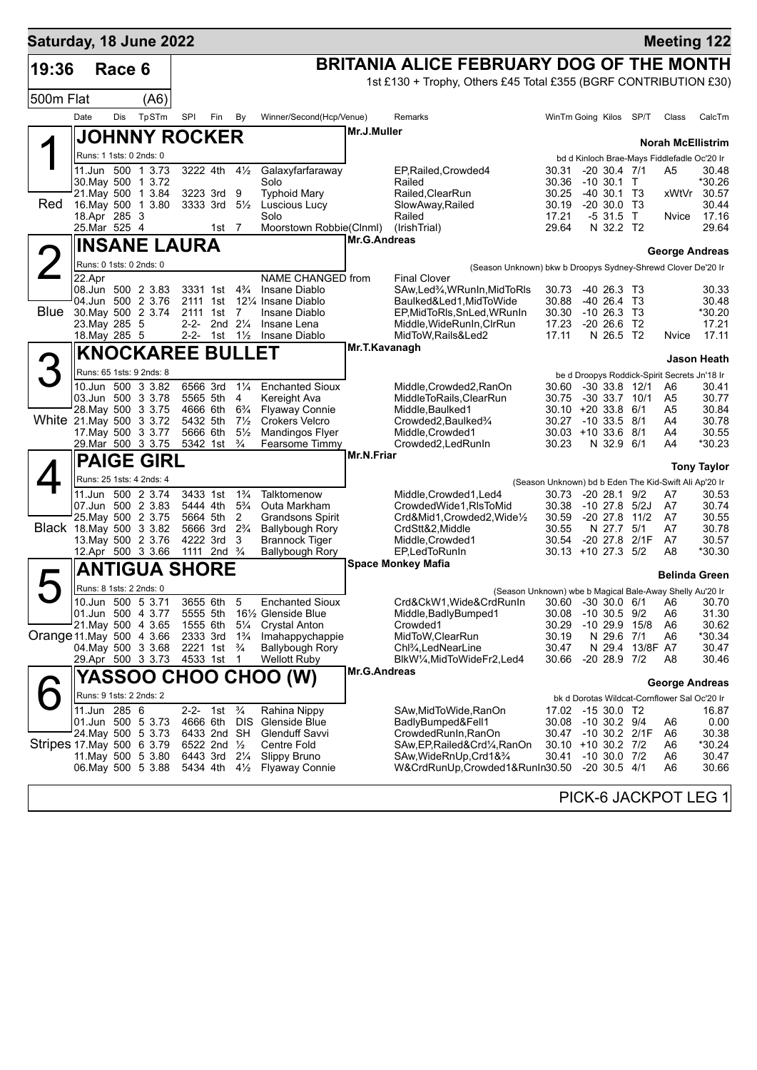| Saturday, 18 June 2022    |                              |        |                                          |                      |                                        |                                  |                                                               |                     |                                                                                                              |                                                       |                  |                                  |                                      |                                              | <b>Meeting 122</b>    |
|---------------------------|------------------------------|--------|------------------------------------------|----------------------|----------------------------------------|----------------------------------|---------------------------------------------------------------|---------------------|--------------------------------------------------------------------------------------------------------------|-------------------------------------------------------|------------------|----------------------------------|--------------------------------------|----------------------------------------------|-----------------------|
| 19:36                     |                              | Race 6 |                                          |                      |                                        |                                  |                                                               |                     | BRITANIA ALICE FEBRUARY DOG OF THE MONTH<br>1st £130 + Trophy, Others £45 Total £355 (BGRF CONTRIBUTION £30) |                                                       |                  |                                  |                                      |                                              |                       |
| 500m Flat                 |                              |        | (A6)                                     |                      |                                        |                                  |                                                               |                     |                                                                                                              |                                                       |                  |                                  |                                      |                                              |                       |
|                           | Date                         | Dis    | TpSTm                                    | SPI                  | Fin                                    | By                               | Winner/Second(Hcp/Venue)                                      |                     | Remarks                                                                                                      | WinTm Going Kilos                                     |                  |                                  | SP/T                                 | Class                                        | CalcTm                |
|                           |                              |        | <b>JOHNNY ROCKER</b>                     |                      |                                        |                                  |                                                               | Mr.J.Muller         |                                                                                                              |                                                       |                  |                                  |                                      | <b>Norah McEllistrim</b>                     |                       |
|                           |                              |        | Runs: 1 1sts: 0 2nds: 0                  |                      |                                        |                                  |                                                               |                     |                                                                                                              |                                                       |                  |                                  |                                      | bd d Kinloch Brae-Mays Fiddlefadle Oc'20 Ir  |                       |
|                           |                              |        | 11.Jun 500 1 3.73                        |                      | 3222 4th 41/2                          |                                  | Galaxyfarfaraway                                              |                     | EP, Railed, Crowded4                                                                                         | 30.31                                                 |                  | $-20, 30.4, 7/1$                 |                                      | A5                                           | 30.48                 |
|                           |                              |        | 30. May 500 1 3.72<br>21. May 500 1 3.84 |                      | 3223 3rd 9                             |                                  | Solo<br><b>Typhoid Mary</b>                                   |                     | Railed<br>Railed, ClearRun                                                                                   | 30.36<br>30.25                                        |                  | $-10, 30.1$ T<br>$-40, 30.1, 73$ |                                      | xWtVr                                        | *30.26<br>30.57       |
| Red                       |                              |        | 16. May 500 1 3.80                       |                      | 3333 3rd $5\frac{1}{2}$                |                                  | Luscious Lucy                                                 |                     | SlowAway, Railed                                                                                             | 30.19                                                 |                  | $-20, 30.0, 73$                  |                                      |                                              | 30.44                 |
|                           | 18.Apr 285 3<br>25.Mar 525 4 |        |                                          |                      | 1st $7$                                |                                  | Solo<br>Moorstown Robbie(Clnml)                               |                     | Railed<br>(IrishTrial)                                                                                       | 17.21<br>29.64                                        |                  | $-531.5$ T<br>N 32.2 T2          |                                      | Nvice                                        | 17.16<br>29.64        |
|                           |                              |        | <b>INSANE LAURA</b>                      |                      |                                        |                                  |                                                               | <b>Mr.G.Andreas</b> |                                                                                                              |                                                       |                  |                                  |                                      |                                              |                       |
|                           |                              |        | Runs: 0 1sts: 0 2nds: 0                  |                      |                                        |                                  |                                                               |                     |                                                                                                              |                                                       |                  |                                  |                                      | George Andreas                               |                       |
|                           | 22.Apr                       |        |                                          |                      |                                        |                                  | NAME CHANGED from                                             |                     | (Season Unknown) bkw b Droopys Sydney-Shrewd Clover De'20 Ir<br><b>Final Clover</b>                          |                                                       |                  |                                  |                                      |                                              |                       |
|                           |                              |        | 08.Jun 500 2 3.83<br>04.Jun 500 2 3.76   |                      | 3331 1st $4\frac{3}{4}$                |                                  | Insane Diablo<br>12 <sup>1</sup> / <sub>4</sub> Insane Diablo |                     | SAw, Led <sup>3</sup> / <sub>4</sub> , WRunIn, MidToRIs                                                      | 30.73                                                 |                  | -40 26.3 T3<br>$-40, 26.4$       | - T3                                 |                                              | 30.33                 |
| Blue                      |                              |        | 30. May 500 2 3.74                       | 2111 1st             | 2111 1st 7                             |                                  | Insane Diablo                                                 |                     | Baulked&Led1, MidToWide<br>EP, MidToRIs, SnLed, WRunIn                                                       | 30.88<br>30.30                                        |                  | $-10, 26.3$ T3                   |                                      |                                              | 30.48<br>*30.20       |
|                           | 23. May 285 5                |        |                                          | $2 - 2 -$            |                                        | 2nd $2\frac{1}{4}$               | Insane Lena                                                   |                     | Middle, WideRunIn, CIrRun                                                                                    | 17.23                                                 | $-20, 26.6$      |                                  | T <sub>2</sub>                       |                                              | 17.21                 |
|                           | 18. May 285 5                |        |                                          |                      | 2-2- 1st $1\frac{1}{2}$                |                                  | Insane Diablo                                                 | Mr.T.Kavanagh       | MidToW, Rails&Led2                                                                                           | 17.11                                                 |                  | N 26.5 T2                        |                                      | Nvice                                        | 17.11                 |
| З                         |                              |        | <b>KNOCKAREE BULLET</b>                  |                      |                                        |                                  |                                                               |                     |                                                                                                              |                                                       |                  |                                  |                                      |                                              | Jason Heath           |
|                           |                              |        | Runs: 65 1sts: 9 2nds: 8                 | 6566 3rd             |                                        | $1\frac{1}{4}$                   | <b>Enchanted Sioux</b>                                        |                     |                                                                                                              |                                                       |                  |                                  |                                      | be d Droopys Roddick-Spirit Secrets Jn'18 Ir |                       |
|                           |                              |        | 10.Jun 500 3 3.82<br>03.Jun 500 3 3.78   |                      | 5565 5th                               | -4                               | Kereight Ava                                                  |                     | Middle, Crowded 2, RanOn<br>MiddleToRails, ClearRun                                                          | 30.60<br>30.75                                        |                  |                                  | $-30$ 33.8 12/1<br>$-30$ 33.7 $10/1$ | A6<br>A5                                     | 30.41<br>30.77        |
|                           |                              |        | 28. May 500 3 3.75                       | 4666 6th             |                                        | $6\frac{3}{4}$                   | <b>Flyaway Connie</b>                                         |                     | Middle, Baulked1                                                                                             | $30.10 + 2033.86/1$                                   |                  |                                  |                                      | A5                                           | 30.84                 |
| White 21.May 500 3 3.72   |                              |        | 17. May 500 3 3.77                       | 5432 5th<br>5666 6th |                                        | $7\frac{1}{2}$<br>$5\frac{1}{2}$ | <b>Crokers Velcro</b><br>Mandingos Flyer                      |                     | Crowded2, Baulked3/4<br>Middle, Crowded1                                                                     | 30.27<br>$30.03 + 10.33.6$ 8/1                        | $-10$ 33.5 8/1   |                                  |                                      | A4<br>A4                                     | 30.78<br>30.55        |
|                           |                              |        | 29. Mar 500 3 3.75                       |                      | 5342 1st                               | $\frac{3}{4}$                    | Fearsome Timmy                                                |                     | Crowded2, LedRunIn                                                                                           | 30.23                                                 |                  | N 32.9 6/1                       |                                      | A4                                           | *30.23                |
|                           |                              |        | <b>PAIGE GIRL</b>                        |                      |                                        |                                  |                                                               | Mr.N.Friar          |                                                                                                              |                                                       |                  |                                  |                                      |                                              | <b>Tony Taylor</b>    |
|                           |                              |        | Runs: 25 1sts: 4 2nds: 4                 |                      |                                        |                                  |                                                               |                     |                                                                                                              | (Season Unknown) bd b Eden The Kid-Swift Ali Ap'20 Ir |                  |                                  |                                      |                                              |                       |
|                           |                              |        | 11.Jun 500 2 3.74                        | 3433 1st             |                                        | $1\frac{3}{4}$                   | Talktomenow                                                   |                     | Middle, Crowded1, Led4                                                                                       | 30.73                                                 |                  | $-20$ 28.1 $9/2$                 |                                      | A7                                           | 30.53                 |
|                           |                              |        | 07.Jun 500 2 3.83<br>25. May 500 2 3.75  | 5444 4th<br>5664 5th |                                        | $5\frac{3}{4}$<br>2              | Outa Markham<br><b>Grandsons Spirit</b>                       |                     | CrowdedWide1, RIsToMid<br>Crd&Mid1,Crowded2,Wide1/2                                                          | 30.38<br>30.59                                        | -10 27.8 5/2J    |                                  | -20 27.8 11/2                        | A7<br>A7                                     | 30.74<br>30.55        |
| Black 18. May 500 3 3.82  |                              |        |                                          |                      | 5666 3rd 2 <sup>3</sup> / <sub>4</sub> |                                  | <b>Ballybough Rory</b>                                        |                     | CrdStt&2, Middle                                                                                             | 30.55                                                 |                  | N 27.7                           | 5/1                                  | A7                                           | 30.78                 |
|                           |                              |        | 13. May 500 2 3.76                       |                      | 4222 3rd                               | 3                                | <b>Brannock Tiger</b>                                         |                     | Middle, Crowded1                                                                                             | 30.54                                                 |                  |                                  | -20 27.8 2/1F                        | A7                                           | 30.57                 |
|                           |                              |        | 12.Apr 500 3 3.66                        | 1111                 | 2nd $\frac{3}{4}$                      |                                  | <b>Ballybough Rory</b>                                        |                     | EP,LedToRunIn<br><b>Space Monkey Mafia</b>                                                                   | $30.13 + 1027.35$                                     |                  |                                  |                                      | A8                                           | *30.30                |
|                           |                              |        | <b>ANTIGUA SHORE</b>                     |                      |                                        |                                  |                                                               |                     |                                                                                                              |                                                       |                  |                                  |                                      |                                              | <b>Belinda Green</b>  |
|                           |                              |        | Runs: 8 1sts: 2 2nds: 0                  |                      |                                        |                                  |                                                               |                     | (Season Unknown) wbe b Magical Bale-Away Shelly Au'20 Ir                                                     |                                                       |                  |                                  |                                      |                                              |                       |
|                           |                              |        | 10.Jun 500 5 3.71<br>01.Jun 500 4 3.77   | 5555 5th             | 3655 6th 5                             |                                  | <b>Enchanted Sioux</b><br>161/ <sub>2</sub> Glenside Blue     |                     | Crd&CkW1, Wide&CrdRunIn 30.60 -30 30.0 6/1 A6 30.70<br>Middle, Badly Bumped 1                                | 30.08                                                 |                  | $-10, 30.5, 9/2$                 |                                      | A6                                           | 31.30                 |
|                           |                              |        | 21. May 500 4 3.65                       | 1555 6th             |                                        | $5\frac{1}{4}$                   | <b>Crystal Anton</b>                                          |                     | Crowded1                                                                                                     | 30.29                                                 |                  |                                  | $-10$ 29.9 $15/8$                    | A6                                           | 30.62                 |
| Orange 11 May 500 4 3.66  |                              |        |                                          | 2333 3rd             |                                        | $1\frac{3}{4}$                   | Imahappychappie                                               |                     | MidToW, ClearRun                                                                                             | 30.19                                                 |                  | N 29.6                           | 7/1                                  | A6                                           | *30.34                |
|                           |                              |        | 04. May 500 3 3.68<br>29.Apr 500 3 3.73  |                      | 2221 1st $\frac{3}{4}$<br>4533 1st     | -1                               | Ballybough Rory<br>Wellott Ruby                               |                     | Chl <sup>3</sup> ⁄ <sub>4</sub> ,LedNearLine<br>BlkW¼,MidToWideFr2,Led4                                      | 30.47<br>30.66                                        |                  | N 29.4<br>$-2028.97/2$           | 13/8F A7                             | A8                                           | 30.47<br>30.46        |
|                           |                              |        |                                          |                      |                                        |                                  | YASSOO CHOO CHOO (W)                                          | Mr.G.Andreas        |                                                                                                              |                                                       |                  |                                  |                                      |                                              |                       |
|                           |                              |        | Runs: 9 1sts: 2 2nds: 2                  |                      |                                        |                                  |                                                               |                     |                                                                                                              |                                                       |                  |                                  |                                      | bk d Dorotas Wildcat-Cornflower Sal Oc'20 Ir | <b>George Andreas</b> |
|                           | 11.Jun 285 6                 |        |                                          | $2 - 2 -$            | 1st                                    | $\frac{3}{4}$                    | Rahina Nippy                                                  |                     | SAw, Mid To Wide, RanOn                                                                                      | 17.02 -15 30.0 T2                                     |                  |                                  |                                      |                                              | 16.87                 |
|                           |                              |        | 01.Jun 500 5 3.73                        |                      | 4666 6th DIS                           |                                  | Glenside Blue                                                 |                     | BadlyBumped&Fell1                                                                                            | 30.08                                                 | $-10$ 30.2 $9/4$ |                                  |                                      | A6                                           | 0.00                  |
| Stripes 17 May 500 6 3.79 |                              |        | 24. May 500 5 3.73                       |                      | 6433 2nd SH<br>6522 2nd $\frac{1}{2}$  |                                  | <b>Glenduff Savvi</b><br>Centre Fold                          |                     | CrowdedRunIn, RanOn<br>SAw, EP, Railed& Crd 1/4, RanOn                                                       | 30.47 -10 30.2 2/1F<br>30.10 +10 30.2 7/2             |                  |                                  |                                      | A6<br>A6                                     | 30.38<br>*30.24       |
|                           |                              |        | 11 May 500 5 3.80                        |                      | 6443 3rd 21/4                          |                                  | <b>Slippy Bruno</b>                                           |                     | SAw,WideRnUp,Crd1&3⁄4                                                                                        | 30.41                                                 |                  | $-10,30.0,7/2$                   |                                      | A6                                           | 30.47                 |
|                           |                              |        | 06. May 500 5 3.88                       |                      | 5434 4th 41/ <sub>2</sub>              |                                  | <b>Flyaway Connie</b>                                         |                     | W&CrdRunUp,Crowded1&RunIn30.50                                                                               |                                                       |                  | $-20, 30.5, 4/1$                 |                                      | A6                                           | 30.66                 |
|                           |                              |        |                                          |                      |                                        |                                  |                                                               |                     |                                                                                                              |                                                       |                  |                                  |                                      |                                              |                       |

PICK-6 JACKPOT LEG 1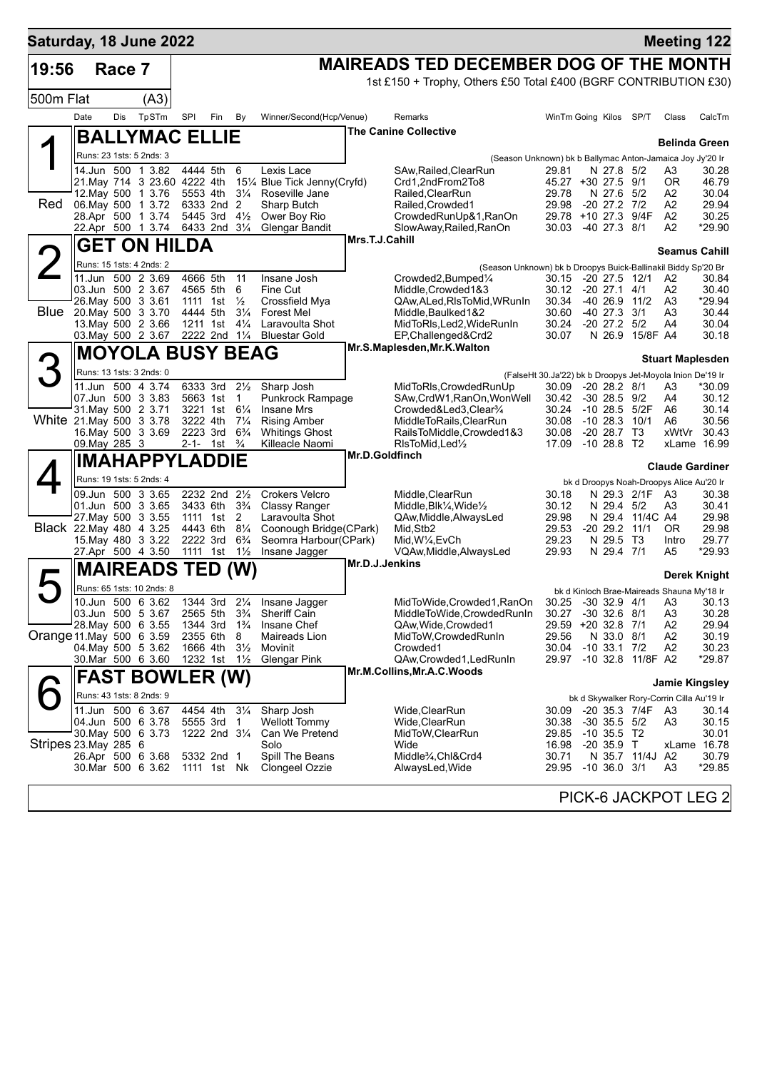| Saturday, 18 June 2022   |               |        |                                                    |          |                                                                  |                                |                                                     |                |                                                                       |                                                           |                                            |                 |      |                         | <b>Meeting 122</b> |
|--------------------------|---------------|--------|----------------------------------------------------|----------|------------------------------------------------------------------|--------------------------------|-----------------------------------------------------|----------------|-----------------------------------------------------------------------|-----------------------------------------------------------|--------------------------------------------|-----------------|------|-------------------------|--------------------|
| 19:56                    |               | Race 7 |                                                    |          |                                                                  |                                |                                                     |                | <b>MAIREADS TED DECEMBER DOG OF THE MONTH</b>                         |                                                           |                                            |                 |      |                         |                    |
|                          |               |        |                                                    |          |                                                                  |                                |                                                     |                | 1st £150 + Trophy, Others £50 Total £400 (BGRF CONTRIBUTION £30)      |                                                           |                                            |                 |      |                         |                    |
| 500m Flat                |               |        | (A3)                                               |          |                                                                  |                                |                                                     |                |                                                                       |                                                           |                                            |                 |      |                         |                    |
|                          | Date          | Dis    | TpSTm                                              | SPI      | Fin                                                              | By                             | Winner/Second(Hcp/Venue)                            |                | Remarks                                                               |                                                           | WinTm Going Kilos                          | SP/T            |      | Class                   | CalcTm             |
|                          |               |        | <b>BALLYMAC ELLIE</b>                              |          |                                                                  |                                |                                                     |                | <b>The Canine Collective</b>                                          |                                                           |                                            |                 |      | <b>Belinda Green</b>    |                    |
|                          |               |        | Runs: 23 1sts: 5 2nds: 3                           |          |                                                                  |                                |                                                     |                | (Season Unknown) bk b Ballymac Anton-Jamaica Joy Jy'20 Ir             |                                                           |                                            |                 |      |                         |                    |
|                          |               |        | 14.Jun 500 1 3.82                                  |          | 4444 5th                                                         | 6                              | Lexis Lace                                          |                | SAw, Railed, Clear Run                                                | 29.81                                                     |                                            | N 27.8 5/2      |      | A3                      | 30.28              |
|                          |               |        | 21. May 714 3 23.60 4222 4th<br>12. May 500 1 3.76 | 5553 4th |                                                                  |                                | 151⁄4 Blue Tick Jenny(Cryfd)<br>31/4 Roseville Jane |                | Crd1,2ndFrom2To8<br>Railed, ClearRun                                  | 29.78                                                     | 45.27 +30 27.5 9/1                         | N 27.6 5/2      |      | ΟR<br>А2                | 46.79<br>30.04     |
| Red                      |               |        | 06. May 500 1 3.72                                 |          | 6333 2nd 2                                                       |                                | Sharp Butch                                         |                | Railed, Crowded1                                                      | 29.98                                                     | -20 27.2 7/2                               |                 |      | А2                      | 29.94              |
|                          |               |        | 28.Apr 500 1 3.74                                  |          | 5445 3rd                                                         | $4\frac{1}{2}$                 | Ower Boy Rio                                        |                | CrowdedRunUp&1,RanOn                                                  |                                                           | 29.78 +10 27.3                             |                 | 9/4F | A2                      | 30.25              |
|                          |               |        | 22.Apr 500 1 3.74                                  |          | 6433 2nd 31/4                                                    |                                | Glengar Bandit                                      | Mrs.T.J.Cahill | SlowAway, Railed, RanOn                                               |                                                           | 30.03 -40 27.3 8/1                         |                 |      | A2                      | *29.90             |
|                          |               |        | <b>GET ON HILDA</b>                                |          |                                                                  |                                |                                                     |                |                                                                       |                                                           |                                            |                 |      | <b>Seamus Cahill</b>    |                    |
| $\angle$                 |               |        | Runs: 15 1sts: 4 2nds: 2                           |          |                                                                  |                                |                                                     |                | (Season Unknown) bk b Droopys Buick-Ballinakil Biddy Sp'20 Br         |                                                           |                                            |                 |      |                         |                    |
|                          |               |        | 11.Jun 500 2 3.69<br>03.Jun 500 2 3.67             | 4666 5th | 4565 5th                                                         | 11<br>6                        | Insane Josh<br>Fine Cut                             |                | Crowded2,Bumped1/4<br>Middle, Crowded 1&3                             | 30.12                                                     | 30.15 -20 27.5 12/1<br>-20 27.1            | 4/1             |      | A2<br>A2                | 30.84<br>30.40     |
|                          |               |        | 26. May 500 3 3.61                                 |          | 1111 1st                                                         | $\frac{1}{2}$                  | Crossfield Mya                                      |                | QAw, ALed, RIsToMid, WRunIn                                           | 30.34                                                     | $-40$ 26.9 $11/2$                          |                 |      | A3                      | *29.94             |
| Blue                     |               |        | 20. May 500 3 3.70                                 | 4444 5th |                                                                  | $3\frac{1}{4}$                 | <b>Forest Mel</b>                                   |                | Middle, Baulked 1&2                                                   | 30.60                                                     | $-40$ 27.3 $3/1$                           |                 |      | A3                      | 30.44              |
|                          |               |        | 13. May 500 2 3.66                                 |          | 1211 1st<br>2222 2nd 11/4                                        | $4\frac{1}{4}$                 | Laravoulta Shot                                     |                | MidToRIs, Led2, WideRunIn                                             | 30.24                                                     | $-20$ 27.2 $5/2$                           | N 26.9 15/8F A4 |      | A4                      | 30.04              |
|                          |               |        | 03. May 500 2 3.67                                 |          |                                                                  |                                | <b>Bluestar Gold</b>                                |                | EP, Challenged&Crd2<br>Mr.S.Maplesden, Mr.K. Walton                   | 30.07                                                     |                                            |                 |      |                         | 30.18              |
| 3                        |               |        | <b>MOYOLA BUSY BEAG</b>                            |          |                                                                  |                                |                                                     |                |                                                                       |                                                           |                                            |                 |      | <b>Stuart Maplesden</b> |                    |
|                          |               |        | Runs: 13 1sts: 3 2nds: 0                           |          |                                                                  |                                |                                                     |                |                                                                       | (FalseHt 30.Ja'22) bk b Droopys Jet-Moyola Inion De'19 Ir |                                            |                 |      |                         |                    |
|                          |               |        | 11.Jun 500 4 3.74<br>07.Jun 500 3 3.83             |          | 6333 3rd<br>5663 1st                                             | $2\frac{1}{2}$<br>$\mathbf{1}$ | Sharp Josh<br>Punkrock Rampage                      |                | MidToRIs, Crowded RunUp<br>SAw, CrdW1, RanOn, WonWell                 | 30.09<br>30.42                                            | $-20$ 28.2 $8/1$<br>$-30$ 28.5 $9/2$       |                 |      | A3<br>A4                | *30.09<br>30.12    |
|                          |               |        | 31. May 500 2 3.71                                 |          | 3221 1st 61/4                                                    |                                | <b>Insane Mrs</b>                                   |                | Crowded&Led3,Clear <sup>3</sup> /4                                    | 30.24                                                     | -10 28.5 5/2F                              |                 |      | A6                      | 30.14              |
| White 21. May 500 3 3.78 |               |        |                                                    |          | 3222 4th 71/4                                                    |                                | <b>Rising Amber</b>                                 |                | MiddleToRails, ClearRun                                               | 30.08                                                     | -10 28.3                                   |                 | 10/1 | A6                      | 30.56              |
|                          | 09. May 285 3 |        | 16. May 500 3 3.69                                 |          | 2223 3rd 6 <sup>3</sup> / <sub>4</sub><br>2-1- 1st $\frac{3}{4}$ |                                | <b>Whitings Ghost</b><br>Killeacle Naomi            |                | RailsToMiddle,Crowded1&3<br>RIsToMid, Led <sup>1</sup> / <sub>2</sub> | 30.08<br>17.09                                            | $-20$ 28.7 T3<br>$-1028.8$ T2              |                 |      | xWtVr<br>xLame 16.99    | 30.43              |
|                          |               |        | <b>IMAHAPPYLADDIE</b>                              |          |                                                                  |                                |                                                     | Mr.D.Goldfinch |                                                                       |                                                           |                                            |                 |      |                         |                    |
|                          |               |        | Runs: 19 1sts: 5 2nds: 4                           |          |                                                                  |                                |                                                     |                |                                                                       |                                                           |                                            |                 |      | <b>Claude Gardiner</b>  |                    |
|                          |               |        | 09.Jun 500 3 3.65                                  |          | 2232 2nd 21/2                                                    |                                | <b>Crokers Velcro</b>                               |                | Middle, ClearRun                                                      | 30.18                                                     | bk d Droopys Noah-Droopys Alice Au'20 Ir   | N 29.3 2/1F     |      | - A3                    | 30.38              |
|                          |               |        | 01.Jun 500 3 3.65                                  |          | 3433 6th                                                         | $3\frac{3}{4}$                 | Classy Ranger                                       |                | Middle, Blk1/4, Wide1/2                                               | 30.12                                                     |                                            | N 29.4 5/2      |      | A3                      | 30.41              |
|                          |               |        | 27. May 500 3 3.55                                 |          | 1111 1st 2                                                       |                                | Laravoulta Shot                                     |                | QAw, Middle, Always Led                                               | 29.98                                                     |                                            | N 29.4 11/4C A4 |      |                         | 29.98              |
| Black 22. May 480 4 3.25 |               |        | 15. May 480 3 3.22                                 |          | 4443 6th 81/4<br>2222 3rd                                        | $6\frac{3}{4}$                 | Coonough Bridge(CPark)<br>Seomra Harbour(CPark)     |                | Mid, Stb2<br>Mid, W1/4, EvCh                                          | 29.53<br>29.23                                            | -20 29.2 11/1                              | N 29.5 T3       |      | OR.<br>Intro            | 29.98<br>29.77     |
|                          |               |        | 27.Apr 500 4 3.50                                  |          | 1111 1st 11/ <sub>2</sub>                                        |                                | Insane Jagger                                       |                | VQAw, Middle, AlwaysLed                                               | 29.93                                                     |                                            | N 29.4 7/1      |      | A5                      | *29.93             |
|                          |               |        | <b>MAIREADS TED (W)</b>                            |          |                                                                  |                                |                                                     | Mr.D.J.Jenkins |                                                                       |                                                           |                                            |                 |      |                         |                    |
| $\blacktriangleright$    |               |        | Runs: 65 1sts: 10 2nds: 8                          |          |                                                                  |                                |                                                     |                |                                                                       |                                                           |                                            |                 |      |                         | Derek Knight       |
|                          |               |        | 10.Jun 500 6 3.62                                  |          |                                                                  |                                | 1344 3rd 21/4 Insane Jagger                         |                | MidToWide.Crowded1.RanOn 30.25 -30 32.9 4/1 A3 30.13                  |                                                           | bk d Kinloch Brae-Maireads Shauna My'18 Ir |                 |      |                         |                    |
|                          |               |        | 03.Jun 500 5 3.67                                  |          | 2565 5th                                                         | $3\frac{3}{4}$                 | Sheriff Cain                                        |                | MiddleToWide,CrowdedRunIn                                             | 30.27                                                     | $-30$ 32.6 $8/1$                           |                 |      | A <sub>3</sub>          | 30.28              |
| Orange 11 May 500 6 3.59 |               |        | 28. May 500 6 3.55                                 | 2355 6th | 1344 3rd                                                         | $1\frac{3}{4}$<br>8            | Insane Chef                                         |                | QAw, Wide, Crowded1<br>MidToW, Crowded RunIn                          | 29.56                                                     | 29.59 +20 32.8 7/1                         | N 33.0 8/1      |      | A2<br>A2                | 29.94<br>30.19     |
|                          |               |        | 04. May 500 5 3.62                                 |          | 1666 4th                                                         | $3\frac{1}{2}$                 | Maireads Lion<br>Movinit                            |                | Crowded1                                                              | 30.04                                                     | $-10$ 33.1 $7/2$                           |                 |      | A2                      | 30.23              |
|                          |               |        | 30 Mar 500 6 3.60                                  |          | 1232 1st                                                         | $1\frac{1}{2}$                 | Glengar Pink                                        |                | QAw,Crowded1,LedRunIn                                                 | 29.97                                                     | -10 32.8 11/8F A2                          |                 |      |                         | *29.87             |
|                          |               |        | <b>FAST BOWLER (W)</b>                             |          |                                                                  |                                |                                                     |                | Mr.M.Collins, Mr.A.C. Woods                                           |                                                           |                                            |                 |      | <b>Jamie Kingsley</b>   |                    |
|                          |               |        | Runs: 43 1sts: 8 2nds: 9                           |          |                                                                  |                                |                                                     |                |                                                                       |                                                           | bk d Skywalker Rory-Corrin Cilla Au'19 Ir  |                 |      |                         |                    |
|                          |               |        | 11.Jun 500 6 3.67                                  |          | 4454 4th                                                         | $3\frac{1}{4}$                 | Sharp Josh                                          |                | Wide, ClearRun                                                        | 30.09                                                     | -20 35.3 7/4F                              |                 |      | A3                      | 30.14              |
|                          |               |        | 04.Jun 500 6 3.78                                  |          | 5555 3rd                                                         | $\overline{1}$                 | <b>Wellott Tommy</b>                                |                | Wide, Clear Run                                                       | 30.38                                                     | $-30$ 35.5 $5/2$                           |                 |      | A3                      | 30.15              |
|                          |               |        | 30 May 500 6 3.73                                  |          | 1222 2nd 31/4                                                    |                                | Can We Pretend                                      |                | MidToW,ClearRun                                                       | 29.85                                                     | $-10$ 35.5 T2                              |                 |      |                         | 30.01              |
| Stripes 23. May 285 6    |               |        | 26.Apr 500 6 3.68                                  |          | 5332 2nd 1                                                       |                                | Solo<br>Spill The Beans                             |                | Wide<br>Middle <sup>3</sup> / <sub>4</sub> , Chl&Crd4                 | 16.98<br>30.71                                            | -20 35.9 T                                 | N 35.7 11/4J A2 |      | xLame 16.78             | 30.79              |
|                          |               |        | 30.Mar 500 6 3.62                                  |          | 1111 1st Nk                                                      |                                | Clongeel Ozzie                                      |                | AlwaysLed, Wide                                                       | 29.95                                                     | $-10, 36.0, 3/1$                           |                 |      | A3                      | *29.85             |
|                          |               |        |                                                    |          |                                                                  |                                |                                                     |                |                                                                       |                                                           |                                            |                 |      |                         |                    |
|                          |               |        |                                                    |          |                                                                  |                                |                                                     |                |                                                                       |                                                           | PICK-6 JACKPOT LEG 2                       |                 |      |                         |                    |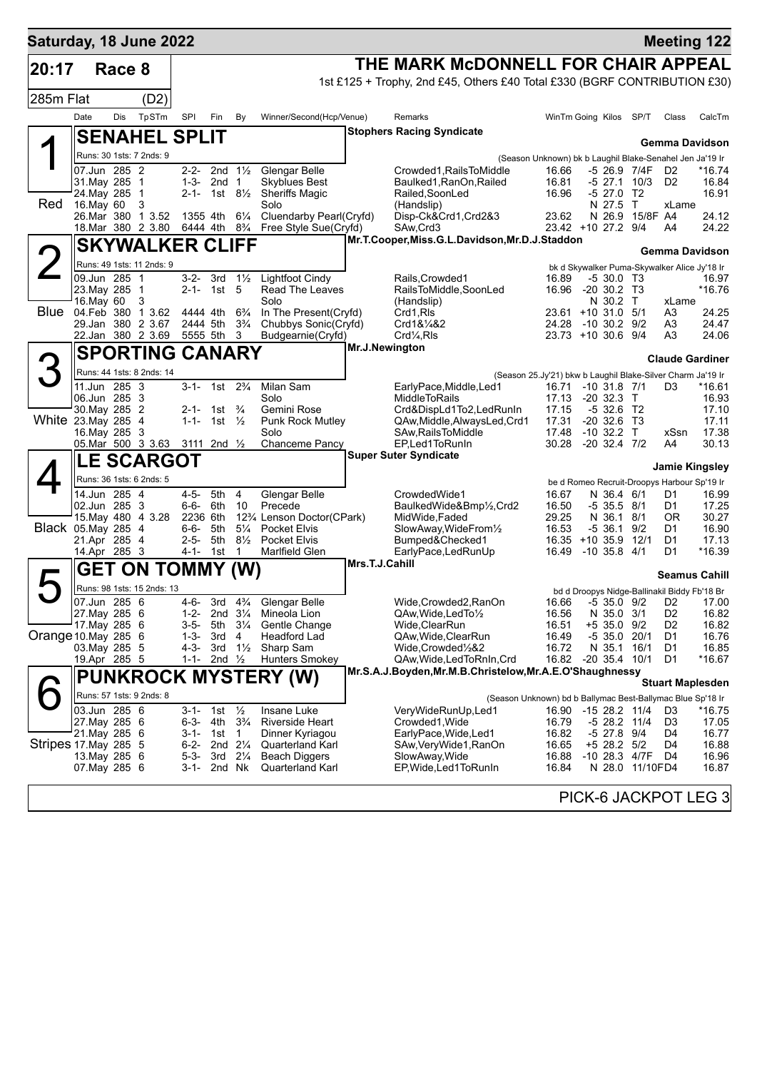| Saturday, 18 June 2022 |                               |        |                                        |                   |                                                  |                     |                                                                                                            |                                                                                      |                                                          |                                            |                    |                                                   | <b>Meeting 122</b>                  |
|------------------------|-------------------------------|--------|----------------------------------------|-------------------|--------------------------------------------------|---------------------|------------------------------------------------------------------------------------------------------------|--------------------------------------------------------------------------------------|----------------------------------------------------------|--------------------------------------------|--------------------|---------------------------------------------------|-------------------------------------|
| 20:17                  |                               | Race 8 |                                        |                   |                                                  |                     |                                                                                                            | THE MARK McDONNELL FOR CHAIR APPEAL                                                  |                                                          |                                            |                    |                                                   |                                     |
|                        |                               |        |                                        |                   |                                                  |                     |                                                                                                            | 1st £125 + Trophy, 2nd £45, Others £40 Total £330 (BGRF CONTRIBUTION £30)            |                                                          |                                            |                    |                                                   |                                     |
| 285m Flat              |                               |        | (D2)                                   |                   |                                                  |                     |                                                                                                            |                                                                                      |                                                          |                                            |                    |                                                   |                                     |
|                        | Date                          | Dis    | TpSTm                                  | SPI               | Fin                                              | By                  | Winner/Second(Hcp/Venue)                                                                                   | Remarks                                                                              | WinTm Going Kilos SP/T                                   |                                            |                    | Class                                             | CalcTm                              |
|                        |                               |        | <b>SENAHEL SPLIT</b>                   |                   |                                                  |                     |                                                                                                            | <b>Stophers Racing Syndicate</b>                                                     |                                                          |                                            |                    |                                                   | <b>Gemma Davidson</b>               |
|                        |                               |        | Runs: 30 1sts: 7 2nds: 9               |                   |                                                  |                     |                                                                                                            |                                                                                      | (Season Unknown) bk b Laughil Blake-Senahel Jen Ja'19 Ir |                                            |                    |                                                   |                                     |
|                        | 07.Jun 285 2                  |        |                                        |                   | 2-2- 2nd $1\frac{1}{2}$                          |                     | Glengar Belle                                                                                              | Crowded1.RailsToMiddle                                                               | 16.66                                                    |                                            | -5 26.9 7/4F       | D2                                                | $*16.74$                            |
|                        | 31.Mav 285 1<br>24. May 285   |        | -1                                     | 1-3-              | 2nd 1<br>2-1- 1st $8\frac{1}{2}$                 |                     | <b>Skyblues Best</b><br><b>Sheriffs Magic</b>                                                              | Baulked1, RanOn, Railed<br>Railed, SoonLed                                           | 16.81<br>16.96                                           | -5 27.0                                    | -5 27.1 10/3<br>T2 | D <sub>2</sub>                                    | 16.84<br>16.91                      |
| Red                    | 16.May 60                     |        | 3                                      |                   |                                                  |                     | Solo                                                                                                       | (Handslip)                                                                           |                                                          | N 27.5 T                                   |                    | xLame                                             |                                     |
|                        |                               |        | 26.Mar 380 1 3.52                      | 1355 4th          |                                                  | $6\frac{1}{4}$      | Cluendarby Pearl(Cryfd)<br>18. Mar 380 2 3.80 6444 4th 8 <sup>3</sup> / <sub>4</sub> Free Style Sue(Cryfd) | Disp-Ck&Crd1,Crd2&3<br>SAw, Crd3                                                     | 23.62<br>23.42 +10 27.2 9/4                              | N 26.9                                     | 15/8F A4           | A4                                                | 24.12<br>24.22                      |
|                        |                               |        | <b>SKYWALKER CLIFF</b>                 |                   |                                                  |                     |                                                                                                            | Mr.T.Cooper, Miss.G.L.Davidson, Mr.D.J.Staddon                                       |                                                          |                                            |                    |                                                   |                                     |
|                        |                               |        | Runs: 49 1sts: 11 2nds: 9              |                   |                                                  |                     |                                                                                                            |                                                                                      |                                                          |                                            |                    | bk d Skywalker Puma-Skywalker Alice Jy'18 Ir      | <b>Gemma Davidson</b>               |
|                        | 09.Jun 285 1                  |        |                                        | 3-2-              | 3rd $1\frac{1}{2}$                               |                     | <b>Lightfoot Cindy</b>                                                                                     | Rails, Crowded1                                                                      | 16.89                                                    | $-530.0$ T <sub>3</sub>                    |                    |                                                   | 16.97                               |
|                        | 23. May 285 1<br>16. May 60   |        | 3                                      |                   | 2-1- 1st                                         | 5                   | Read The Leaves<br>Solo                                                                                    | RailsToMiddle,SoonLed<br>(Handslip)                                                  | 16.96                                                    | $-20$ 30.2 T3<br>N 30.2 T                  |                    | xLame                                             | $*16.76$                            |
| <b>Blue</b>            | 04.Feb 380                    |        | 1 3.62                                 | 4444 4th          |                                                  | $6\frac{3}{4}$      | In The Present(Cryfd)                                                                                      | Crd1,RIs                                                                             | 23.61 +10 31.0 5/1                                       |                                            |                    | A3                                                | 24.25                               |
|                        |                               |        | 29.Jan 380 2 3.67<br>22.Jan 380 2 3.69 | 2444 5th          | 5555 5th                                         | $3\frac{3}{4}$<br>3 | Chubbys Sonic(Cryfd)<br>Budgearnie(Cryfd)                                                                  | Crd1&1/4&2<br>Crd <sub>4</sub> ,Rls                                                  | 24.28<br>23.73 +10 30.6 9/4                              | $-10$ 30.2 $9/2$                           |                    | A3<br>A3                                          | 24.47<br>24.06                      |
|                        |                               |        | <b>SPORTING CANARY</b>                 |                   |                                                  |                     |                                                                                                            | <b>Mr.J.Newington</b>                                                                |                                                          |                                            |                    |                                                   |                                     |
| З                      |                               |        | Runs: 44 1sts: 8 2nds: 14              |                   |                                                  |                     |                                                                                                            |                                                                                      |                                                          |                                            |                    |                                                   | <b>Claude Gardiner</b>              |
|                        | 11.Jun 285 3                  |        |                                        |                   | $3-1$ - 1st $2\frac{3}{4}$                       |                     | Milan Sam                                                                                                  | (Season 25.Jy'21) bkw b Laughil Blake-Silver Charm Ja'19 Ir<br>EarlyPace,Middle,Led1 | 16.71                                                    | $-10$ 31.8 $7/1$                           |                    | D3                                                | *16.61                              |
|                        | 06.Jun 285 3                  |        |                                        |                   |                                                  |                     | Solo                                                                                                       | <b>MiddleToRails</b>                                                                 | 17.13                                                    | $-2032.3$ T                                |                    |                                                   | 16.93                               |
| White 23. May 285 4    | 30. May 285 2                 |        |                                        |                   | 2-1- 1st $\frac{3}{4}$<br>1-1- 1st $\frac{1}{2}$ |                     | Gemini Rose<br><b>Punk Rock Mutley</b>                                                                     | Crd&DispLd1To2,LedRunIn<br>QAw, Middle, Always Led, Crd1                             | 17.15<br>17.31                                           | $-532.6$ T <sub>2</sub><br>$-20, 32.6, 13$ |                    |                                                   | 17.10<br>17.11                      |
|                        | 16. May 285 3                 |        |                                        |                   |                                                  |                     | Solo                                                                                                       | SAw, Rails To Middle                                                                 | 17.48                                                    | $-10$ 32.2 T                               |                    | xSsn                                              | 17.38                               |
|                        |                               |        | 05. Mar 500 3 3 63 3111 2nd 1/2        |                   |                                                  |                     | Chanceme Pancy                                                                                             | EP, Led 1 To Run In<br><b>Super Suter Syndicate</b>                                  | 30.28                                                    | $-20$ 32.4 $7/2$                           |                    | A4                                                | 30.13                               |
|                        |                               |        | <b>LE SCARGOT</b>                      |                   |                                                  |                     |                                                                                                            |                                                                                      |                                                          |                                            |                    |                                                   | Jamie Kingsley                      |
|                        | 14.Jun 285 4                  |        | Runs: 36 1sts: 6 2nds: 5               | $4 - 5 -$         | 5th                                              | $\overline{4}$      | Glengar Belle                                                                                              | CrowdedWide1                                                                         | 16.67                                                    | N 36.4 6/1                                 |                    | be d Romeo Recruit-Droopys Harbour Sp'19 Ir<br>D1 | 16.99                               |
|                        | 02.Jun 285 3                  |        |                                        | 6-6-              | 6th                                              | 10                  | Precede                                                                                                    | BaulkedWide&Bmp1/2,Crd2                                                              | 16.50                                                    | $-5$ 35.5 8/1                              |                    | D1                                                | 17.25                               |
| Black 05. May 285 4    |                               |        | 15. May 480 4 3.28                     | 2236 6th<br>6-6-  | 5th                                              | $5\frac{1}{4}$      | 12 <sup>3</sup> / <sub>4</sub> Lenson Doctor(CPark)<br><b>Pocket Elvis</b>                                 | MidWide, Faded<br>SlowAway, WideFrom <sup>1/2</sup>                                  | 29.25<br>16.53                                           | N 36.1 8/1<br>$-5,36.1$                    | 9/2                | ΟR<br>D1                                          | 30.27<br>16.90                      |
|                        | 21.Apr 285 4                  |        |                                        | $2 - 5 -$         | 5th                                              | $8\frac{1}{2}$      | <b>Pocket Elvis</b>                                                                                        | Bumped&Checked1                                                                      | 16.35 +10 35.9 12/1                                      |                                            |                    | D1                                                | 17.13                               |
|                        | 14.Apr 285 3                  |        |                                        | 4-1-              | 1st                                              | $\mathbf 1$         | Marlfield Glen                                                                                             | EarlyPace,LedRunUp<br>Mrs.T.J.Cahill                                                 | 16.49                                                    | $-10$ 35.8 $4/1$                           |                    | D1                                                | *16.39                              |
|                        |                               |        | <b>GET ON TOMMY (W)</b>                |                   |                                                  |                     |                                                                                                            |                                                                                      |                                                          |                                            |                    |                                                   | <b>Seamus Cahill</b>                |
|                        |                               |        | Runs: 98 1sts: 15 2nds: 13             |                   |                                                  |                     |                                                                                                            |                                                                                      |                                                          |                                            |                    | bd d Droopys Nidge-Ballinakil Biddy Fb'18 Br      |                                     |
|                        | 07.Jun 285 6<br>27. May 285 6 |        |                                        | $4 - 6 -$<br>1-2- | 3rd<br>2nd $3\frac{1}{4}$                        | $4\frac{3}{4}$      | Glengar Belle<br>Mineola Lion                                                                              | Wide, Crowded 2, RanOn<br>QAw, Wide, Led To 1/2                                      | 16.56                                                    | N 35.0 3/1                                 |                    | D <sub>2</sub>                                    | 16.66 -5 35.0 9/2 D2 17.00<br>16.82 |
|                        | 17. May 285 6                 |        |                                        | 3-5-              | 5th                                              | $3\frac{1}{4}$      | Gentle Change                                                                                              | Wide,ClearRun                                                                        | 16.51                                                    | $+5$ 35.0 9/2                              |                    | D <sub>2</sub>                                    | 16.82                               |
| Orange 10.May 285 6    | 03. May 285 5                 |        |                                        | $1 - 3 -$<br>4-3- | 3rd<br>3rd                                       | 4<br>$1\frac{1}{2}$ | Headford Lad<br>Sharp Sam                                                                                  | QAw, Wide, ClearRun<br>Wide,Crowded½&2                                               | 16.49<br>16.72                                           | -5 35.0 20/1<br>N 35.1 16/1                |                    | D1<br>D1                                          | 16.76<br>16.85                      |
|                        | 19.Apr 285 5                  |        |                                        | $1 - 1 -$         | 2nd $\frac{1}{2}$                                |                     | <b>Hunters Smokey</b>                                                                                      | QAw,Wide,LedToRnIn,Crd                                                               | 16.82                                                    |                                            | $-20$ 35.4 10/1    | D1                                                | $*16.67$                            |
|                        |                               |        |                                        |                   |                                                  |                     | <b>PUNKROCK MYSTERY (W)</b>                                                                                | Mr.S.A.J.Boyden, Mr.M.B.Christelow, Mr.A.E.O'Shaughnessy                             |                                                          |                                            |                    |                                                   | <b>Stuart Maplesden</b>             |
|                        |                               |        | Runs: 57 1sts: 9 2nds: 8               |                   |                                                  |                     |                                                                                                            | (Season Unknown) bd b Ballymac Best-Ballymac Blue Sp'18 Ir                           |                                                          |                                            |                    |                                                   |                                     |
|                        | 03.Jun 285 6<br>27. May 285 6 |        |                                        | 6-3-              | 3-1- 1st $\frac{1}{2}$<br>4th                    | $3\frac{3}{4}$      | Insane Luke<br>Riverside Heart                                                                             | VeryWideRunUp,Led1<br>Crowded1, Wide                                                 | 16.90 -15 28.2 11/4<br>16.79                             | -5 28.2 11/4                               |                    | D3<br>D <sub>3</sub>                              | *16.75<br>17.05                     |
|                        | 21. May 285 6                 |        |                                        |                   | 3-1- 1st 1                                       |                     | Dinner Kyriagou                                                                                            | EarlyPace, Wide, Led1                                                                | 16.82                                                    | -5 27.8 9/4                                |                    | D4                                                | 16.77                               |
| Stripes 17 May 285 5   | 13. May 285 6                 |        |                                        | 6-2-<br>5-3-      | 2nd $2\frac{1}{4}$<br>3rd $2\frac{1}{4}$         |                     | Quarterland Karl<br><b>Beach Diggers</b>                                                                   | SAw,VeryWide1,RanOn<br>SlowAway, Wide                                                | 16.65<br>16.88                                           | +5 28.2 5/2                                | $-10$ 28.3 $4/7F$  | D4<br>D4                                          | 16.88<br>16.96                      |
|                        | 07. May 285 6                 |        |                                        | 3-1-              | 2nd Nk                                           |                     | <b>Quarterland Karl</b>                                                                                    | EP, Wide, Led 1 To Run In                                                            | 16.84                                                    |                                            | N 28.0 11/10FD4    |                                                   | 16.87                               |
|                        |                               |        |                                        |                   |                                                  |                     |                                                                                                            |                                                                                      |                                                          |                                            |                    |                                                   |                                     |
|                        |                               |        |                                        |                   |                                                  |                     |                                                                                                            |                                                                                      |                                                          |                                            |                    |                                                   | PICK-6 JACKPOT LEG 3                |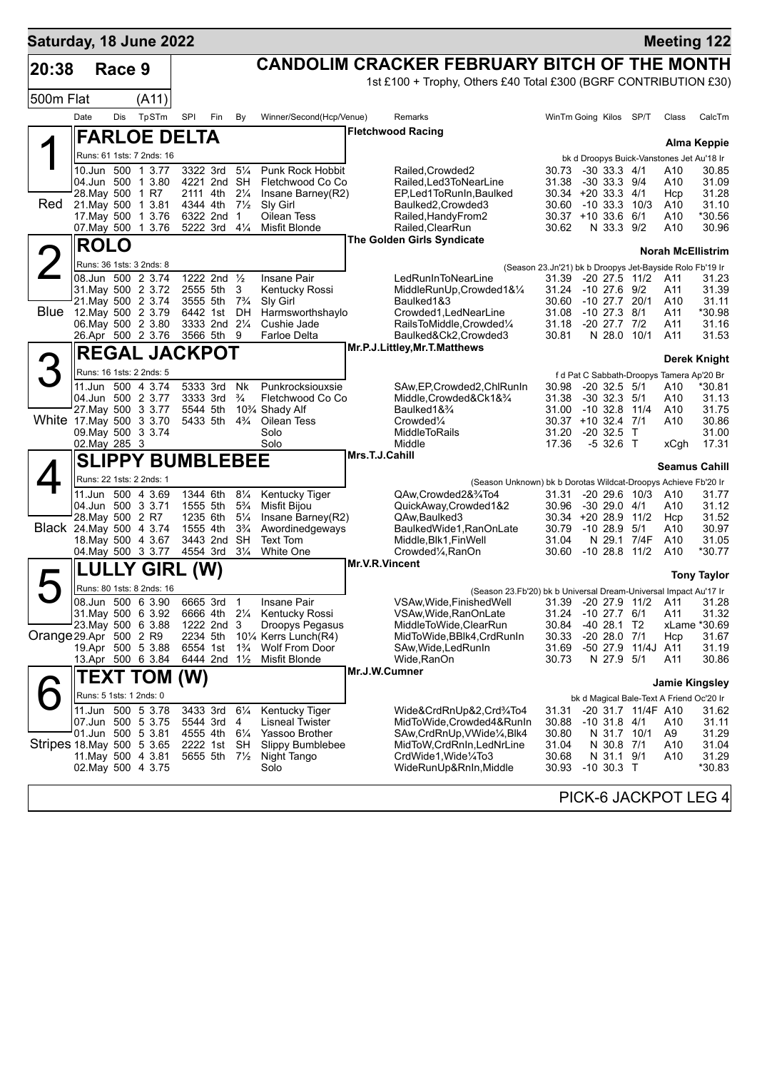| Saturday, 18 June 2022     |                  |        |                                          |          |                                        |                                  |                                                         |                                                                                               |                                                          |                                     |                                  |                                                  | <b>Meeting 122</b>       |
|----------------------------|------------------|--------|------------------------------------------|----------|----------------------------------------|----------------------------------|---------------------------------------------------------|-----------------------------------------------------------------------------------------------|----------------------------------------------------------|-------------------------------------|----------------------------------|--------------------------------------------------|--------------------------|
| 20:38                      |                  | Race 9 |                                          |          |                                        |                                  |                                                         | CANDOLIM CRACKER FEBRUARY BITCH OF THE MONTH                                                  |                                                          |                                     |                                  |                                                  |                          |
|                            |                  |        |                                          |          |                                        |                                  |                                                         | 1st £100 + Trophy, Others £40 Total £300 (BGRF CONTRIBUTION £30)                              |                                                          |                                     |                                  |                                                  |                          |
| 500m Flat                  |                  |        | (A11)                                    |          |                                        |                                  |                                                         |                                                                                               |                                                          |                                     |                                  |                                                  |                          |
|                            | Date             | Dis    | TpSTm                                    | SPI      | Fin                                    | By                               | Winner/Second(Hcp/Venue)                                | Remarks                                                                                       | WinTm Going Kilos SP/T                                   |                                     |                                  | Class                                            | CalcTm                   |
|                            |                  |        | <b>FARLOE DELTA</b>                      |          |                                        |                                  |                                                         | <b>Fletchwood Racing</b>                                                                      |                                                          |                                     |                                  |                                                  | <b>Alma Keppie</b>       |
|                            |                  |        | Runs: 61 1sts: 7 2nds: 16                |          |                                        |                                  |                                                         |                                                                                               |                                                          |                                     |                                  | bk d Droopys Buick-Vanstones Jet Au'18 Ir        |                          |
|                            |                  |        | 10.Jun 500 1 3.77                        |          | 3322 3rd                               | $5\frac{1}{4}$                   | <b>Punk Rock Hobbit</b>                                 | Railed.Crowded2                                                                               | 30.73                                                    | $-30$ 33.3 $4/1$                    |                                  | A10                                              | 30.85                    |
|                            | 28. May 500 1 R7 |        | 04.Jun 500 1 3.80                        |          | 4221 2nd SH<br>2111 4th                | $2\frac{1}{4}$                   | Fletchwood Co Co<br>Insane Barney(R2)                   | Railed.Led3ToNearLine<br>EP,Led1ToRunIn,Baulked                                               | 31.38<br>30.34 +20 33.3 4/1                              | $-30$ 33.3 $9/4$                    |                                  | A10<br>Hcp                                       | 31.09<br>31.28           |
| Red                        |                  |        | 21. May 500 1 3.81                       | 4344 4th |                                        | $7\frac{1}{2}$                   | Sly Girl                                                | Baulked2, Crowded3                                                                            | 30.60                                                    |                                     | $-10$ 33.3 $10/3$                | A10                                              | 31.10                    |
|                            |                  |        | 17. May 500 1 3.76                       |          | 6322 2nd                               | $\overline{1}$                   | Oilean Tess                                             | Railed, Handy From 2                                                                          | $30.37 + 10.336$                                         |                                     | 6/1                              | A10                                              | *30.56                   |
|                            |                  |        | 07. May 500 1 3.76                       |          | 5222 3rd                               | $4\frac{1}{4}$                   | Misfit Blonde                                           | Railed, ClearRun<br>The Golden Girls Syndicate                                                | 30.62                                                    | N 33.3 9/2                          |                                  | A10                                              | 30.96                    |
|                            | <b>ROLO</b>      |        |                                          |          |                                        |                                  |                                                         |                                                                                               |                                                          |                                     |                                  |                                                  | <b>Norah McEllistrim</b> |
|                            |                  |        | Runs: 36 1sts: 3 2nds: 8                 |          |                                        |                                  |                                                         |                                                                                               | (Season 23.Jn'21) bk b Droopys Jet-Bayside Rolo Fb'19 Ir |                                     |                                  |                                                  |                          |
|                            |                  |        | 08.Jun 500 2 3.74<br>31. May 500 2 3.72  |          | 1222 2nd 1/2<br>2555 5th               | 3                                | Insane Pair<br>Kentucky Rossi                           | LedRunInToNearLine<br>MiddleRunUp, Crowded1&1/4                                               | 31.39<br>31.24                                           | -10 27.6 9/2                        | $-20$ 27.5 11/2                  | A11<br>A11                                       | 31.23<br>31.39           |
|                            |                  |        | 21. May 500 2 3.74                       |          | 3555 5th 7 <sup>3</sup> / <sub>4</sub> |                                  | Sly Girl                                                | Baulked1&3                                                                                    | 30.60                                                    | -10 27.7                            | 20/1                             | A10                                              | 31.11                    |
| Blue                       |                  |        | 12. May 500 2 3.79<br>06. May 500 2 3.80 |          | 6442 1st DH<br>3333 2nd 21/4           |                                  | Harmsworthshaylo<br>Cushie Jade                         | Crowded1, LedNearLine<br>RailsToMiddle,Crowded1/4                                             | 31.08<br>31.18                                           | $-10$ 27.3 $8/1$<br>-20 27.7 7/2    |                                  | A11<br>A11                                       | *30.98<br>31.16          |
|                            |                  |        | 26.Apr 500 2 3.76                        |          | 3566 5th                               | 9                                | <b>Farloe Delta</b>                                     | Baulked&Ck2,Crowded3                                                                          | 30.81                                                    | N 28.0 10/1                         |                                  | A11                                              | 31.53                    |
|                            |                  |        | <b>REGAL JACKPOT</b>                     |          |                                        |                                  |                                                         | Mr.P.J.Littley, Mr.T.Matthews                                                                 |                                                          |                                     |                                  |                                                  |                          |
|                            |                  |        | Runs: 16 1sts: 2 2nds: 5                 |          |                                        |                                  |                                                         |                                                                                               |                                                          |                                     |                                  |                                                  | <b>Derek Knight</b>      |
|                            |                  |        | 11.Jun 500 4 3.74                        |          | 5333 3rd                               | Nk                               | Punkrocksiouxsie                                        | SAw, EP, Crowded 2, Chl Run In                                                                | 30.98                                                    | $-20$ 32.5 $5/1$                    |                                  | f d Pat C Sabbath-Droopys Tamera Ap'20 Br<br>A10 | *30.81                   |
|                            |                  |        | 04.Jun 500 2 3.77                        | 3333 3rd |                                        | $\frac{3}{4}$                    | Fletchwood Co Co                                        | Middle,Crowded&Ck1&3/4                                                                        | 31.38                                                    | $-30$ 32.3 $5/1$                    |                                  | A10                                              | 31.13                    |
| White 17 May 500 3 3.70    |                  |        | 27 May 500 3 3.77                        | 5544 5th | 5433 5th                               | $4\frac{3}{4}$                   | 10 <sup>3</sup> / <sub>4</sub> Shady Alf<br>Oilean Tess | Baulked1& <sup>3</sup> /4<br>Crowded <sup>1/4</sup>                                           | 31.00<br>30.37 +10 32.4 7/1                              | $-10$ 32.8 $11/4$                   |                                  | A10<br>A10                                       | 31.75<br>30.86           |
|                            |                  |        | 09. May 500 3 3.74                       |          |                                        |                                  | Solo                                                    | <b>MiddleToRails</b>                                                                          | 31.20                                                    | $-20, 32.5$                         | $\top$                           |                                                  | 31.00                    |
|                            | 02. May 285 3    |        |                                          |          |                                        |                                  | Solo                                                    | Middle<br>Mrs.T.J.Cahill                                                                      | 17.36                                                    | $-532.6$ T                          |                                  | xCgh                                             | 17.31                    |
|                            |                  |        | <b>SLIPPY BUMBLEBEE</b>                  |          |                                        |                                  |                                                         |                                                                                               |                                                          |                                     |                                  |                                                  | <b>Seamus Cahill</b>     |
|                            |                  |        | Runs: 22 1sts: 2 2nds: 1                 |          |                                        |                                  |                                                         | (Season Unknown) bk b Dorotas Wildcat-Droopys Achieve Fb'20 Ir                                |                                                          |                                     |                                  |                                                  |                          |
|                            |                  |        | 11.Jun 500 4 3.69                        |          | 1344 6th                               | $8\frac{1}{4}$                   | Kentucky Tiger                                          | QAw,Crowded2&3/4To4                                                                           | 31.31                                                    |                                     | $-20, 29.6, 10/3$                | A10                                              | 31.77                    |
|                            | 28. May 500 2 R7 |        | 04.Jun 500 3 3.71                        | 1555 5th | 1235 6th                               | $5\frac{3}{4}$<br>$5\frac{1}{4}$ | <b>Misfit Bijou</b><br>Insane Barney(R2)                | QuickAway,Crowded1&2<br>QAw, Baulked 3                                                        | 30.96<br>30.34 +20 28.9 11/2                             | $-30$ 29.0 $4/1$                    |                                  | A10<br>Hcp                                       | 31.12<br>31.52           |
| Black 24. May 500 4 3.74   |                  |        |                                          |          | 1555 4th                               | $3\frac{3}{4}$                   | Awordinedgeways                                         | BaulkedWide1, RanOnLate                                                                       | 30.79                                                    | $-10, 28.9, 5/1$                    |                                  | A10                                              | 30.97                    |
|                            |                  |        | 18. May 500 4 3.67<br>04. May 500 3 3.77 | 4554 3rd | 3443 2nd                               | SH<br>$3\frac{1}{4}$             | Text Tom<br><b>White One</b>                            | Middle, Blk1, FinWell<br>Crowded <sup>1</sup> / <sub>4</sub> , RanOn                          | 31.04<br>30.60                                           |                                     | N 29.1 7/4F<br>$-10$ 28.8 $11/2$ | A10<br>A10                                       | 31.05<br>*30.77          |
|                            |                  |        |                                          |          |                                        |                                  |                                                         | Mr.V.R.Vincent                                                                                |                                                          |                                     |                                  |                                                  |                          |
|                            |                  | LLY    | <b>GIRL</b>                              |          | (W)                                    |                                  |                                                         |                                                                                               |                                                          |                                     |                                  |                                                  | <b>Tony Taylor</b>       |
|                            |                  |        | Runs: 80 1sts: 8 2nds: 16                |          | 6665 3rd                               | $\mathbf{1}$                     | Insane Pair                                             | (Season 23.Fb'20) bk b Universal Dream-Universal Impact Au'17 Ir<br>VSAw, Wide, Finished Well |                                                          |                                     |                                  |                                                  |                          |
|                            |                  |        | 08.Jun 500 6 3.90<br>31. May 500 6 3.92  |          | 6666 4th 21/4                          |                                  | Kentucky Rossi                                          | VSAw, Wide, RanOnLate                                                                         | 31.39<br>31.24                                           | $-20$ 27.9 11/2<br>$-10$ 27.7 $6/1$ |                                  | A11<br>A11                                       | 31.28<br>31.32           |
|                            |                  |        | 23. May 500 6 3.88                       |          | 1222 2nd                               | 3                                | Droopys Pegasus                                         | MiddleToWide,ClearRun                                                                         | 30.84                                                    | $-40$ 28.1 T <sub>2</sub>           |                                  |                                                  | xLame *30.69             |
| Orange 29.Apr 500 2 R9     |                  |        | 19.Apr 500 5 3.88                        | 6554 1st | 2234 5th                               | $1\frac{3}{4}$                   | 10¼ Kerrs Lunch(R4)<br><b>Wolf From Door</b>            | MidToWide, BBlk4, CrdRunIn<br>SAw, Wide, Led Run In                                           | 30.33<br>31.69                                           | $-20$ 28.0 $7/1$                    | -50 27.9 11/4J A11               | Hcp                                              | 31.67<br>31.19           |
|                            |                  |        | 13.Apr 500 6 3.84                        |          | 6444 2nd 11/2                          |                                  | Misfit Blonde                                           | Wide,RanOn                                                                                    | 30.73                                                    | N 27.9 5/1                          |                                  | A11                                              | 30.86                    |
|                            |                  |        | <b>TEXT TOM</b>                          | (W)      |                                        |                                  |                                                         | Mr.J.W.Cumner                                                                                 |                                                          |                                     |                                  |                                                  |                          |
|                            |                  |        | Runs: 5 1sts: 1 2nds: 0                  |          |                                        |                                  |                                                         |                                                                                               |                                                          |                                     |                                  | bk d Magical Bale-Text A Friend Oc'20 Ir         | <b>Jamie Kingsley</b>    |
|                            |                  |        | 11.Jun 500 5 3.78                        |          | 3433 3rd                               | $6\frac{1}{4}$                   | <b>Kentucky Tiger</b>                                   | Wide&CrdRnUp&2,Crd¾To4                                                                        | 31.31                                                    |                                     | -20 31.7 11/4F A10               |                                                  | 31.62                    |
|                            |                  |        | 07.Jun 500 5 3.75                        |          | 5544 3rd                               | 4                                | <b>Lisneal Twister</b>                                  | MidToWide, Crowded4&RunIn                                                                     | 30.88                                                    | $-10$ 31.8 $4/1$                    |                                  | A10                                              | 31.11                    |
| Stripes 18. May 500 5 3.65 |                  |        | 01.Jun 500 5 3.81                        |          | 4555 4th 61/4<br>2222 1st              | SH                               | Yassoo Brother<br>Slippy Bumblebee                      | SAw, CrdRnUp, VWide <sup>1</sup> / <sub>4</sub> , Blk4<br>MidToW, CrdRnIn, LedNrLine          | 30.80<br>31.04                                           | N 31.7 10/1<br>N 30.8 7/1           |                                  | A9<br>A10                                        | 31.29<br>31.04           |
|                            |                  |        | 11 May 500 4 3.81                        |          | 5655 5th 71/2                          |                                  | Night Tango                                             | CrdWide1, Wide1/4To3                                                                          | 30.68                                                    | N 31.1 9/1                          |                                  | A10                                              | 31.29                    |
|                            |                  |        | 02. May 500 4 3.75                       |          |                                        |                                  | Solo                                                    | WideRunUp&RnIn, Middle                                                                        | 30.93                                                    | $-10$ 30.3 T                        |                                  |                                                  | *30.83                   |
|                            |                  |        |                                          |          |                                        |                                  |                                                         |                                                                                               |                                                          |                                     |                                  |                                                  | PICK-6 JACKPOT LEG 4     |
|                            |                  |        |                                          |          |                                        |                                  |                                                         |                                                                                               |                                                          |                                     |                                  |                                                  |                          |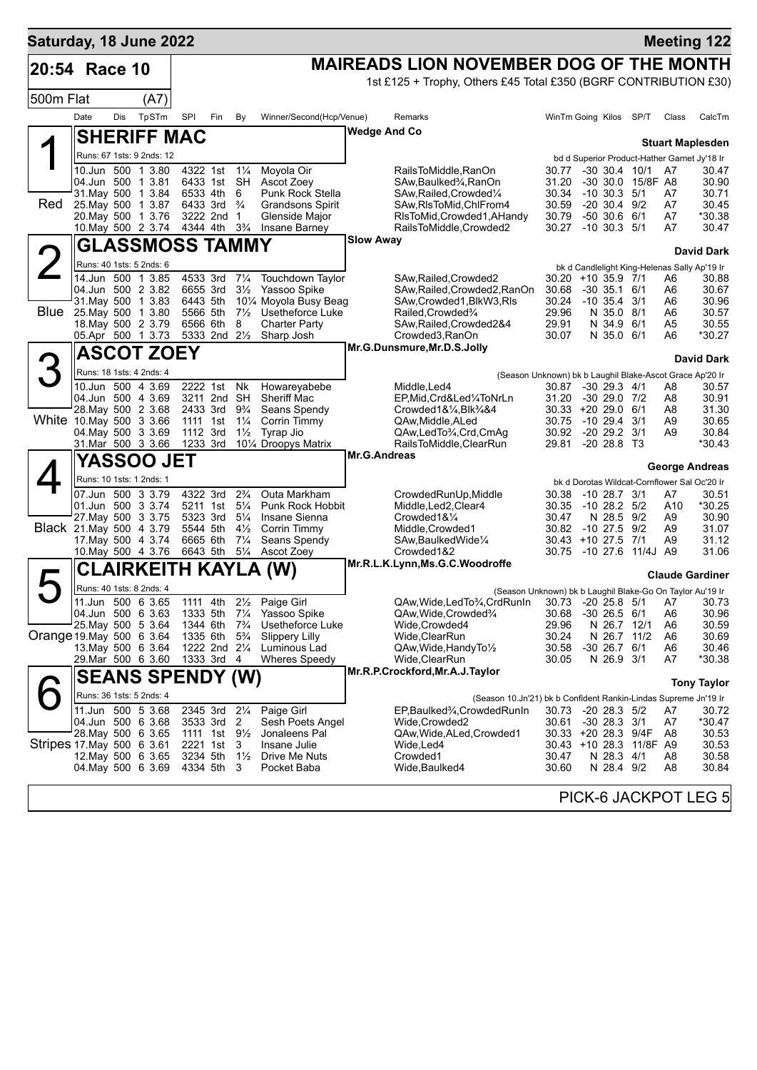| Saturday, 18 June 2022    |                          |     |                                          |                                                    |     |                                  |                                                            |                     |                                                                                                                       |                              |              |                                    |                         |                      | <b>Meeting 122</b>                                    |
|---------------------------|--------------------------|-----|------------------------------------------|----------------------------------------------------|-----|----------------------------------|------------------------------------------------------------|---------------------|-----------------------------------------------------------------------------------------------------------------------|------------------------------|--------------|------------------------------------|-------------------------|----------------------|-------------------------------------------------------|
| 20:54 Race 10             |                          |     |                                          |                                                    |     |                                  |                                                            |                     | MAIREADS LION NOVEMBER DOG OF THE MONTH                                                                               |                              |              |                                    |                         |                      |                                                       |
|                           |                          |     |                                          |                                                    |     |                                  |                                                            |                     | 1st £125 + Trophy, Others £45 Total £350 (BGRF CONTRIBUTION £30)                                                      |                              |              |                                    |                         |                      |                                                       |
| 500m Flat                 |                          |     | (A7)                                     |                                                    |     |                                  |                                                            |                     |                                                                                                                       |                              |              |                                    |                         |                      |                                                       |
|                           | Date                     | Dis | TpSTm                                    | <b>SPI</b>                                         | Fin | By                               | Winner/Second(Hcp/Venue)                                   |                     | Remarks                                                                                                               | WinTm Going Kilos SP/T       |              |                                    |                         | Class                | CalcTm                                                |
|                           |                          |     | <b>SHERIFF MAC</b>                       |                                                    |     |                                  |                                                            | <b>Wedge And Co</b> |                                                                                                                       |                              |              |                                    |                         |                      | <b>Stuart Maplesden</b>                               |
|                           |                          |     | Runs: 67 1sts: 9 2nds: 12                |                                                    |     |                                  |                                                            |                     |                                                                                                                       |                              |              |                                    |                         |                      | bd d Superior Product-Hather Garnet Jy'18 Ir          |
|                           |                          |     | 10.Jun 500 1 3.80                        | 4322 1st                                           |     | $1\frac{1}{4}$                   | Moyola Oir                                                 |                     | RailsToMiddle, RanOn                                                                                                  | 30.77                        |              |                                    | $-30$ 30.4 10/1         | A7                   | 30.47                                                 |
|                           |                          |     | 04.Jun 500 1 3.81<br>31. May 500 1 3.84  | 6433 1st SH<br>6533 4th                            |     | 6                                | Ascot Zoey<br>Punk Rock Stella                             |                     | SAw, Baulked <sup>3</sup> / <sub>4</sub> , RanOn<br>SAw, Railed, Crowded <sup>1/4</sup>                               | 31.20<br>30.34               |              | $-10$ 30.3 $5/1$                   | -30 30.0 15/8F A8       | A7                   | 30.90<br>30.71                                        |
| Red                       |                          |     | 25. May 500 1 3.87                       | 6433 3rd <sup>3</sup> / <sub>4</sub>               |     |                                  | <b>Grandsons Spirit</b>                                    |                     | SAw, RIsToMid, ChIFrom 4                                                                                              | 30.59                        |              | $-20$ 30.4 $9/2$                   |                         | A7                   | 30.45                                                 |
|                           |                          |     | 20. May 500 1 3.76<br>10. May 500 2 3.74 | 3222 2nd<br>4344 4th                               |     | $\overline{1}$<br>$3\frac{3}{4}$ | Glenside Major<br>Insane Barney                            |                     | RIsToMid, Crowded1, AHandy<br>RailsToMiddle, Crowded2                                                                 | 30.79<br>30.27               |              | $-50$ 30.6 6/1<br>$-10$ 30.3 $5/1$ |                         | A7<br>A7             | *30.38<br>30.47                                       |
|                           |                          |     | GLASSMOSS TAMMY                          |                                                    |     |                                  |                                                            | <b>Slow Away</b>    |                                                                                                                       |                              |              |                                    |                         |                      |                                                       |
|                           | Runs: 40 1sts: 5 2nds: 6 |     |                                          |                                                    |     |                                  |                                                            |                     |                                                                                                                       |                              |              |                                    |                         |                      | <b>David Dark</b>                                     |
|                           |                          |     | 14.Jun 500 1 3.85                        | 4533 3rd                                           |     | $7\frac{1}{4}$                   | Touchdown Taylor                                           |                     | SAw, Railed, Crowded 2                                                                                                | 30.20 +10 35.9 7/1           |              |                                    |                         | A6                   | bk d Candlelight King-Helenas Sally Ap'19 Ir<br>30.88 |
|                           |                          |     | 04.Jun 500 2 3.82                        | 6655 3rd                                           |     | $3\frac{1}{2}$                   | Yassoo Spike                                               |                     | SAw, Railed, Crowded 2, RanOn                                                                                         | 30.68                        |              | $-30$ 35.1 $6/1$                   |                         | A6                   | 30.67                                                 |
| Blue 25 May 500 1 3.80    |                          |     | 31. May 500 1 3.83                       | 6443 5th<br>5566 5th                               |     | $7\frac{1}{2}$                   | 101/4 Moyola Busy Beag<br>Usetheforce Luke                 |                     | SAw, Crowded 1, BlkW3, RIs<br>Railed.Crowded%                                                                         | 30.24<br>29.96               |              | $-10, 35.4, 3/1$<br>N 35.0 8/1     |                         | A6<br>A6             | 30.96<br>30.57                                        |
|                           |                          |     | 18. May 500 2 3.79                       | 6566 6th                                           |     | 8                                | <b>Charter Party</b>                                       |                     | SAw, Railed, Crowded 2&4                                                                                              | 29.91                        |              | N 34.9 6/1                         |                         | A5                   | 30.55                                                 |
|                           | 05.Apr 500 1 3.73        |     |                                          | 5333 2nd 21/2                                      |     |                                  | Sharp Josh                                                 |                     | Crowded3, RanOn<br>Mr.G.Dunsmure, Mr.D.S.Jolly                                                                        | 30.07                        |              | N 35.0 6/1                         |                         | A6                   | *30.27                                                |
|                           |                          |     | <b>ASCOT ZOEY</b>                        |                                                    |     |                                  |                                                            |                     |                                                                                                                       |                              |              |                                    |                         |                      | <b>David Dark</b>                                     |
|                           | Runs: 18 1sts: 4 2nds: 4 |     |                                          |                                                    |     |                                  |                                                            |                     | (Season Unknown) bk b Laughil Blake-Ascot Grace Ap'20 Ir                                                              |                              |              |                                    |                         |                      |                                                       |
|                           |                          |     | 10.Jun 500 4 3.69<br>04.Jun 500 4 3.69   | 2222 1st Nk<br>3211 2nd SH                         |     |                                  | Howareyabebe<br><b>Sheriff Mac</b>                         |                     | Middle, Led4<br>EP, Mid, Crd&Led1/4ToNrLn                                                                             | 30.87 -30 29.3 4/1<br>31.20  |              | -30 29.0 7/2                       |                         | A8<br>A8             | 30.57<br>30.91                                        |
|                           |                          |     | 28. May 500 2 3.68                       | 2433 3rd                                           |     | 9¾                               | Seans Spendy                                               |                     | Crowded1&¼,Blk¾&4                                                                                                     | $30.33 + 20.29.0$ 6/1        |              |                                    |                         | A8                   | 31.30                                                 |
| White 10 May 500 3 3.66   |                          |     |                                          | 1111 1st                                           |     | $1\frac{1}{4}$                   | Corrin Timmy                                               |                     | QAw, Middle, ALed                                                                                                     | 30.75<br>30.92 -20 29.2 3/1  | -10 29.4 3/1 |                                    |                         | A9<br>A <sub>9</sub> | 30.65<br>30.84                                        |
|                           |                          |     | 04. May 500 3 3.69<br>31.Mar 500 3 3.66  | 1112 3rd<br>1233 3rd                               |     | $1\frac{1}{2}$                   | Tyrap Jio<br>10 <sup>1</sup> / <sub>4</sub> Droopys Matrix |                     | QAw,LedTo3/4,Crd,CmAg<br>RailsToMiddle, ClearRun                                                                      | 29.81 -20 28.8 T3            |              |                                    |                         |                      | *30.43                                                |
|                           |                          |     | <b>YASSOO JET</b>                        |                                                    |     |                                  |                                                            | <b>Mr.G.Andreas</b> |                                                                                                                       |                              |              |                                    |                         |                      | George Andreas                                        |
|                           | Runs: 10 1sts: 1 2nds: 1 |     |                                          |                                                    |     |                                  |                                                            |                     |                                                                                                                       |                              |              |                                    |                         |                      | bk d Dorotas Wildcat-Cornflower Sal Oc'20 Ir          |
|                           | 07.Jun 500 3 3.79        |     |                                          | 4322 3rd                                           |     | $2\frac{3}{4}$                   | Outa Markham                                               |                     | CrowdedRunUp, Middle                                                                                                  | 30.38                        |              | $-1028.73/1$                       |                         | A7                   | 30.51                                                 |
|                           |                          |     | 01.Jun 500 3 3.74<br>27. May 500 3 3.75  | 5211 1st<br>5323 3rd                               |     | $5\frac{1}{4}$<br>$5\frac{1}{4}$ | Punk Rock Hobbit<br>Insane Sienna                          |                     | Middle, Led2, Clear4<br>Crowded1&1⁄4                                                                                  | 30.35<br>30.47               |              | $-1028.25/2$<br>N 28.5 9/2         |                         | A10<br>A9            | *30.25<br>30.90                                       |
| Black 21. May 500 4 3.79  |                          |     |                                          | 5544 5th                                           |     | $4\frac{1}{2}$                   | Corrin Timmy                                               |                     | Middle, Crowded1                                                                                                      | 30.82 -10 27.5 9/2           |              |                                    |                         | A9                   | 31.07                                                 |
|                           |                          |     | 17 May 500 4 3.74<br>10. May 500 4 3.76  | 6665 6th<br>6643 5th 51/4                          |     | $7\frac{1}{4}$                   | Seans Spendy<br>Ascot Zoey                                 |                     | SAw, Baulked Wide <sup>1/4</sup><br>Crowded1&2                                                                        | 30.43 +10 27.5 7/1           |              |                                    | 30.75 -10 27.6 11/4J A9 | A9                   | 31.12<br>31.06                                        |
|                           |                          |     |                                          |                                                    |     |                                  | CLAIRKEITH KAYLA (W)                                       |                     | Mr.R.L.K.Lynn,Ms.G.C.Woodroffe                                                                                        |                              |              |                                    |                         |                      |                                                       |
|                           |                          |     |                                          |                                                    |     |                                  |                                                            |                     |                                                                                                                       |                              |              |                                    |                         |                      | <b>Claude Gardiner</b>                                |
|                           | Runs: 40 1sts: 8 2nds: 4 |     | 11.Jun 500 6 3.65                        | 1111 4th 21/ <sub>2</sub>                          |     |                                  | Paige Girl                                                 |                     | (Season Unknown) bk b Laughil Blake-Go On Taylor Au'19 Ir<br>QAw, Wide, Led To 3/4, Crd Run In 30.73 - 20 25.8 5/1 A7 |                              |              |                                    |                         |                      | 30.73                                                 |
|                           | 04.Jun 500 6 3.63        |     |                                          | 1333 5th                                           |     | $7\frac{1}{4}$                   | Yassoo Spike                                               |                     | QAw, Wide, Crowded 3/4                                                                                                | 30.68                        |              | $-30$ 26.5 6/1                     |                         | A6                   | 30.96                                                 |
| Orange 19 May 500 6 3.64  | 25. May 500 5 3.64       |     |                                          | 1344 6th<br>1335 6th                               |     | $7\frac{3}{4}$<br>$5\frac{3}{4}$ | Usetheforce Luke<br><b>Slippery Lilly</b>                  |                     | Wide, Crowded4<br>Wide,ClearRun                                                                                       | 29.96<br>30.24               |              | N 26.7 12/1                        | N 26.7 11/2             | A6<br>A6             | 30.59<br>30.69                                        |
|                           |                          |     | 13. May 500 6 3.64                       | 1222 2nd 21/4                                      |     |                                  | Luminous Lad                                               |                     | QAw, Wide, Handy To 1/2                                                                                               | 30.58                        |              | $-30$ 26.7 $6/1$                   |                         | A6                   | 30.46                                                 |
|                           |                          |     | 29. Mar 500 6 3.60                       | 1333 3rd 4                                         |     |                                  | <b>Wheres Speedy</b>                                       |                     | Wide,ClearRun                                                                                                         | 30.05                        |              | N 26.9 3/1                         |                         | A7                   | *30.38                                                |
|                           |                          |     | <b>SEANS SPENDY (W)</b>                  |                                                    |     |                                  |                                                            |                     | Mr.R.P.Crockford, Mr.A.J.Taylor                                                                                       |                              |              |                                    |                         |                      | <b>Tony Taylor</b>                                    |
|                           |                          |     | Runs: 36 1sts: 5 2nds: 4                 |                                                    |     |                                  |                                                            |                     | (Season 10.Jn'21) bk b Confident Rankin-Lindas Supreme Jn'19 Ir                                                       |                              |              |                                    |                         |                      |                                                       |
|                           | 11.Jun 500 5 3.68        |     |                                          | 2345 3rd 21/4                                      |     |                                  | Paige Girl<br>Sesh Poets Angel                             |                     | EP, Baulked <sup>3</sup> / <sub>4</sub> , Crowded Run In                                                              | 30.73                        |              | $-2028.3572$                       |                         | A7                   | 30.72<br>$*30.47$                                     |
|                           |                          |     | 04.Jun 500 6 3.68<br>28. May 500 6 3.65  | 3533 3rd<br>1111 1st 9 <sup>1</sup> / <sub>2</sub> |     | 2                                | Jonaleens Pal                                              |                     | Wide,Crowded2<br>QAw,Wide,ALed,Crowded1                                                                               | 30.61<br>30.33 +20 28.3 9/4F |              | $-30$ 28.3 $3/1$                   |                         | A7<br>A8             | 30.53                                                 |
| Stripes 17 May 500 6 3.61 |                          |     |                                          | 2221 1st                                           |     | 3                                | Insane Julie                                               |                     | Wide,Led4                                                                                                             | $30.43 + 10.28.3$            |              |                                    | 11/8F A9                |                      | 30.53                                                 |
|                           |                          |     | 12. May 500 6 3.65<br>04. May 500 6 3.69 | 3234 5th<br>4334 5th                               |     | $1\frac{1}{2}$<br>3              | Drive Me Nuts<br>Pocket Baba                               |                     | Crowded1<br>Wide,Baulked4                                                                                             | 30.47<br>30.60               |              | N 28.3 4/1<br>N 28.4 9/2           |                         | A8<br>A <sub>8</sub> | 30.58<br>30.84                                        |
|                           |                          |     |                                          |                                                    |     |                                  |                                                            |                     |                                                                                                                       |                              |              |                                    |                         |                      |                                                       |
|                           |                          |     |                                          |                                                    |     |                                  |                                                            |                     |                                                                                                                       |                              |              |                                    |                         |                      | PICK-6 JACKPOT LEG 5                                  |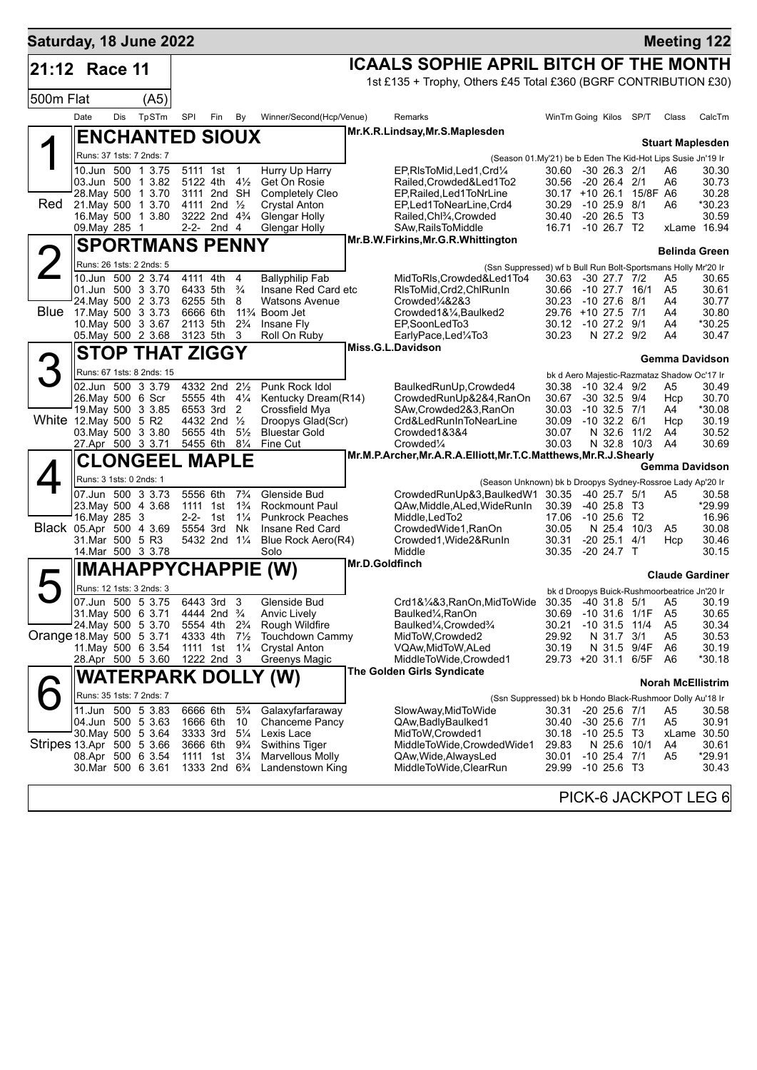| Saturday, 18 June 2022    |                                               |     |                           |                      |                                        |                                  |                                                       |                |                                                                                                         |                                               |                                               |             |             |                                              | <b>Meeting 122</b>     |
|---------------------------|-----------------------------------------------|-----|---------------------------|----------------------|----------------------------------------|----------------------------------|-------------------------------------------------------|----------------|---------------------------------------------------------------------------------------------------------|-----------------------------------------------|-----------------------------------------------|-------------|-------------|----------------------------------------------|------------------------|
| 21:12 Race 11             |                                               |     |                           |                      |                                        |                                  |                                                       |                | <b>ICAALS SOPHIE APRIL BITCH OF THE MONTH</b>                                                           |                                               |                                               |             |             |                                              |                        |
|                           |                                               |     |                           |                      |                                        |                                  |                                                       |                | 1st £135 + Trophy, Others £45 Total £360 (BGRF CONTRIBUTION £30)                                        |                                               |                                               |             |             |                                              |                        |
| 500m Flat                 |                                               |     | (A5)                      |                      |                                        |                                  |                                                       |                |                                                                                                         |                                               |                                               |             |             |                                              |                        |
|                           | Date                                          | Dis | TpSTm                     | SPI                  | Fin                                    | By                               | Winner/Second(Hcp/Venue)                              |                | Remarks                                                                                                 | WinTm Going Kilos                             |                                               |             | SP/T        | Class                                        | CalcTm                 |
|                           |                                               |     | <b>ENCHANTED SIOUX</b>    |                      |                                        |                                  |                                                       |                | Mr.K.R.Lindsay, Mr.S.Maplesden                                                                          |                                               |                                               |             |             | <b>Stuart Maplesden</b>                      |                        |
|                           | Runs: 37 1sts: 7 2nds: 7                      |     |                           |                      |                                        |                                  |                                                       |                | (Season 01.My'21) be b Eden The Kid-Hot Lips Susie Jn'19 Ir                                             |                                               |                                               |             |             |                                              |                        |
|                           | 10.Jun 500 1 3.75                             |     |                           |                      | 5111 1st 1                             |                                  | Hurry Up Harry                                        |                | EP, RIs To Mid, Led 1, Crd 1/4                                                                          | 30.60 -30 26.3 2/1                            |                                               |             |             | A6                                           | 30.30                  |
|                           | 03.Jun 500 1 3.82<br>28. May 500 1 3.70       |     |                           | 3111 2nd SH          | 5122 4th $4\frac{1}{2}$                |                                  | Get On Rosie<br>Completely Cleo                       |                | Railed.Crowded&Led1To2<br>EP, Railed, Led 1 To NrLine                                                   | 30.56 -20 26.4 2/1<br>30.17 +10 26.1 15/8F A6 |                                               |             |             | A6                                           | 30.73<br>30.28         |
| Red                       | 21. May 500 1 3.70                            |     |                           |                      | 4111 2nd $\frac{1}{2}$                 |                                  | <b>Crystal Anton</b>                                  |                | EP,Led1ToNearLine,Crd4                                                                                  | 30.29                                         | $-1025.98/1$                                  |             |             | A6                                           | *30.23                 |
|                           | 16. May 500 1 3.80                            |     |                           |                      | 3222 2nd 4 <sup>3</sup> / <sub>4</sub> |                                  | Glengar Holly                                         |                | Railed, Chl3/4, Crowded                                                                                 | 30.40                                         | $-20, 26.5, 13$                               |             |             |                                              | 30.59                  |
|                           | 09. May 285 1                                 |     |                           |                      | 2-2- 2nd 4                             |                                  | <b>Glengar Holly</b>                                  |                | SAw, Rails To Middle<br>Mr.B.W.Firkins, Mr.G.R. Whittington                                             | 16.71 -10 26.7 T2                             |                                               |             |             |                                              | xLame 16.94            |
|                           |                                               |     | <b>SPORTMANS PENNY</b>    |                      |                                        |                                  |                                                       |                |                                                                                                         |                                               |                                               |             |             | <b>Belinda Green</b>                         |                        |
|                           | Runs: 26 1sts: 2 2nds: 5<br>10.Jun 500 2 3.74 |     |                           | 4111 4th             |                                        |                                  |                                                       |                | (Ssn Suppressed) wf b Bull Run Bolt-Sportsmans Holly Mr'20 Ir                                           |                                               |                                               |             |             |                                              |                        |
|                           | 01.Jun 500 3 3.70                             |     |                           | 6433 5th             |                                        | 4<br>$\frac{3}{4}$               | <b>Ballyphilip Fab</b><br>Insane Red Card etc         |                | MidToRIs, Crowded&Led1To4<br>RIsToMid, Crd2, ChlRunIn                                                   | 30.63 -30 27.7 7/2<br>30.66 -10 27.7 16/1     |                                               |             |             | A5<br>A5                                     | 30.65<br>30.61         |
|                           | 24. May 500 2 3.73                            |     |                           | 6255 5th             |                                        | 8                                | <b>Watsons Avenue</b>                                 |                | Crowded1/4&2&3                                                                                          | 30.23                                         | $-1027.6$                                     |             | 8/1         | A4                                           | 30.77                  |
|                           | Blue 17 May 500 3 3.73<br>10. May 500 3 3.67  |     |                           | 6666 6th<br>2113 5th |                                        | $2\frac{3}{4}$                   | 11 <sup>3</sup> / <sub>4</sub> Boom Jet<br>Insane Fly |                | Crowded1&1/4, Baulked2<br>EP,SoonLedTo3                                                                 | 29.76 +10 27.5 7/1<br>30.12 -10 27.2 9/1      |                                               |             |             | A4<br>A4                                     | 30.80<br>*30.25        |
|                           | 05. May 500 2 3.68                            |     |                           | 3123 5th 3           |                                        |                                  | Roll On Ruby                                          |                | EarlyPace,Led¼To3                                                                                       | 30.23                                         |                                               | N 27.2 9/2  |             | A4                                           | 30.47                  |
|                           |                                               |     | <b>STOP THAT ZIGGY</b>    |                      |                                        |                                  |                                                       |                | Miss.G.L.Davidson                                                                                       |                                               |                                               |             |             | Gemma Davidson                               |                        |
|                           |                                               |     | Runs: 67 1sts: 8 2nds: 15 |                      |                                        |                                  |                                                       |                |                                                                                                         |                                               |                                               |             |             | bk d Aero Majestic-Razmataz Shadow Oc'17 Ir  |                        |
|                           | 02.Jun 500 3 3.79                             |     |                           |                      | 4332 2nd 21/2                          |                                  | Punk Rock Idol                                        |                | BaulkedRunUp, Crowded4                                                                                  | 30.38                                         | $-10$ 32.4 $9/2$                              |             |             | A5                                           | 30.49                  |
|                           | 26. May 500 6 Scr                             |     |                           |                      | 5555 4th 41/4                          |                                  | Kentucky Dream(R14)                                   |                | CrowdedRunUp&2&4,RanOn                                                                                  | 30.67                                         | $-30$ 32.5 $9/4$                              |             |             | Hcp                                          | 30.70                  |
| White 12. May 500 5 R2    | 19. May 500 3 3.85                            |     |                           |                      | 6553 3rd 2<br>4432 2nd 1/2             |                                  | Crossfield Mya<br>Droopys Glad(Scr)                   |                | SAw, Crowded 2&3, RanOn<br>Crd&LedRunInToNearLine                                                       | 30.03<br>30.09                                | $-10$ 32.5 $7/1$<br>$-10$ 32.2 $6/1$          |             |             | A4<br>Hcp                                    | *30.08<br>30.19        |
|                           | 03. May 500 3 3.80                            |     |                           | 5655 4th             |                                        | $5\frac{1}{2}$                   | <b>Bluestar Gold</b>                                  |                | Crowded1&3&4                                                                                            | 30.07                                         |                                               |             | N 32.6 11/2 | A4                                           | 30.52                  |
|                           | 27.Apr 500 3 3.71                             |     |                           |                      | 5455 6th 81/4                          |                                  | Fine Cut                                              |                | Crowded <sup>1</sup> / <sub>4</sub><br>Mr.M.P.Archer, Mr.A.R.A.Elliott, Mr.T.C.Matthews, Mr.R.J.Shearly | 30.03                                         |                                               |             | N 32.8 10/3 | A4                                           | 30.69                  |
|                           |                                               |     | <b>CLONGEEL MAPLE</b>     |                      |                                        |                                  |                                                       |                |                                                                                                         |                                               |                                               |             |             | Gemma Davidson                               |                        |
|                           | Runs: 3 1sts: 0 2nds: 1                       |     |                           |                      |                                        |                                  |                                                       |                | (Season Unknown) bk b Droopys Sydney-Rossroe Lady Ap'20 Ir                                              |                                               |                                               |             |             |                                              |                        |
|                           | 07.Jun 500 3 3.73<br>23. May 500 4 3.68       |     |                           | 5556 6th<br>1111 1st |                                        | $7\frac{3}{4}$<br>$1\frac{3}{4}$ | Glenside Bud<br><b>Rockmount Paul</b>                 |                | CrowdedRunUp&3,BaulkedW1<br>QAw, Middle, ALed, WideRunIn                                                | 30.35<br>30.39                                | $-40$ 25.7 $5/1$<br>$-40$ 25.8 T <sub>3</sub> |             |             | A5                                           | 30.58<br>*29.99        |
|                           | 16. May 285 3                                 |     |                           |                      | 2-2- 1st $1\frac{1}{4}$                |                                  | <b>Punkrock Peaches</b>                               |                | Middle, LedTo2                                                                                          | 17.06                                         | -10 25.6 T2                                   |             |             |                                              | 16.96                  |
| Black 05.Apr 500 4 3.69   |                                               |     |                           |                      | 5554 3rd Nk                            |                                  | Insane Red Card                                       |                | CrowdedWide1, RanOn                                                                                     | 30.05                                         |                                               |             | N 25.4 10/3 | A5                                           | 30.08                  |
|                           | 31.Mar 500 5 R3<br>14 Mar 500 3 3.78          |     |                           |                      | 5432 2nd 11/4                          |                                  | Blue Rock Aero(R4)<br>Solo                            |                | Crowded1, Wide 2& RunIn<br>Middle                                                                       | 30.31<br>30.35                                | $-20$ 25.1 $4/1$<br>$-20$ 24.7 T              |             |             | Hcp                                          | 30.46<br>30.15         |
|                           |                                               |     |                           |                      |                                        |                                  | <b>IMAHAPPYCHAPPIE (W)</b>                            | Mr.D.Goldfinch |                                                                                                         |                                               |                                               |             |             |                                              |                        |
|                           | Runs: 12 1sts: 3 2nds: 3                      |     |                           |                      |                                        |                                  |                                                       |                |                                                                                                         |                                               |                                               |             |             |                                              | <b>Claude Gardiner</b> |
|                           | 07.Jun 500 5 3.75                             |     |                           |                      | 6443 3rd                               | 3                                | Glenside Bud                                          |                | Crd1&1/4&3,RanOn,MidToWide 30.35 -40 31.8 5/1 A5                                                        |                                               |                                               |             |             | bk d Droopys Buick-Rushmoorbeatrice Jn'20 Ir | 30.19                  |
|                           | 31. May 500 6 3.71                            |     |                           |                      | 4444 2nd <sup>3</sup> / <sub>4</sub>   |                                  | <b>Anvic Lively</b>                                   |                | Baulked1/ <sub>4</sub> , RanOn                                                                          | 30.69                                         | $-10$ 31.6                                    |             | 1/1F        | A <sub>5</sub>                               | 30.65                  |
| Orange 18 May 500 5 3.71  | 24. May 500 5 3.70                            |     |                           | 4333 4th             | 5554 4th 2 <sup>3</sup> / <sub>4</sub> | $7\frac{1}{2}$                   | Rough Wildfire<br>Touchdown Cammy                     |                | Baulked <sup>1</sup> / <sub>4</sub> , Crowded <sup>3</sup> / <sub>4</sub><br>MidToW, Crowded2           | 30.21<br>29.92                                | $-10, 31.5$                                   | N 31.7      | 11/4<br>3/1 | A5<br>A5                                     | 30.34<br>30.53         |
|                           | 11 May 500 6 3 54                             |     |                           |                      | 1111 1st 1 <sup>1</sup> / <sub>4</sub> |                                  | <b>Crystal Anton</b>                                  |                | VQAw, MidToW, ALed                                                                                      | 30.19                                         |                                               |             | N 31.5 9/4F | A6                                           | 30.19                  |
|                           | 28.Apr 500 5 3.60                             |     |                           |                      | 1222 2nd 3                             |                                  | Greenys Magic                                         |                | MiddleToWide,Crowded1                                                                                   | 29.73 +20 31.1                                |                                               |             | 6/5F        | A6                                           | *30.18                 |
|                           |                                               |     |                           |                      |                                        |                                  | WATERPARK DOLLY (W)                                   |                | The Golden Girls Syndicate                                                                              |                                               |                                               |             |             | <b>Norah McEllistrim</b>                     |                        |
|                           | Runs: 35 1sts: 7 2nds: 7                      |     |                           |                      |                                        |                                  |                                                       |                | (Ssn Suppressed) bk b Hondo Black-Rushmoor Dolly Au'18 Ir                                               |                                               |                                               |             |             |                                              |                        |
|                           | 11.Jun                                        |     | 500 5 3.83                | 6666 6th             |                                        | $5\frac{3}{4}$                   | Galaxyfarfaraway                                      |                | SlowAway, MidToWide                                                                                     | 30.31                                         | $-20$ 25.6 $7/1$                              |             |             | A5                                           | 30.58                  |
|                           | 04.Jun 500 5 3.63<br>30. May 500 5 3.64       |     |                           | 1666 6th<br>3333 3rd |                                        | 10<br>$5\frac{1}{4}$             | Chanceme Pancy<br>Lexis Lace                          |                | QAw, Badly Baulked 1<br>MidToW, Crowded1                                                                | 30.40<br>30.18                                | $-30$ 25.6 $7/1$<br>$-10$ 25.5 T3             |             |             | A <sub>5</sub>                               | 30.91<br>xLame 30.50   |
| Stripes 13.Apr 500 5 3.66 |                                               |     |                           | 3666 6th             |                                        | $9\frac{3}{4}$                   | <b>Swithins Tiger</b>                                 |                | MiddleToWide,CrowdedWide1                                                                               | 29.83                                         |                                               | N 25.6 10/1 |             | A4                                           | 30.61                  |
|                           | 08.Apr 500 6 3.54<br>30.Mar 500 6 3.61        |     |                           | 1111 1st             | 1333 2nd 6 <sup>3</sup> / <sub>4</sub> | $3\frac{1}{4}$                   | <b>Marvellous Molly</b><br>Landenstown King           |                | QAw, Wide, Always Led<br>MiddleToWide,ClearRun                                                          | 30.01<br>29.99                                | $-10$ 25.4 $7/1$<br>$-10$ 25.6 T3             |             |             | A5                                           | *29.91<br>30.43        |
|                           |                                               |     |                           |                      |                                        |                                  |                                                       |                |                                                                                                         |                                               |                                               |             |             |                                              |                        |
|                           |                                               |     |                           |                      |                                        |                                  |                                                       |                |                                                                                                         |                                               |                                               |             |             |                                              | PICK-6 JACKPOT LEG 6   |
|                           |                                               |     |                           |                      |                                        |                                  |                                                       |                |                                                                                                         |                                               |                                               |             |             |                                              |                        |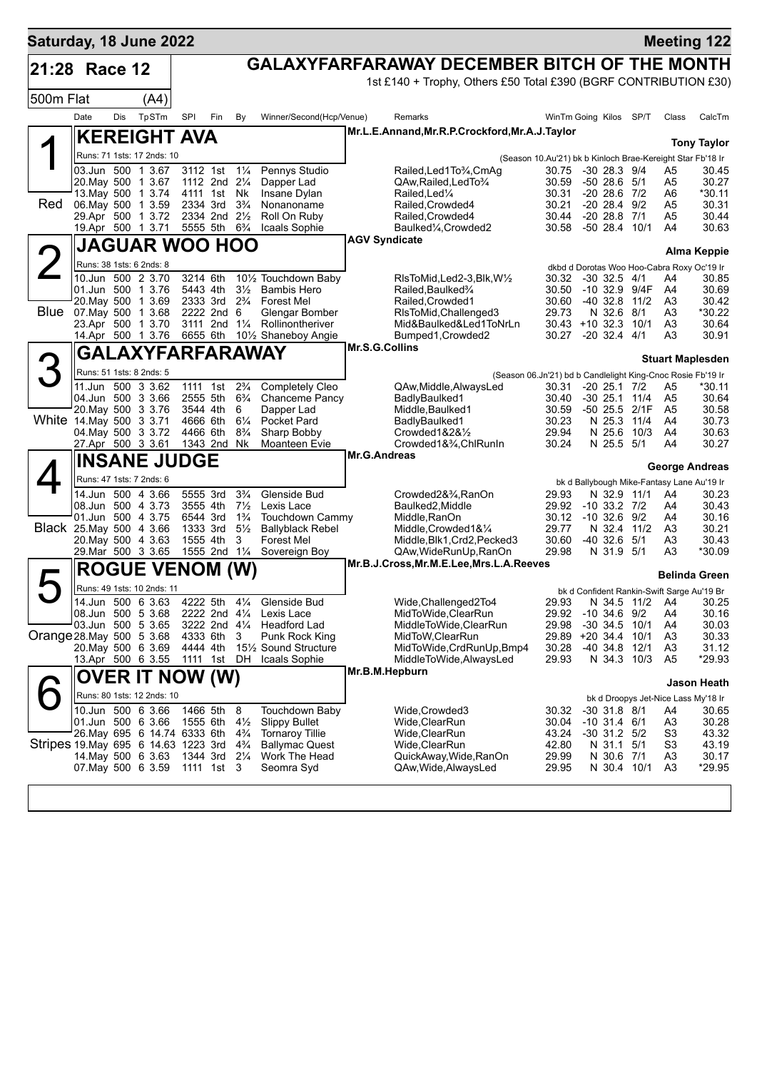| Saturday, 18 June 2022                                             |                                          |     |        |                                |                    |                                  |                                                   |                       |                                                                  |                                                            |                                      |      |                      | <b>Meeting 122</b>                                  |
|--------------------------------------------------------------------|------------------------------------------|-----|--------|--------------------------------|--------------------|----------------------------------|---------------------------------------------------|-----------------------|------------------------------------------------------------------|------------------------------------------------------------|--------------------------------------|------|----------------------|-----------------------------------------------------|
| 21:28 Race 12                                                      |                                          |     |        |                                |                    |                                  |                                                   |                       | <b>GALAXYFARFARAWAY DECEMBER BITCH OF THE MONTH</b>              |                                                            |                                      |      |                      |                                                     |
|                                                                    |                                          |     |        |                                |                    |                                  |                                                   |                       | 1st £140 + Trophy, Others £50 Total £390 (BGRF CONTRIBUTION £30) |                                                            |                                      |      |                      |                                                     |
| 500m Flat                                                          |                                          |     | (A4)   |                                |                    |                                  |                                                   |                       |                                                                  |                                                            |                                      |      |                      |                                                     |
|                                                                    | Date                                     | Dis | TpSTm  | SPI                            | Fin                | By                               | Winner/Second(Hcp/Venue)                          |                       | Remarks                                                          | WinTm Going Kilos SP/T                                     |                                      |      | Class                | CalcTm                                              |
|                                                                    | <b>KEREIGHT AVA</b>                      |     |        |                                |                    |                                  |                                                   |                       | Mr.L.E.Annand, Mr.R.P.Crockford, Mr.A.J.Taylor                   |                                                            |                                      |      |                      |                                                     |
|                                                                    |                                          |     |        |                                |                    |                                  |                                                   |                       |                                                                  |                                                            |                                      |      |                      | <b>Tony Taylor</b>                                  |
|                                                                    | Runs: 71 1sts: 17 2nds: 10               |     |        |                                |                    |                                  |                                                   |                       |                                                                  | (Season 10.Au'21) bk b Kinloch Brae-Kereight Star Fb'18 Ir |                                      |      |                      |                                                     |
|                                                                    | 03.Jun 500 1 3.67                        |     |        | 3112 1st                       |                    | $1\frac{1}{4}$                   | Pennys Studio                                     |                       | Railed, Led 1 To 3/4, CmAg                                       | 30.75                                                      | $-30$ 28.3 $9/4$                     |      | A5                   | 30.45                                               |
|                                                                    | 20. May 500 1 3.67<br>13. May 500 1 3.74 |     |        | 1112 2nd 21/4<br>4111 1st Nk   |                    |                                  | Dapper Lad<br>Insane Dylan                        |                       | QAw, Railed, Led To 3/4<br>Railed.Led <sup>1/4</sup>             | 30.59<br>30.31                                             | $-5028.651$<br>$-20$ 28.6 $7/2$      |      | A <sub>5</sub><br>A6 | 30.27<br>*30.11                                     |
| Red                                                                | 06. May 500 1 3.59                       |     |        | 2334 3rd                       |                    | $3\frac{3}{4}$                   | Nonanoname                                        |                       | Railed, Crowded4                                                 | 30.21                                                      | $-20$ 28.4 $9/2$                     |      | A5                   | 30.31                                               |
|                                                                    | 29.Apr 500 1 3.72                        |     |        | 2334 2nd 21/2                  |                    |                                  | Roll On Ruby                                      |                       | Railed, Crowded4                                                 | 30.44                                                      | $-20$ 28.8 $7/1$                     |      | A5                   | 30.44                                               |
|                                                                    | 19.Apr 500 1 3.71                        |     |        | 5555 5th                       |                    | $6\frac{3}{4}$                   | Icaals Sophie                                     |                       | Baulked <sup>1</sup> / <sub>4</sub> , Crowded <sup>2</sup>       | 30.58                                                      | -50 28.4 10/1                        |      | A4                   | 30.63                                               |
|                                                                    | <b>JAGUAR WOO HOO</b>                    |     |        |                                |                    |                                  |                                                   | <b>AGV Syndicate</b>  |                                                                  |                                                            |                                      |      |                      |                                                     |
|                                                                    | Runs: 38 1sts: 6 2nds: 8                 |     |        |                                |                    |                                  |                                                   |                       |                                                                  |                                                            |                                      |      |                      | <b>Alma Keppie</b>                                  |
|                                                                    | 10.Jun 500 2 3.70                        |     |        | 3214 6th                       |                    |                                  | 101/2 Touchdown Baby                              |                       | $RlsToMid, Led2-3, Blk, W\frac{1}{2}$                            | 30.32                                                      | $-30$ 32.5 $4/1$                     |      | A4                   | dkbd d Dorotas Woo Hoo-Cabra Roxy Oc'19 Ir<br>30.85 |
|                                                                    | 01.Jun 500 1 3.76                        |     |        | 5443 4th                       |                    | $3\frac{1}{2}$                   | <b>Bambis Hero</b>                                |                       | Railed, Baulked%                                                 | 30.50                                                      | -10 32.9 9/4F                        |      | A4                   | 30.69                                               |
|                                                                    | 20. May 500 1 3.69                       |     |        | 2333 3rd                       |                    | $2\frac{3}{4}$                   | <b>Forest Mel</b>                                 |                       | Railed.Crowded1                                                  | 30.60                                                      | $-40.32.8$                           | 11/2 | A3                   | 30.42                                               |
| <b>Blue</b>                                                        | 07. May 500 1 3.68                       |     |        | 2222 2nd 6                     |                    |                                  | Glengar Bomber                                    |                       | RIsToMid, Challenged3                                            | 29.73                                                      | N 32.6                               | 8/1  | A3                   | *30.22                                              |
|                                                                    | 23.Apr 500                               |     | 1 3.70 | 3111                           | 2nd $1\frac{1}{4}$ |                                  | Rollinontheriver                                  |                       | Mid&Baulked&Led1ToNrLn                                           | $30.43 + 10.32.3$                                          |                                      | 10/1 | A3                   | 30.64                                               |
|                                                                    | 14.Apr 500 1 3.76                        |     |        | 6655 6th                       |                    |                                  | 101/ <sub>2</sub> Shaneboy Angie                  |                       | Bumped1, Crowded2                                                | 30.27                                                      | $-20, 32.4$                          | 4/1  | A3                   | 30.91                                               |
|                                                                    |                                          |     |        |                                |                    |                                  | GALAXYFARFARAWAY                                  | <b>Mr.S.G.Collins</b> |                                                                  |                                                            |                                      |      |                      | <b>Stuart Maplesden</b>                             |
|                                                                    | Runs: 51 1sts: 8 2nds: 5                 |     |        |                                |                    |                                  |                                                   |                       | (Season 06.Jn'21) bd b Candlelight King-Cnoc Rosie Fb'19 Ir      |                                                            |                                      |      |                      |                                                     |
|                                                                    | 11.Jun 500 3 3.62                        |     |        | 1111 1st                       |                    | $2\frac{3}{4}$                   | Completely Cleo                                   |                       | QAw, Middle, Always Led                                          | 30.31                                                      | $-20$ 25.1 $7/2$                     |      | A5                   | *30.11                                              |
|                                                                    | 04.Jun 500 3 3.66                        |     |        | 2555 5th                       |                    | $6\frac{3}{4}$                   | Chanceme Pancy                                    |                       | BadlyBaulked1                                                    | 30.40                                                      | $-30$ 25.1 11/4                      |      | A <sub>5</sub>       | 30.64                                               |
|                                                                    | 20. May 500 3 3.76                       |     |        | 3544 4th                       |                    | 6                                | Dapper Lad                                        |                       | Middle, Baulked1                                                 | 30.59                                                      | -50 25.5 2/1F                        |      | A <sub>5</sub>       | 30.58                                               |
| White 14 May 500 3 3.71                                            |                                          |     |        | 4666 6th                       |                    | $6\frac{1}{4}$                   | Pocket Pard                                       |                       | BadlyBaulked1                                                    | 30.23                                                      | N 25.3 11/4                          |      | A4                   | 30.73                                               |
|                                                                    | 04. May 500 3 3.72<br>27.Apr 500 3 3.61  |     |        | 4466 6th<br>1343 2nd Nk        |                    | $8\frac{3}{4}$                   | Sharp Bobby<br>Moanteen Evie                      |                       | Crowded $1828\frac{1}{2}$<br>Crowded1&3/4, ChlRunIn              | 29.94<br>30.24                                             | N 25.6<br>N 25.5 5/1                 | 10/3 | A4<br>A4             | 30.63<br>30.27                                      |
|                                                                    |                                          |     |        |                                |                    |                                  |                                                   | <b>Mr.G.Andreas</b>   |                                                                  |                                                            |                                      |      |                      |                                                     |
|                                                                    | <b>INSANE JUDGE</b>                      |     |        |                                |                    |                                  |                                                   |                       |                                                                  |                                                            |                                      |      |                      | George Andreas                                      |
|                                                                    | Runs: 47 1sts: 7 2nds: 6                 |     |        |                                |                    |                                  |                                                   |                       |                                                                  |                                                            |                                      |      |                      | bk d Ballybough Mike-Fantasy Lane Au'19 Ir          |
|                                                                    | 14.Jun 500 4 3.66                        |     |        | 5555 3rd                       |                    | $3\frac{3}{4}$                   | Glenside Bud                                      |                       | Crowded2&3⁄4, RanOn                                              | 29.93                                                      | N 32.9 11/1                          |      | A4                   | 30.23                                               |
|                                                                    | 08.Jun 500 4 3.73                        |     |        | 3555 4th                       |                    | $7\frac{1}{2}$                   | Lexis Lace                                        |                       | Baulked2, Middle                                                 | 29.92                                                      | $-10$ 33.2 $7/2$                     |      | A4                   | 30.43                                               |
| Black 25. May 500 4 3.66                                           | 01.Jun 500 4 3.75                        |     |        | 6544 3rd<br>1333 3rd           |                    | $1\frac{3}{4}$<br>$5\frac{1}{2}$ | <b>Touchdown Cammy</b><br><b>Ballyblack Rebel</b> |                       | Middle, RanOn<br>Middle, Crowded 1&1/4                           | 30.12<br>29.77                                             | $-10,32.6$<br>N 32.4 11/2            | 9/2  | A4<br>A3             | 30.16<br>30.21                                      |
|                                                                    | 20. May 500 4 3.63                       |     |        | 1555 4th                       |                    | 3                                | <b>Forest Mel</b>                                 |                       | Middle, Blk1, Crd2, Pecked3                                      | 30.60                                                      | $-40, 32.6$                          | 5/1  | A3                   | 30.43                                               |
|                                                                    | 29. Mar 500 3 3.65                       |     |        | 1555 2nd 11/4                  |                    |                                  | Sovereign Boy                                     |                       | QAw, WideRunUp, RanOn                                            | 29.98                                                      | N 31.9 5/1                           |      | A3                   | *30.09                                              |
|                                                                    | <b>ROGUE VENOM (W)</b>                   |     |        |                                |                    |                                  |                                                   |                       | Mr.B.J.Cross, Mr.M.E.Lee, Mrs.L.A.Reeves                         |                                                            |                                      |      |                      |                                                     |
|                                                                    |                                          |     |        |                                |                    |                                  |                                                   |                       |                                                                  |                                                            |                                      |      |                      | <b>Belinda Green</b>                                |
|                                                                    | Runs: 49 1sts: 10 2nds: 11               |     |        |                                |                    |                                  |                                                   |                       |                                                                  |                                                            |                                      |      |                      | bk d Confident Rankin-Swift Sarge Au'19 Br          |
|                                                                    | 14.Jun 500 6 3.63                        |     |        | 4222 5th                       |                    |                                  | 41/ <sub>4</sub> Glenside Bud                     |                       | Wide, Challenged 2To4                                            | 29.93                                                      | N 34.5                               | 11/2 | A4                   | 30.25                                               |
|                                                                    | 08.Jun 500 5 3.68<br>03.Jun 500 5 3.65   |     |        | 2222 2nd 41/4<br>3222 2nd 41/4 |                    |                                  | Lexis Lace<br>Headford Lad                        |                       | MidToWide, ClearRun<br>MiddleToWide,ClearRun                     | 29.92<br>29.98                                             | $-10$ 34.6 $9/2$<br>$-30$ 34.5       | 10/1 | A4<br>A4             | 30.16<br>30.03                                      |
| Orange 28. May 500 5 3.68                                          |                                          |     |        | 4333 6th                       |                    | 3                                | Punk Rock King                                    |                       | MidToW, ClearRun                                                 | 29.89 +20 34.4 10/1                                        |                                      |      | A <sub>3</sub>       | 30.33                                               |
|                                                                    | 20. May 500 6 3.69                       |     |        | 4444 4th                       |                    |                                  | 15 <sup>1</sup> / <sub>2</sub> Sound Structure    |                       | MidToWide, CrdRunUp, Bmp4                                        | 30.28                                                      | $-40, 34.8$                          | 12/1 | A <sub>3</sub>       | 31.12                                               |
|                                                                    | 13.Apr 500 6 3.55                        |     |        | 1111 1st DH                    |                    |                                  | Icaals Sophie                                     |                       | MiddleToWide, AlwaysLed                                          | 29.93                                                      | N 34.3 10/3                          |      | A <sub>5</sub>       | *29.93                                              |
|                                                                    | <b>OVER IT NOW (W)</b>                   |     |        |                                |                    |                                  |                                                   | Mr.B.M.Hepburn        |                                                                  |                                                            |                                      |      |                      |                                                     |
|                                                                    | Runs: 80 1sts: 12 2nds: 10               |     |        |                                |                    |                                  |                                                   |                       |                                                                  |                                                            |                                      |      |                      | Jason Heath                                         |
|                                                                    |                                          |     |        |                                |                    |                                  |                                                   |                       |                                                                  |                                                            |                                      |      |                      | bk d Droopys Jet-Nice Lass My'18 Ir                 |
|                                                                    | 10.Jun 500 6 3.66<br>01.Jun 500 6 3.66   |     |        | 1466 5th<br>1555 6th           |                    | 8<br>$4\frac{1}{2}$              | Touchdown Baby<br><b>Slippy Bullet</b>            |                       | Wide, Crowded3<br>Wide, ClearRun                                 | 30.32<br>30.04                                             | $-30$ 31.8 $8/1$<br>$-10$ 31.4 $6/1$ |      | A4<br>A <sub>3</sub> | 30.65<br>30.28                                      |
|                                                                    | 26. May 695 6 14.74 6333 6th             |     |        |                                |                    | $4\frac{3}{4}$                   | <b>Tornaroy Tillie</b>                            |                       | Wide, ClearRun                                                   | 43.24                                                      | $-30$ 31.2 $5/2$                     |      | S <sub>3</sub>       | 43.32                                               |
| Stripes 19. May 695 6 14.63 1223 3rd 4 <sup>3</sup> / <sub>4</sub> |                                          |     |        |                                |                    |                                  | <b>Ballymac Quest</b>                             |                       | Wide, ClearRun                                                   | 42.80                                                      | N 31.1 5/1                           |      | S <sub>3</sub>       | 43.19                                               |
|                                                                    | 14. May 500 6 3.63                       |     |        | 1344 3rd 21/4                  |                    |                                  | Work The Head                                     |                       | QuickAway, Wide, RanOn                                           | 29.99                                                      | N 30.6 7/1                           |      | A <sub>3</sub>       | 30.17                                               |
|                                                                    | 07. May 500 6 3.59                       |     |        | 1111 1st 3                     |                    |                                  | Seomra Syd                                        |                       | QAw, Wide, AlwaysLed                                             | 29.95                                                      | N 30.4 10/1                          |      | A <sub>3</sub>       | *29.95                                              |
|                                                                    |                                          |     |        |                                |                    |                                  |                                                   |                       |                                                                  |                                                            |                                      |      |                      |                                                     |
|                                                                    |                                          |     |        |                                |                    |                                  |                                                   |                       |                                                                  |                                                            |                                      |      |                      |                                                     |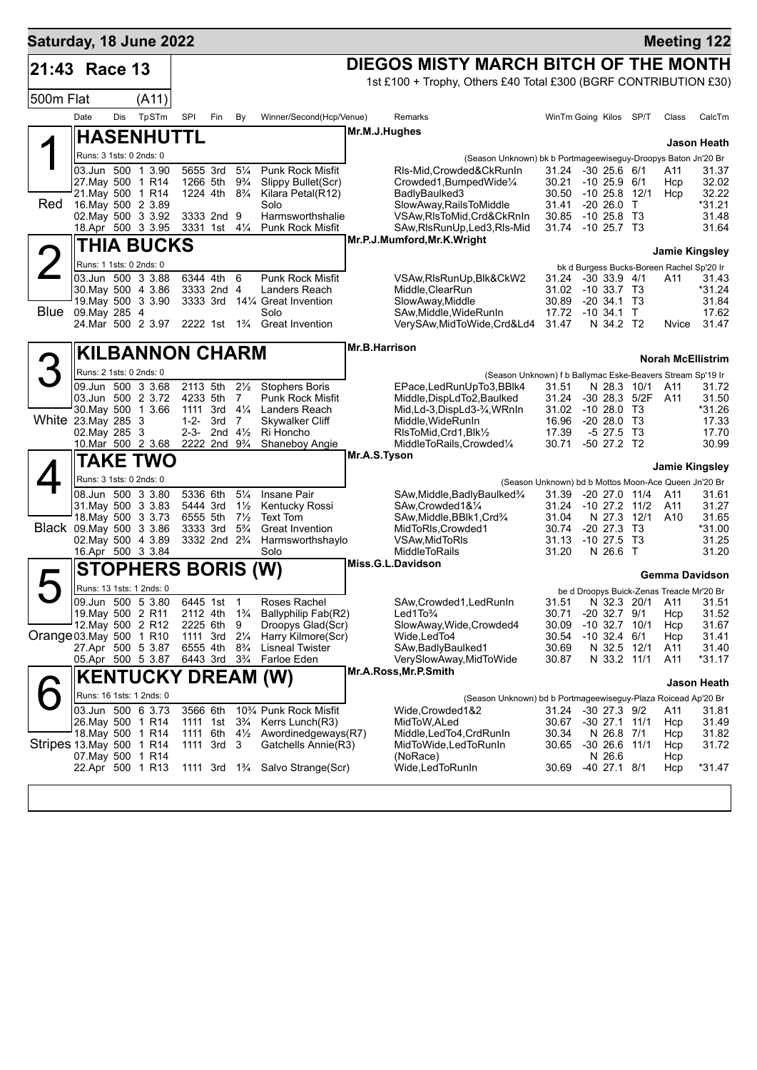| Saturday, 18 June 2022    |                                        |     |                                          |                      |                                                    |                                  |                                                                            |                                           |                                                                  |                |                                                      |            |                       | <b>Meeting 122</b>    |  |
|---------------------------|----------------------------------------|-----|------------------------------------------|----------------------|----------------------------------------------------|----------------------------------|----------------------------------------------------------------------------|-------------------------------------------|------------------------------------------------------------------|----------------|------------------------------------------------------|------------|-----------------------|-----------------------|--|
| 21:43 Race 13             |                                        |     |                                          |                      |                                                    |                                  |                                                                            |                                           | DIEGOS MISTY MARCH BITCH OF THE MONTH                            |                |                                                      |            |                       |                       |  |
|                           |                                        |     |                                          |                      |                                                    |                                  |                                                                            |                                           | 1st £100 + Trophy, Others £40 Total £300 (BGRF CONTRIBUTION £30) |                |                                                      |            |                       |                       |  |
| 500m Flat                 |                                        |     | (A11)                                    |                      |                                                    |                                  |                                                                            |                                           |                                                                  |                |                                                      |            |                       |                       |  |
|                           | Date                                   | Dis | TpSTm                                    | SPI                  | Fin                                                | By                               | Winner/Second(Hcp/Venue)                                                   |                                           | Remarks                                                          |                | WinTm Going Kilos SP/T                               |            | Class                 | CalcTm                |  |
|                           |                                        |     | <b>HASENHUTTL</b>                        |                      |                                                    |                                  |                                                                            |                                           | Mr.M.J.Hughes                                                    |                |                                                      |            |                       | Jason Heath           |  |
|                           | Runs: 3 1sts: 0 2nds: 0                |     |                                          |                      |                                                    |                                  |                                                                            |                                           | (Season Unknown) bk b Portmageewiseguy-Droopys Baton Jn'20 Br    |                |                                                      |            |                       |                       |  |
|                           | 27. May 500 1 R14                      |     | 03.Jun 500 1 3.90                        |                      | 5655 3rd<br>1266 5th                               | $5\frac{1}{4}$<br>$9\frac{3}{4}$ | Punk Rock Misfit<br>Slippy Bullet(Scr)                                     |                                           | RIs-Mid.Crowded&CkRunIn<br>Crowded1, BumpedWide1/4               | 30.21          | 31.24 -30 25.6 6/1<br>$-10$ 25.9 $6/1$               |            | A11<br>Hcp            | 31.37<br>32.02        |  |
|                           | 21. May 500 1 R14                      |     |                                          |                      | 1224 4th 8 <sup>3</sup> / <sub>4</sub>             |                                  | Kilara Petal(R12)                                                          |                                           | BadlyBaulked3                                                    | 30.50          | $-10$ 25.8 $12/1$                                    |            | Hcp                   | 32.22                 |  |
| Red                       |                                        |     | 16. May 500 2 3.89<br>02. May 500 3 3.92 |                      | 3333 2nd 9                                         |                                  | Solo<br>Harmsworthshalie                                                   |                                           | SlowAway, RailsToMiddle<br>VSAw, RIsToMid, Crd&CkRnIn            | 31.41<br>30.85 | $-20, 26.0$<br>$-1025.8$ T3                          | $\top$     |                       | *31.21<br>31.48       |  |
|                           |                                        |     | 18.Apr 500 3 3.95                        |                      | 3331 1st 41/ <sub>4</sub>                          |                                  | <b>Punk Rock Misfit</b>                                                    |                                           | SAw, RIs Run Up, Led 3, RIs-Mid                                  | 31.74          | -10 25.7 T3                                          |            |                       | 31.64                 |  |
|                           |                                        |     | THIA BUCKS                               |                      |                                                    |                                  |                                                                            |                                           | Mr.P.J.Mumford, Mr.K. Wright                                     |                |                                                      |            | <b>Jamie Kingsley</b> |                       |  |
|                           | Runs: 1 1sts: 0 2nds: 0                |     |                                          |                      |                                                    |                                  |                                                                            |                                           |                                                                  |                | bk d Burgess Bucks-Boreen Rachel Sp'20 Ir            |            |                       |                       |  |
|                           | 30. May 500 4 3.86                     |     | 03.Jun 500 3 3.88                        |                      | 6344 4th<br>3333 2nd 4                             | 6                                | Punk Rock Misfit<br>Landers Reach                                          |                                           | VSAw,RIsRunUp,Blk&CkW2<br>Middle, ClearRun                       | 31.24<br>31.02 | $-30$ 33.9 $4/1$<br>$-10, 33.7, T3$                  |            | A11                   | 31.43<br>*31.24       |  |
|                           |                                        |     | 19. May 500 3 3.90                       |                      | 3333 3rd                                           |                                  | 14¼ Great Invention                                                        |                                           | SlowAway, Middle                                                 | 30.89          | $-20, 34.1, 73$                                      |            |                       | 31.84                 |  |
|                           | <b>Blue</b> 09. May 285 4              |     | 24.Mar 500 2 3.97                        |                      |                                                    |                                  | Solo<br>2222 1st 1 <sup>3</sup> / <sub>4</sub> Great Invention             |                                           | SAw, Middle, WideRunIn<br>VerySAw, MidToWide, Crd&Ld4            | 17.72<br>31.47 | $-10$ 34.1 T<br>N 34.2 T2                            |            | Nvice                 | 17.62<br>31.47        |  |
|                           |                                        |     |                                          |                      |                                                    |                                  |                                                                            |                                           |                                                                  |                |                                                      |            |                       |                       |  |
|                           |                                        |     | <b>KILBANNON CHARM</b>                   |                      |                                                    |                                  |                                                                            | Mr.B.Harrison<br><b>Norah McEllistrim</b> |                                                                  |                |                                                      |            |                       |                       |  |
|                           | Runs: 2 1sts: 0 2nds: 0                |     |                                          |                      |                                                    |                                  |                                                                            |                                           | (Season Unknown) f b Ballymac Eske-Beavers Stream Sp'19 Ir       |                |                                                      |            |                       |                       |  |
|                           | 03.Jun 500 2 3.72                      |     | 09.Jun 500 3 3.68                        | 2113 5th<br>4233 5th |                                                    | $2\frac{1}{2}$<br>$\overline{7}$ | <b>Stophers Boris</b><br>Punk Rock Misfit                                  |                                           | EPace, LedRunUpTo3, BBlk4<br>Middle, DispLdTo2, Baulked          | 31.51<br>31.24 | N 28.3 10/1<br>-30 28.3 5/2F                         |            | A11<br>A11            | 31.72<br>31.50        |  |
|                           |                                        |     | 30. May 500 1 3.66                       |                      | 1111 3rd                                           | $4\frac{1}{4}$                   | Landers Reach                                                              |                                           | Mid,Ld-3,DispLd3-3⁄4,WRnIn                                       | 31.02          | $-1028.0$ T3                                         |            |                       | *31.26                |  |
| White 23. May 285 3       | 02. May 285 3                          |     |                                          | $1 - 2 -$            | 3rd<br>2-3- 2nd $4\frac{1}{2}$                     | $\overline{7}$                   | <b>Skywalker Cliff</b><br>Ri Honcho                                        |                                           | Middle, WideRunIn<br>RIsToMid, Crd1, Blk1/2                      | 16.96<br>17.39 | $-2028.0$<br>$-5$ 27.5 T3                            | - ТЗ       |                       | 17.33<br>17.70        |  |
|                           |                                        |     | 10.Mar 500 2 3.68                        |                      | 2222 2nd 9 <sup>3</sup> / <sub>4</sub>             |                                  | Shaneboy Angie                                                             |                                           | MiddleToRails, Crowded1/4                                        | 30.71          | -50 27.2 T2                                          |            |                       | 30.99                 |  |
|                           |                                        |     | TAKE TWO                                 |                      |                                                    |                                  |                                                                            |                                           | Mr.A.S.Tyson                                                     |                |                                                      |            | Jamie Kingsley        |                       |  |
|                           | Runs: 3 1sts: 0 2nds: 0                |     |                                          |                      |                                                    |                                  |                                                                            |                                           |                                                                  |                | (Season Unknown) bd b Mottos Moon-Ace Queen Jn'20 Br |            |                       |                       |  |
|                           | 31 May 500 3 3 83                      |     | 08.Jun 500 3 3.80                        |                      | 5336 6th<br>5444 3rd                               | $5\frac{1}{4}$<br>$1\frac{1}{2}$ | Insane Pair<br>Kentucky Rossi                                              |                                           | SAw,Middle,BadlyBaulked3⁄4<br>SAw, Crowded 1& 1/4                | 31.39<br>31.24 | $-20$ 27.0 11/4<br>$-10$ 27.2 $11/2$                 |            | A11<br>A11            | 31.61<br>31.27        |  |
|                           |                                        |     | 18. May 500 3 3.73                       |                      | 6555 5th                                           | $7\frac{1}{2}$                   | Text Tom                                                                   |                                           | SAw, Middle, BBlk1, Crd3/4                                       | 31.04          | N 27.3                                               | 12/1       | A10                   | 31.65                 |  |
| Black 09. May 500 3 3.86  |                                        |     | 02. May 500 4 3.89                       |                      | 3333 3rd<br>3332 2nd 2 <sup>3</sup> / <sub>4</sub> | $5\frac{3}{4}$                   | <b>Great Invention</b><br>Harmsworthshaylo                                 |                                           | MidToRIs, Crowded1<br>VSAw, MidToRIs                             | 30.74<br>31.13 | $-20$ 27.3<br>$-10$ 27.5                             | Т3<br>- ТЗ |                       | *31.00<br>31.25       |  |
|                           |                                        |     | 16.Apr 500 3 3.84                        |                      |                                                    |                                  | Solo                                                                       |                                           | <b>MiddleToRails</b>                                             | 31.20          | N 26.6                                               | $\top$     |                       | 31.20                 |  |
|                           |                                        |     | STOPHERS BORIS (W)                       |                      |                                                    |                                  |                                                                            |                                           | Miss.G.L.Davidson                                                |                |                                                      |            | Gemma Davidson        |                       |  |
|                           |                                        |     | Runs: 13 1sts: 1 2nds: 0                 |                      |                                                    |                                  |                                                                            |                                           |                                                                  |                | be d Droopys Buick-Zenas Treacle Mr'20 Br            |            |                       |                       |  |
|                           | 19. May 500 2 R11                      |     | 09.Jun 500 5 3.80                        |                      | 6445 1st 1                                         |                                  | Roses Rachel<br>2112 4th 1 <sup>3</sup> / <sub>4</sub> Ballyphilip Fab(R2) |                                           | SAw, Crowded 1, Led Run In<br>Led $1$ To $\frac{3}{4}$           | 31.51          | $-20$ 32.7 $9/1$                                     |            |                       | N 32.3 20/1 A11 31.51 |  |
|                           | 12. May 500 2 R12                      |     |                                          |                      | 2225 6th                                           | 9                                | Droopys Glad(Scr)                                                          |                                           | SlowAway, Wide, Crowded4                                         | 30.71<br>30.09 | $-10$ 32.7 $10/1$                                    |            | Hcp<br>Hcp            | 31.52<br>31.67        |  |
| Orange 03. May 500 1 R10  |                                        |     | 27.Apr 500 5 3.87                        |                      | 1111 3rd<br>6555 4th 8 <sup>3</sup> / <sub>4</sub> | $2\frac{1}{4}$                   | Harry Kilmore(Scr)<br><b>Lisneal Twister</b>                               |                                           | Wide, Led To4<br>SAw, Badly Baulked 1                            | 30.54<br>30.69 | $-10$ 32.4 $6/1$<br>N 32.5 12/1                      |            | Hcp<br>A11            | 31.41<br>31.40        |  |
|                           |                                        |     | 05.Apr 500 5 3.87                        |                      | 6443 3rd 3 <sup>3</sup> / <sub>4</sub>             |                                  | Farloe Eden                                                                |                                           | VerySlowAway, MidToWide                                          | 30.87          | N 33.2 11/1                                          |            | A11                   | $*31.17$              |  |
|                           |                                        |     | <b>KENTUCKY DREAM (W)</b>                |                      |                                                    |                                  |                                                                            |                                           | Mr.A.Ross, Mr.P.Smith                                            |                |                                                      |            |                       | Jason Heath           |  |
|                           |                                        |     | Runs: 16 1sts: 1 2nds: 0                 |                      |                                                    |                                  |                                                                            |                                           | (Season Unknown) bd b Portmageewiseguy-Plaza Roicead Ap'20 Br    |                |                                                      |            |                       |                       |  |
|                           |                                        |     | 03.Jun 500 6 3.73                        |                      | 3566 6th                                           |                                  | 10% Punk Rock Misfit                                                       |                                           | Wide,Crowded1&2                                                  | 31.24          | $-30$ 27.3 $9/2$                                     |            | A11                   | 31.81                 |  |
|                           | 26. May 500 1 R14<br>18. May 500 1 R14 |     |                                          |                      | 1111 1st<br>1111 6th                               | $3\frac{3}{4}$<br>$4\frac{1}{2}$ | Kerrs Lunch(R3)<br>Awordinedgeways(R7)                                     |                                           | MidToW, ALed<br>Middle,LedTo4,CrdRunIn                           | 30.67<br>30.34 | $-30$ 27.1 11/1<br>N 26.8 7/1                        |            | Hcp<br>Hcp            | 31.49<br>31.82        |  |
| Stripes 13. May 500 1 R14 |                                        |     |                                          |                      | 1111 3rd 3                                         |                                  | Gatchells Annie(R3)                                                        |                                           | MidToWide,LedToRunIn                                             | 30.65          | $-30$ 26.6 11/1                                      |            | Hcp                   | 31.72                 |  |
|                           | 07. May 500 1 R14<br>22.Apr 500 1 R13  |     |                                          |                      |                                                    |                                  | 1111 3rd 1 <sup>3</sup> / <sub>4</sub> Salvo Strange(Scr)                  |                                           | (NoRace)<br>Wide, Led To Run In                                  | 30.69          | N 26.6<br>-40 27.1 8/1                               |            | Hcp<br>Hcp            | $*31.47$              |  |
|                           |                                        |     |                                          |                      |                                                    |                                  |                                                                            |                                           |                                                                  |                |                                                      |            |                       |                       |  |
|                           |                                        |     |                                          |                      |                                                    |                                  |                                                                            |                                           |                                                                  |                |                                                      |            |                       |                       |  |
|                           |                                        |     |                                          |                      |                                                    |                                  |                                                                            |                                           |                                                                  |                |                                                      |            |                       |                       |  |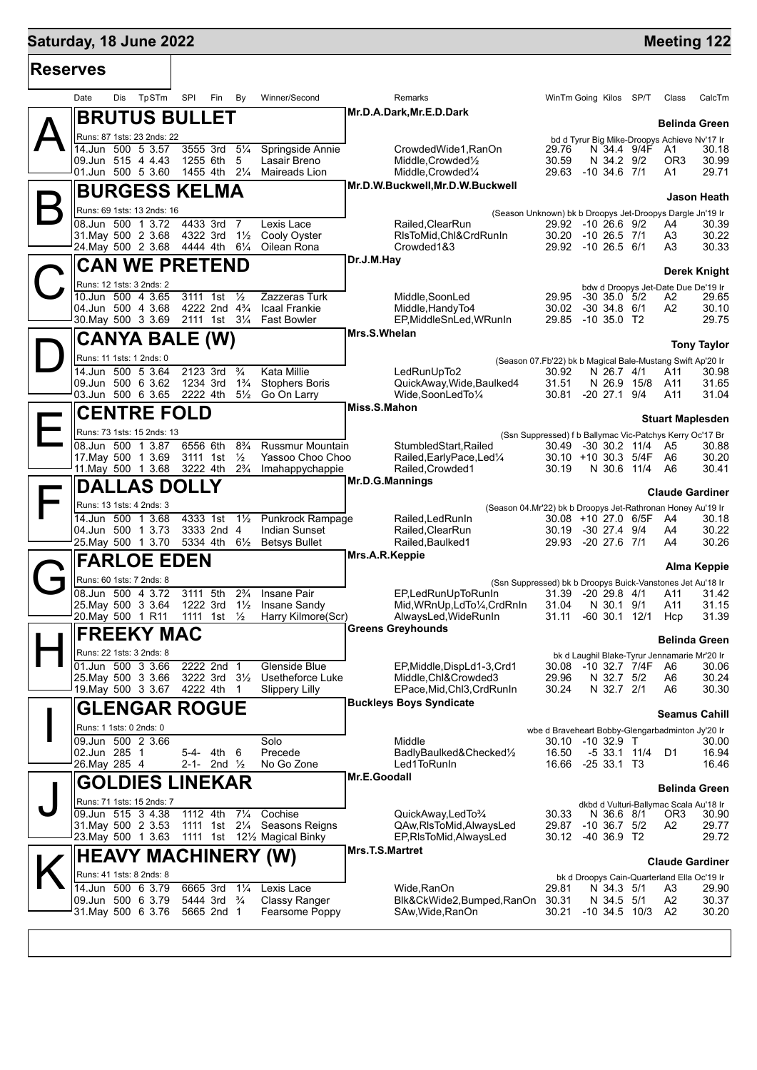## **Saturday, 18 June 2022 Meeting 122 Meeting 122**

| <b>Reserves</b> |                                          |       |                                        |                                  |                                                              |                 |                                                                           |                                                           |                                          |            |              |                                              |                         |
|-----------------|------------------------------------------|-------|----------------------------------------|----------------------------------|--------------------------------------------------------------|-----------------|---------------------------------------------------------------------------|-----------------------------------------------------------|------------------------------------------|------------|--------------|----------------------------------------------|-------------------------|
|                 | Date<br>Dis                              | TpSTm | SPI<br>Fin                             | By                               | Winner/Second                                                |                 | Remarks                                                                   |                                                           | WinTm Going Kilos SP/T                   |            |              | Class                                        | CalcTm                  |
|                 | <b>BRUTUS BULLET</b>                     |       |                                        |                                  |                                                              |                 | Mr.D.A.Dark, Mr.E.D.Dark                                                  |                                                           |                                          |            |              |                                              | <b>Belinda Green</b>    |
|                 | Runs: 87 1sts: 23 2nds: 22               |       |                                        |                                  |                                                              |                 |                                                                           |                                                           |                                          |            |              | bd d Tyrur Big Mike-Droopys Achieve Nv'17 Ir |                         |
|                 | 14.Jun 500 5 3.57                        |       | 3555 3rd                               | $5\frac{1}{4}$                   | Springside Annie                                             |                 | CrowdedWide1, RanOn                                                       | 29.76                                                     |                                          |            | N 34.4 9/4F  | A1                                           | 30.18                   |
|                 | 09.Jun 515 4 4.43                        |       | 1255 6th                               | 5                                | Lasair Breno                                                 |                 | Middle, Crowded <sup>1</sup> / <sub>2</sub>                               | 30.59                                                     |                                          | N 34.2 9/2 |              | OR3                                          | 30.99                   |
|                 | 01.Jun 500 5 3.60                        |       | 1455 4th                               | $2\frac{1}{4}$                   | Maireads Lion                                                |                 | Middle, Crowded <sup>1/4</sup>                                            | 29.63                                                     | $-10, 34.6, 7/1$                         |            |              | A1                                           | 29.71                   |
|                 | <b>BURGESS KELMA</b>                     |       |                                        |                                  |                                                              |                 | Mr.D.W.Buckwell, Mr.D.W.Buckwell                                          |                                                           |                                          |            |              |                                              | Jason Heath             |
|                 | Runs: 69 1sts: 13 2nds: 16               |       |                                        |                                  |                                                              |                 |                                                                           |                                                           |                                          |            |              |                                              |                         |
|                 | 08.Jun 500 1 3.72                        |       | 4433 3rd                               | - 7                              | Lexis Lace                                                   |                 | (Season Unknown) bk b Droopys Jet-Droopys Dargle Jn'19 Ir                 |                                                           |                                          |            |              |                                              |                         |
|                 | 31. May 500 2 3.68                       |       | 4322 3rd                               | $1\frac{1}{2}$                   | Cooly Oyster                                                 |                 | Railed, ClearRun<br>RIsToMid, Chl&CrdRunIn                                |                                                           | 29.92 -10 26.6 9/2<br>30.20 -10 26.5 7/1 |            |              | A4<br>A3                                     | 30.39<br>30.22          |
|                 | 24. May 500 2 3.68                       |       | 4444 4th 61/4                          |                                  | Oilean Rona                                                  |                 | Crowded1&3                                                                |                                                           | 29.92 -10 26.5 6/1                       |            |              | A3                                           | 30.33                   |
|                 |                                          |       |                                        |                                  |                                                              | Dr.J.M.Hay      |                                                                           |                                                           |                                          |            |              |                                              |                         |
|                 | <b>CAN WE PRETEND</b>                    |       |                                        |                                  |                                                              |                 |                                                                           |                                                           |                                          |            |              |                                              | <b>Derek Knight</b>     |
|                 | Runs: 12 1sts: 3 2nds: 2                 |       |                                        |                                  |                                                              |                 |                                                                           |                                                           |                                          |            |              | bdw d Droopys Jet-Date Due De'19 Ir          |                         |
|                 | 10.Jun 500 4 3.65                        |       | 3111 1st                               | $\frac{1}{2}$                    | Zazzeras Turk                                                |                 | Middle, SoonLed                                                           | 29.95                                                     | $-30$ 35.0 5/2                           |            |              | A2                                           | 29.65                   |
|                 | 04.Jun 500 4 3.68                        |       | 4222 2nd 4 <sup>3</sup> / <sub>4</sub> |                                  | <b>Icaal Frankie</b>                                         |                 | Middle, Handy To4                                                         | 30.02                                                     | $-30$ 34.8 $6/1$                         |            |              | A <sub>2</sub>                               | 30.10                   |
|                 | 30. May 500 3 3.69                       |       |                                        |                                  | 2111 1st 31/4 Fast Bowler                                    |                 | EP, MiddleSnLed, WRunIn                                                   | 29.85                                                     | $-10,35.0$ T2                            |            |              |                                              | 29.75                   |
|                 | <b>CANYA BALE (W)</b>                    |       |                                        |                                  |                                                              | Mrs.S.Whelan    |                                                                           |                                                           |                                          |            |              |                                              | <b>Tony Taylor</b>      |
|                 | Runs: 11 1sts: 1 2nds: 0                 |       |                                        |                                  |                                                              |                 |                                                                           |                                                           |                                          |            |              |                                              |                         |
|                 | 14.Jun 500 5 3.64                        |       | 2123 3rd                               | $\frac{3}{4}$                    | Kata Millie                                                  |                 | (Season 07.Fb'22) bk b Magical Bale-Mustang Swift Ap'20 Ir<br>LedRunUpTo2 | 30.92                                                     |                                          | N 26.7 4/1 |              | A11                                          | 30.98                   |
|                 | 09.Jun 500 6 3.62                        |       | 1234 3rd                               | $1\frac{3}{4}$                   | <b>Stophers Boris</b>                                        |                 | QuickAway, Wide, Baulked4                                                 | 31.51                                                     |                                          |            | N 26.9 15/8  | A11                                          | 31.65                   |
|                 | 03.Jun 500 6 3.65                        |       | 2222 4th                               | $5\frac{1}{2}$                   | Go On Larry                                                  |                 | Wide,SoonLedTo1/4                                                         |                                                           | 30.81 -20 27.1 9/4                       |            |              | A11                                          | 31.04                   |
|                 |                                          |       |                                        |                                  |                                                              | Miss.S.Mahon    |                                                                           |                                                           |                                          |            |              |                                              |                         |
|                 | <b>CENTRE FOLD</b>                       |       |                                        |                                  |                                                              |                 |                                                                           |                                                           |                                          |            |              |                                              | <b>Stuart Maplesden</b> |
|                 | Runs: 73 1sts: 15 2nds: 13               |       |                                        |                                  |                                                              |                 | (Ssn Suppressed) f b Ballymac Vic-Patchys Kerry Oc'17 Br                  |                                                           |                                          |            |              |                                              |                         |
|                 | 08.Jun 500 1 3.87                        |       | 6556 6th                               | $8\frac{3}{4}$                   | <b>Russmur Mountain</b>                                      |                 | StumbledStart, Railed                                                     | 30.49                                                     | $-30$ 30.2 11/4                          |            |              | A5                                           | 30.88                   |
|                 | 17 May 500 1 3.69                        |       | 3111 1st                               | $\frac{1}{2}$                    | Yassoo Choo Choo                                             |                 | Railed, Early Pace, Led <sup>1/4</sup>                                    |                                                           | 30.10 +10 30.3 5/4F                      |            |              | - A6                                         | 30.20<br>30.41          |
|                 | 11. May 500 1 3.68 3222 4th              |       |                                        | $2\frac{3}{4}$                   | Imahappychappie                                              |                 | Railed, Crowded1<br>Mr.D.G.Mannings                                       | 30.19                                                     |                                          |            | N 30.6 11/4  | A6                                           |                         |
|                 | <b>DALLAS DOLLY</b>                      |       |                                        |                                  |                                                              |                 |                                                                           |                                                           |                                          |            |              |                                              | <b>Claude Gardiner</b>  |
|                 | Runs: 13 1sts: 4 2nds: 3                 |       |                                        |                                  |                                                              |                 | (Season 04.Mr'22) bk b Droopys Jet-Rathronan Honey Au'19 Ir               |                                                           |                                          |            |              |                                              |                         |
|                 | 14.Jun 500 1 3.68                        |       | 4333 1st                               | $1\frac{1}{2}$                   | Punkrock Rampage                                             |                 | Railed, Led Run In                                                        |                                                           | 30.08 +10 27.0 6/5F                      |            |              | A4                                           | 30.18                   |
|                 | 04.Jun 500 1 3.73                        |       | 3333 2nd 4                             |                                  | Indian Sunset                                                |                 | Railed, ClearRun                                                          | 30.19                                                     | $-30$ 27.4 $9/4$                         |            |              | A4                                           | 30.22                   |
|                 | 25. May 500 1 3.70                       |       |                                        |                                  | 5334 4th 61/ <sub>2</sub> Betsys Bullet                      |                 | Railed, Baulked1                                                          | 29.93                                                     | $-20$ 27.6 7/1                           |            |              | A4                                           | 30.26                   |
|                 | <b>FARLOE EDEN</b>                       |       |                                        |                                  |                                                              | Mrs.A.R.Keppie  |                                                                           |                                                           |                                          |            |              |                                              |                         |
|                 |                                          |       |                                        |                                  |                                                              |                 |                                                                           |                                                           |                                          |            |              |                                              | Alma Keppie             |
|                 | Runs: 60 1sts: 7 2nds: 8                 |       |                                        |                                  |                                                              |                 | (Ssn Suppressed) bk b Droopys Buick-Vanstones Jet Au'18 Ir                |                                                           |                                          |            |              |                                              |                         |
|                 | 08.Jun 500 4 3.72<br>25. May 500 3 3.64  |       | 3111 5th<br>1222 3rd                   | $2\frac{3}{4}$<br>$1\frac{1}{2}$ | Insane Pair                                                  |                 | EP.LedRunUpToRunIn                                                        | 31.39<br>31.04                                            | $-20, 29.8, 4/1$                         | N 30.1 9/1 |              | A11<br>A11                                   | 31.42<br>31.15          |
|                 | 20.May 500 1 R11                         |       | 1111 1st $\frac{1}{2}$                 |                                  | Insane Sandy<br>Harry Kilmore(Scr)                           |                 | Mid, WRnUp, LdTo ¼, CrdRnIn<br>AlwaysLed, WideRunIn                       | 31.11                                                     | $-60$ 30.1 12/1                          |            |              | Hcp                                          | 31.39                   |
|                 |                                          |       |                                        |                                  |                                                              |                 | <b>Greens Greyhounds</b>                                                  |                                                           |                                          |            |              |                                              |                         |
|                 | <b>FREEKY MAC</b>                        |       |                                        |                                  |                                                              |                 |                                                                           |                                                           |                                          |            |              |                                              | <b>Belinda Green</b>    |
|                 | Runs: 22 1sts: 3 2nds: 8                 |       |                                        |                                  |                                                              |                 |                                                                           |                                                           |                                          |            |              | bk d Laughil Blake-Tyrur Jennamarie Mr'20 Ir |                         |
|                 | 01.Jun 500 3 3.66                        |       | 2222 2nd 1                             |                                  | Glenside Blue                                                |                 | EP, Middle, DispLd1-3, Crd1                                               | 30.08                                                     | -10 32.7 7/4F                            |            |              | A6                                           | 30.06                   |
|                 | 25. May 500 3 3.66                       |       | 3222 3rd 31/2                          |                                  | Usetheforce Luke                                             |                 | Middle, Chl&Crowded3                                                      | 29.96                                                     |                                          | N 32.7 5/2 |              | A6                                           | 30.24                   |
|                 | 19 May 500 3 3.67                        |       | 4222 4th 1                             |                                  | <b>Slippery Lilly</b>                                        |                 | EPace, Mid, Chl3, CrdRunIn                                                | 30.24                                                     |                                          | N 32.7 2/1 |              | A6                                           | 30.30                   |
|                 | <b>GLENGAR ROGUE</b>                     |       |                                        |                                  |                                                              |                 | <b>Buckleys Boys Syndicate</b>                                            |                                                           |                                          |            |              |                                              | <b>Seamus Cahill</b>    |
|                 | Runs: 1 1sts: 0 2nds: 0                  |       |                                        |                                  |                                                              |                 |                                                                           |                                                           |                                          |            |              |                                              |                         |
|                 | 09.Jun 500 2 3.66                        |       |                                        |                                  | Solo                                                         |                 | Middle                                                                    | wbe d Braveheart Bobby-Glengarbadminton Jy'20 Ir<br>30.10 | $-10$ 32.9 T                             |            |              |                                              | 30.00                   |
|                 | 02.Jun 285 1                             |       | 5-4- 4th                               | 6                                | Precede                                                      |                 | BadlyBaulked&Checked1/2                                                   | 16.50                                                     |                                          |            | -5 33.1 11/4 | D1                                           | 16.94                   |
|                 | 26. May 285 4                            |       | 2-1- 2nd $\frac{1}{2}$                 |                                  | No Go Zone                                                   |                 | Led1ToRunIn                                                               | 16.66                                                     | $-2533.1$ T3                             |            |              |                                              | 16.46                   |
|                 | <b>GOLDIES LINEKAR</b>                   |       |                                        |                                  |                                                              | Mr.E.Goodall    |                                                                           |                                                           |                                          |            |              |                                              |                         |
|                 |                                          |       |                                        |                                  |                                                              |                 |                                                                           |                                                           |                                          |            |              |                                              | <b>Belinda Green</b>    |
|                 | Runs: 71 1sts: 15 2nds: 7                |       |                                        |                                  |                                                              |                 |                                                                           |                                                           |                                          |            |              | dkbd d Vulturi-Ballymac Scala Au'18 Ir       |                         |
|                 | 09.Jun 515 3 4.38                        |       | 1112 4th                               | $7\frac{1}{4}$                   | Cochise                                                      |                 | QuickAway,LedTo3/4                                                        | 30.33                                                     |                                          | N 36.6 8/1 |              | OR3                                          | 30.90                   |
|                 | 31. May 500 2 3.53<br>23. May 500 1 3.63 |       |                                        |                                  | 1111 1st 21/4 Seasons Reigns<br>1111 1st 121/2 Magical Binky |                 | QAw, RIs To Mid, Always Led<br>EP, RIs To Mid, Always Led                 | 29.87                                                     | $-10$ 36.7 $5/2$<br>30.12 -40 36.9 T2    |            |              | A2                                           | 29.77<br>29.72          |
|                 |                                          |       |                                        |                                  |                                                              | Mrs.T.S.Martret |                                                                           |                                                           |                                          |            |              |                                              |                         |
|                 | <b>HEAVY MACHINERY (W)</b>               |       |                                        |                                  |                                                              |                 |                                                                           |                                                           |                                          |            |              |                                              | <b>Claude Gardiner</b>  |
|                 | Runs: 41 1sts: 8 2nds: 8                 |       |                                        |                                  |                                                              |                 |                                                                           |                                                           |                                          |            |              | bk d Droopys Cain-Quarterland Ella Oc'19 Ir  |                         |
|                 | 14.Jun 500 6 3.79                        |       | 6665 3rd                               | $1\frac{1}{4}$                   | Lexis Lace                                                   |                 | Wide, RanOn                                                               | 29.81                                                     |                                          | N 34.3 5/1 |              | A3                                           | 29.90                   |
|                 | 09.Jun 500 6 3.79                        |       | 5444 3rd <sup>3</sup> / <sub>4</sub>   |                                  | <b>Classy Ranger</b>                                         |                 | Blk&CkWide2,Bumped,RanOn                                                  | 30.31                                                     |                                          | N 34.5 5/1 |              | A2                                           | 30.37                   |
|                 | 31. May 500 6 3.76                       |       | 5665 2nd 1                             |                                  | Fearsome Poppy                                               |                 | SAw, Wide, RanOn                                                          | 30.21                                                     | $-10, 34.5, 10/3$                        |            |              | A <sub>2</sub>                               | 30.20                   |
|                 |                                          |       |                                        |                                  |                                                              |                 |                                                                           |                                                           |                                          |            |              |                                              |                         |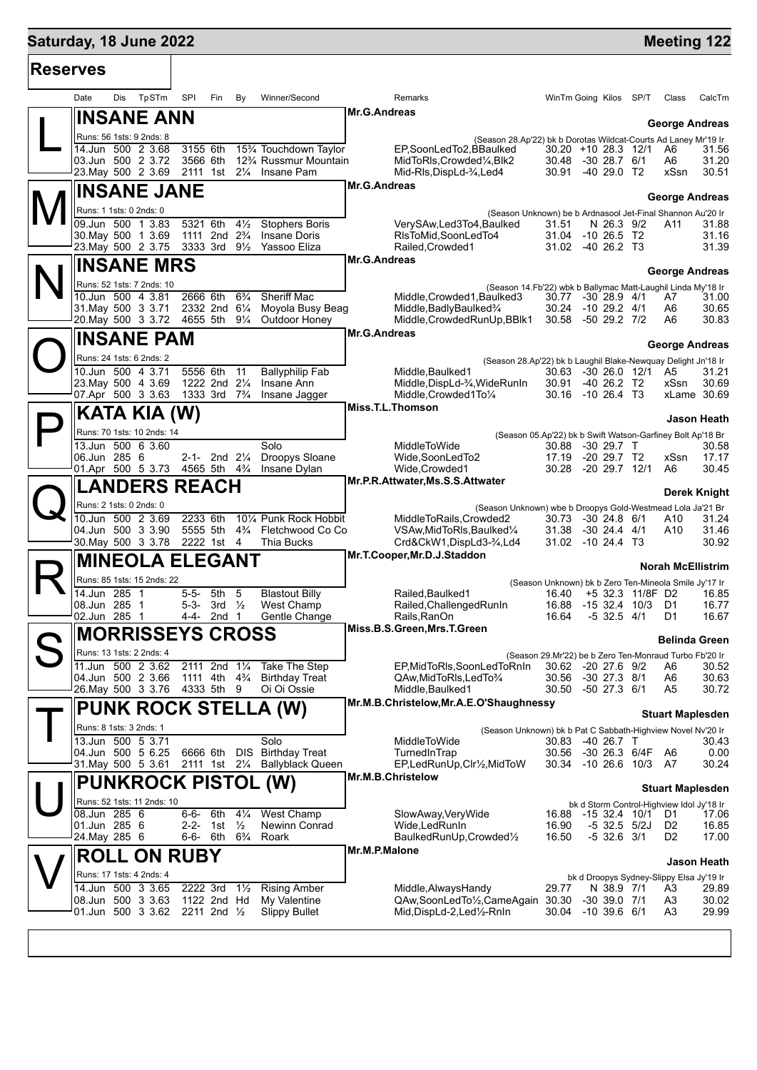## **Saturday, 18 June 2022 Meeting 122 Reserves** Date Dis TpSTm SPI Fin By Winner/Second Remarks WinTm Going Kilos SP/T Class CalcTm L **INSANE ANN** Runs: 56 1sts: 9 2nds: 8 **George Andreas** (Season 28.Ap'22) bk b Dorotas Wildcat-Courts Ad Laney Mr'19 Ir **Mr.G.Andreas** 14.Jun 500 2 3.68 3155 6th 15¾ Touchdown Taylor EP,SoonLedTo2,BBaulked 30.20 +10 28.3 12/1 A6 31.56 03.Jun 500 2 3.72 3566 6th 12¾ Russmur Mountain MidToRls,Crowded¼,Blk2 30.48 -30 28.7 6/1 A6 31.20 2111 1st 2¼ Insane Pam  $\mathbf{M}^{\parallel}_{\frac{\infty}{\infty}}$ **INSANE JANE** Runs: 1 1sts: 0 2nds: 0 **George Andreas** (Season Unknown) be b Ardnasool Jet-Final Shannon Au'20 Ir **Mr.G.Andreas** 09.Jun 500 1 3.83 5321 6th 4½ Stophers Boris VerySAw,Led3To4,Baulked 31.51 N 26.3 9/2 A11 31.88 30.May 500 1 3.69 1111 2nd 2¾ Insane Doris RlsToMid,SoonLedTo4 31.04 -10 26.5 T2 31.16 23.May 500 2 3.75 N **INSANE MRS** Runs: 52 1sts: 7 2nds: 10 **George Andreas** (Season 14.Fb'22) wbk b Ballymac Matt-Laughil Linda My'18 Ir **Mr.G.Andreas** 10.Jun 500 4 3.81 2666 6th 6<sup>3</sup>/ Sheriff Mac Middle,Crowded1,Baulked3 30.77 -30 28.9 4/1 A7<br>31.May 500 3 3.71 2332 2nd 6<sup>1</sup>/ Moyola Busy Beag Middle,BadlyBaulked<sup>3</sup>/ 30.24 -10 29.2 4/1 A6 31.May 500 3 3.71 2332 2nd 6¼ Moyola Busy Beag Middle,BadlyBaulked¾ 30.24 -10 29.2 4/1 A6 30.65 Middle,CrowdedRunUp,BBlk1  $\mathbf{O}^{\parallel}_{\frac{1}{2}}$ **INSANE PAM** Runs: 24 1sts: 6 2nds: 2 **George Andreas** (Season 28.Ap'22) bk b Laughil Blake-Newquay Delight Jn'18 Ir **Mr.G.Andreas** 10.Jun 500 4 3.71 5556 6th 11 Ballyphilip Fab Middle,Baulked1 30.63 -30 26.0 12/1 A5 31.21 23.May 500 4 3.69 1222 2nd 2¼ Insane Ann Middle,DispLd-¾,WideRunIn 30.91 -40 26.2 T2 xSsn 30.69 1333 3rd 7<sup>3</sup>/4 Insane Jagger Middle,Crowded1To<sup>1</sup>/<sub>4</sub> 30.16 -10 26.4 T3 xLame 30.69  $\mathsf{P}\Vert$ **KATA KIA (W)** Runs: 70 1sts: 10 2nds: 14 **Jason Heath** (Season 05.Ap'22) bk b Swift Watson-Garfiney Bolt Ap'18 Br **Miss.T.L.Thomson** 13.Jun 500 6 3.60 Solo MiddleToWide 30.88 -30 29.7 T 30.58 06.Jun 285 6 2-1- 2nd 2¼ Droopys Sloane Wide,SoonLedTo2 17.19 -20 29.7 T2 xSsn 17.17 01.Apr 500 5 3.73 4565 5th 4¾ Insane Dylan Wide,Crowded1 30.28 -20 29.7 12/1 A6 30.45  $\mathbf{Q}^{\parallel}_{\frac{1}{2}}$ **LANDERS REACH** Runs: 2 1sts: 0 2nds: 0 **Derek Knight** (Season Unknown) wbe b Droopys Gold-Westmead Lola Ja'21 Br<br>1.24 MiddleToRails,Crowded2 30.73 -30 24.8 6/1 A10 31.24 **Mr.P.R.Attwater,Ms.S.S.Attwater** 10.Jun 500 2 3.69 2233 6th 10¼ Punk Rock Hobbit MiddleToRails,Crowded2 30.73 -30 24.8 6/1 A10 31.24 04.Jun 500 3 3.90 5555 5th 4¾ Fletchwood Co Co VSAw,MidToRls,Baulked¼ 31.38 -30 24.4 4/1 A10 31.46 30.May 500 3 3.78 2222 1st 4 Thia Bucks Crd&CkW1,DispLd3-¾,Ld4 31.02 -10 24.4 T3 30.92 R **MINEOLA ELEGANT** Runs: 85 1sts: 15 2nds: 22 **Norah McEllistrim** (Season Unknown) bk b Zero Ten-Mineola Smile Jy'17 Ir **Mr.T.Cooper,Mr.D.J.Staddon** 14.Jun 285 1 5-5- 5th 5 Blastout Billy Railed,Baulked1 16.40 +5 32.3 11/8F D2 16.85 08.Jun 285 1 5-3- 3rd ½ West Champ Railed,ChallengedRunIn 16.88 -15 32.4 10/3 D1 16.77 2nd 1 Gentle Change Rails, RanOn 16.64 -5 32.5 4/1 D1 16.67 S **MORRISSEYS CROSS** Runs: 13 1sts: 2 2nds: 4 **Belinda Green** (Season 29.Mr'22) be b Zero Ten-Monraud Turbo Fb'20 Ir **Miss.B.S.Green,Mrs.T.Green** 11.Jun 500 2 3.62 2111 2nd 1¼ Take The Step EP,MidToRls,SoonLedToRnIn 30.62 -20 27.6 9/2 A6 30.52  $1111$  4th  $4\frac{3}{4}$  Birthday Treat  $4333$  5th  $9$  Oi Oi Ossie 26.May 500 3 3.76 4333 5th 9 Oi Oi Ossie Middle,Baulked1 30.50 -50 27.3 6/1 A5 30.72  $\mathsf{T}\vert$ **PUNK ROCK STELLA (W)** Runs: 8 1sts: 3 2nds: 1 **Stuart Maplesden** (Season Unknown) bk b Pat C Sabbath-Highview Novel Nv'20 Ir **Mr.M.B.Christelow,Mr.A.E.O'Shaughnessy** 13.Jun 500 5 3.71 Solo MiddleToWide 30.83 -40 26.7 T 30.43 04.Jun 500 5 6.25 6666 6th DIS Birthday Treat TurnedInTrap 30.56 -30 26.3 6/4F A6 0.00 31.May 500 5 3.61 2111 1st 2¼ Ballyblack Queen EP,LedRunUp,Clr½,MidToW 30.34 -10 26.6 10/3 A7 30.24  $\bigcup \left\Vert \cdot \right\Vert$ **PUNKROCK PISTOL (W)** Runs: 52 1sts: 11 2nds: 10 **Stuart Maplesden** bk d Storm Control-Highview Idol Jy'18 Ir<br>8 -15 32 4 10/1 D1 17 06 **Mr.M.B.Christelow** 08.Jun 285 6 6-6- 6th 4¼ West Champ SlowAway,VeryWide 16.88 -15 32.4 10/1 D1 17.06 01.Jun 285 6 2-2- 1st ½ Newinn Conrad Wide,LedRunIn 16.90 -5 32.5 5/2J D2 16.85 24.May 285 6 6-6- 6th 6¾ Roark BaulkedRunUp,Crowded½ 16.50 -5 32.6 3/1 D2 17.00 **ROLL ON RUBY Jason Heath Mr.M.P.Malone**

|   |                          |  |                             |                                                            | <b>INII.IVI.F.IVIAIUIIU</b>      |       |                                          |  |    |                    |  |
|---|--------------------------|--|-----------------------------|------------------------------------------------------------|----------------------------------|-------|------------------------------------------|--|----|--------------------|--|
|   |                          |  | $\mathbf{X}$ / ROLL ON RUBY |                                                            |                                  |       |                                          |  |    | <b>Jason Heath</b> |  |
|   | Runs: 17 1sts: 4 2nds: 4 |  |                             |                                                            |                                  |       | bk d Droopys Sydney-Slippy Elsa Jy'19 Ir |  |    |                    |  |
| v |                          |  |                             | 14.Jun 500 3 3.65 2222 3rd 11/2 Rising Amber               | Middle, Always Handy             | 29.77 | N 38.9 7/1                               |  | A3 | 29.89              |  |
|   |                          |  |                             | 108.Jun 500 3 3.63 1122 2nd Hd My Valentine                | QAw,SoonLedTo1/2,CameAgain 30.30 |       | -30 39.0 7/1                             |  | A3 | 30.02              |  |
|   |                          |  |                             | $-01$ .Jun 500 3 3.62 2211 2nd $\frac{1}{2}$ Slippy Bullet | Mid,DispLd-2,Led½-RnIn           | 30.04 | $-10,39.6,6/1$                           |  | A3 | 29.99              |  |
|   |                          |  |                             |                                                            |                                  |       |                                          |  |    |                    |  |